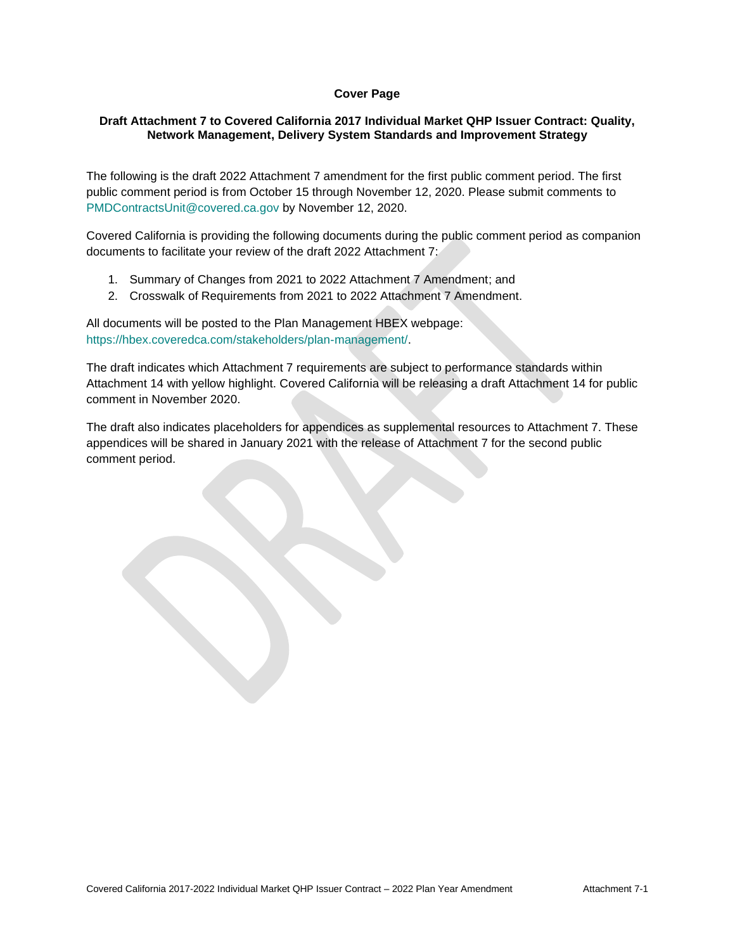## **Cover Page**

## **Draft Attachment 7 to Covered California 2017 Individual Market QHP Issuer Contract: Quality, Network Management, Delivery System Standards and Improvement Strategy**

The following is the draft 2022 Attachment 7 amendment for the first public comment period. The first public comment period is from October 15 through November 12, 2020. Please submit comments to [PMDContractsUnit@covered.ca.gov](mailto:PMDContractsUnit@covered.ca.gov) by November 12, 2020.

Covered California is providing the following documents during the public comment period as companion documents to facilitate your review of the draft 2022 Attachment 7:

- 1. Summary of Changes from 2021 to 2022 Attachment 7 Amendment; and
- 2. Crosswalk of Requirements from 2021 to 2022 Attachment 7 Amendment.

All documents will be posted to the Plan Management HBEX webpage: [https://hbex.coveredca.com/stakeholders/plan-management/.](https://hbex.coveredca.com/stakeholders/plan-management/)

The draft indicates which Attachment 7 requirements are subject to performance standards within Attachment 14 with yellow highlight. Covered California will be releasing a draft Attachment 14 for public comment in November 2020.

The draft also indicates placeholders for appendices as supplemental resources to Attachment 7. These appendices will be shared in January 2021 with the release of Attachment 7 for the second public comment period.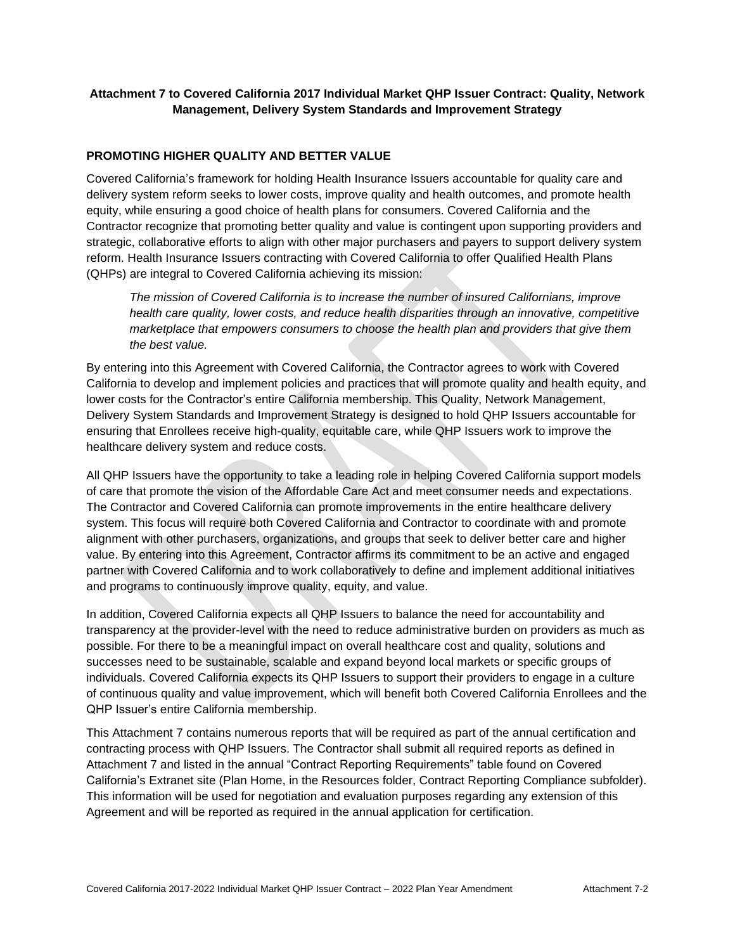# **Attachment 7 to Covered California 2017 Individual Market QHP Issuer Contract: Quality, Network Management, Delivery System Standards and Improvement Strategy**

## **PROMOTING HIGHER QUALITY AND BETTER VALUE**

Covered California's framework for holding Health Insurance Issuers accountable for quality care and delivery system reform seeks to lower costs, improve quality and health outcomes, and promote health equity, while ensuring a good choice of health plans for consumers. Covered California and the Contractor recognize that promoting better quality and value is contingent upon supporting providers and strategic, collaborative efforts to align with other major purchasers and payers to support delivery system reform. Health Insurance Issuers contracting with Covered California to offer Qualified Health Plans (QHPs) are integral to Covered California achieving its mission:

*The mission of Covered California is to increase the number of insured Californians, improve health care quality, lower costs, and reduce health disparities through an innovative, competitive marketplace that empowers consumers to choose the health plan and providers that give them the best value.*

By entering into this Agreement with Covered California, the Contractor agrees to work with Covered California to develop and implement policies and practices that will promote quality and health equity, and lower costs for the Contractor's entire California membership. This Quality, Network Management, Delivery System Standards and Improvement Strategy is designed to hold QHP Issuers accountable for ensuring that Enrollees receive high-quality, equitable care, while QHP Issuers work to improve the healthcare delivery system and reduce costs.

All QHP Issuers have the opportunity to take a leading role in helping Covered California support models of care that promote the vision of the Affordable Care Act and meet consumer needs and expectations. The Contractor and Covered California can promote improvements in the entire healthcare delivery system. This focus will require both Covered California and Contractor to coordinate with and promote alignment with other purchasers, organizations, and groups that seek to deliver better care and higher value. By entering into this Agreement, Contractor affirms its commitment to be an active and engaged partner with Covered California and to work collaboratively to define and implement additional initiatives and programs to continuously improve quality, equity, and value.

In addition, Covered California expects all QHP Issuers to balance the need for accountability and transparency at the provider-level with the need to reduce administrative burden on providers as much as possible. For there to be a meaningful impact on overall healthcare cost and quality, solutions and successes need to be sustainable, scalable and expand beyond local markets or specific groups of individuals. Covered California expects its QHP Issuers to support their providers to engage in a culture of continuous quality and value improvement, which will benefit both Covered California Enrollees and the QHP Issuer's entire California membership.

This Attachment 7 contains numerous reports that will be required as part of the annual certification and contracting process with QHP Issuers. The Contractor shall submit all required reports as defined in Attachment 7 and listed in the annual "Contract Reporting Requirements" table found on Covered California's Extranet site (Plan Home, in the Resources folder, Contract Reporting Compliance subfolder). This information will be used for negotiation and evaluation purposes regarding any extension of this Agreement and will be reported as required in the annual application for certification.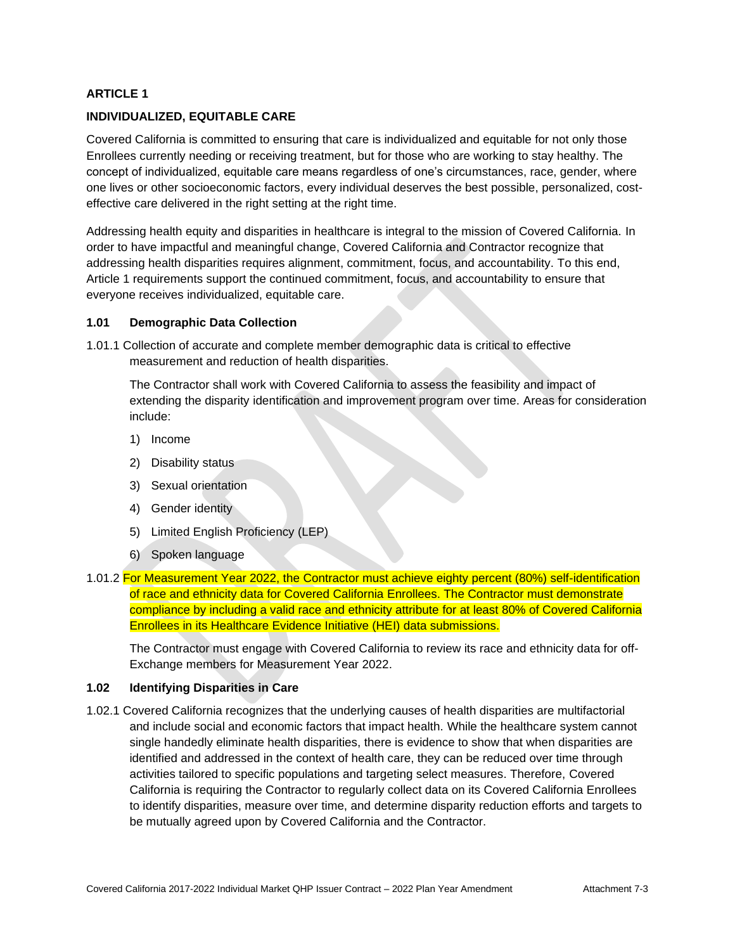## **INDIVIDUALIZED, EQUITABLE CARE**

Covered California is committed to ensuring that care is individualized and equitable for not only those Enrollees currently needing or receiving treatment, but for those who are working to stay healthy. The concept of individualized, equitable care means regardless of one's circumstances, race, gender, where one lives or other socioeconomic factors, every individual deserves the best possible, personalized, costeffective care delivered in the right setting at the right time.

Addressing health equity and disparities in healthcare is integral to the mission of Covered California. In order to have impactful and meaningful change, Covered California and Contractor recognize that addressing health disparities requires alignment, commitment, focus, and accountability. To this end, Article 1 requirements support the continued commitment, focus, and accountability to ensure that everyone receives individualized, equitable care.

#### **1.01 Demographic Data Collection**

1.01.1 Collection of accurate and complete member demographic data is critical to effective measurement and reduction of health disparities.

The Contractor shall work with Covered California to assess the feasibility and impact of extending the disparity identification and improvement program over time. Areas for consideration include:

- 1) Income
- 2) Disability status
- 3) Sexual orientation
- 4) Gender identity
- 5) Limited English Proficiency (LEP)
- 6) Spoken language
- 1.01.2 For Measurement Year 2022, the Contractor must achieve eighty percent (80%) self-identification of race and ethnicity data for Covered California Enrollees. The Contractor must demonstrate compliance by including a valid race and ethnicity attribute for at least 80% of Covered California Enrollees in its Healthcare Evidence Initiative (HEI) data submissions.

The Contractor must engage with Covered California to review its race and ethnicity data for off-Exchange members for Measurement Year 2022.

#### **1.02 Identifying Disparities in Care**

1.02.1 Covered California recognizes that the underlying causes of health disparities are multifactorial and include social and economic factors that impact health. While the healthcare system cannot single handedly eliminate health disparities, there is evidence to show that when disparities are identified and addressed in the context of health care, they can be reduced over time through activities tailored to specific populations and targeting select measures. Therefore, Covered California is requiring the Contractor to regularly collect data on its Covered California Enrollees to identify disparities, measure over time, and determine disparity reduction efforts and targets to be mutually agreed upon by Covered California and the Contractor.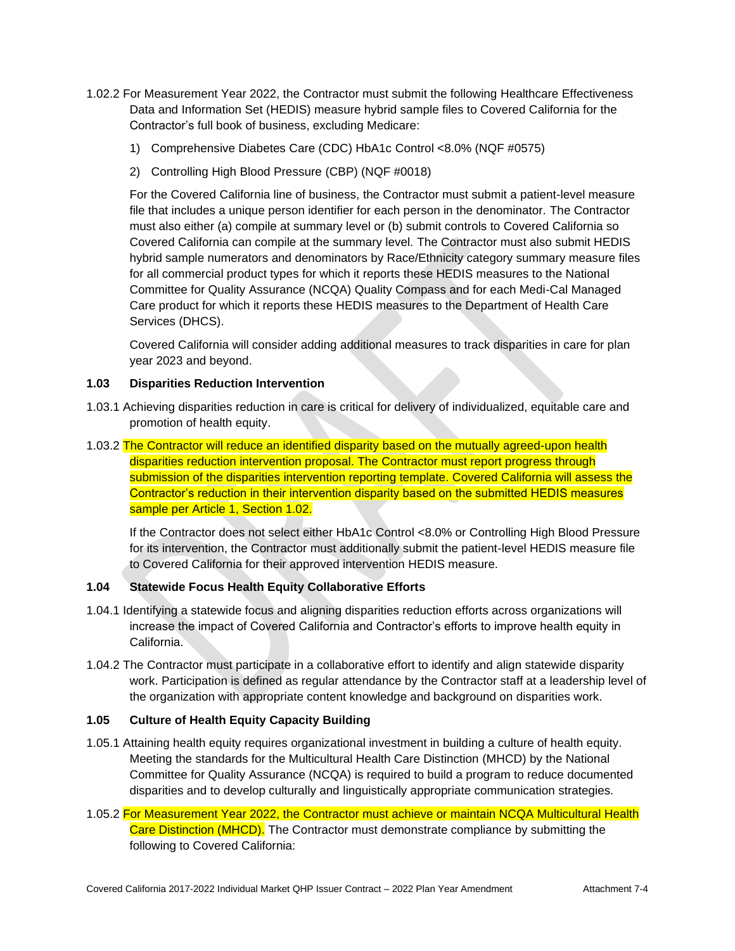- 1.02.2 For Measurement Year 2022, the Contractor must submit the following Healthcare Effectiveness Data and Information Set (HEDIS) measure hybrid sample files to Covered California for the Contractor's full book of business, excluding Medicare:
	- 1) Comprehensive Diabetes Care (CDC) HbA1c Control <8.0% (NQF #0575)
	- 2) Controlling High Blood Pressure (CBP) (NQF #0018)

For the Covered California line of business, the Contractor must submit a patient-level measure file that includes a unique person identifier for each person in the denominator. The Contractor must also either (a) compile at summary level or (b) submit controls to Covered California so Covered California can compile at the summary level. The Contractor must also submit HEDIS hybrid sample numerators and denominators by Race/Ethnicity category summary measure files for all commercial product types for which it reports these HEDIS measures to the National Committee for Quality Assurance (NCQA) Quality Compass and for each Medi-Cal Managed Care product for which it reports these HEDIS measures to the Department of Health Care Services (DHCS).

Covered California will consider adding additional measures to track disparities in care for plan year 2023 and beyond.

## **1.03 Disparities Reduction Intervention**

- 1.03.1 Achieving disparities reduction in care is critical for delivery of individualized, equitable care and promotion of health equity.
- 1.03.2 The Contractor will reduce an identified disparity based on the mutually agreed-upon health disparities reduction intervention proposal. The Contractor must report progress through submission of the disparities intervention reporting template. Covered California will assess the Contractor's reduction in their intervention disparity based on the submitted HEDIS measures sample per Article 1, Section 1.02.

If the Contractor does not select either HbA1c Control <8.0% or Controlling High Blood Pressure for its intervention, the Contractor must additionally submit the patient-level HEDIS measure file to Covered California for their approved intervention HEDIS measure.

## **1.04 Statewide Focus Health Equity Collaborative Efforts**

- 1.04.1 Identifying a statewide focus and aligning disparities reduction efforts across organizations will increase the impact of Covered California and Contractor's efforts to improve health equity in California.
- 1.04.2 The Contractor must participate in a collaborative effort to identify and align statewide disparity work. Participation is defined as regular attendance by the Contractor staff at a leadership level of the organization with appropriate content knowledge and background on disparities work.

# **1.05 Culture of Health Equity Capacity Building**

- 1.05.1 Attaining health equity requires organizational investment in building a culture of health equity. Meeting the standards for the Multicultural Health Care Distinction (MHCD) by the National Committee for Quality Assurance (NCQA) is required to build a program to reduce documented disparities and to develop culturally and linguistically appropriate communication strategies.
- 1.05.2 For Measurement Year 2022, the Contractor must achieve or maintain NCQA Multicultural Health Care Distinction (MHCD). The Contractor must demonstrate compliance by submitting the following to Covered California: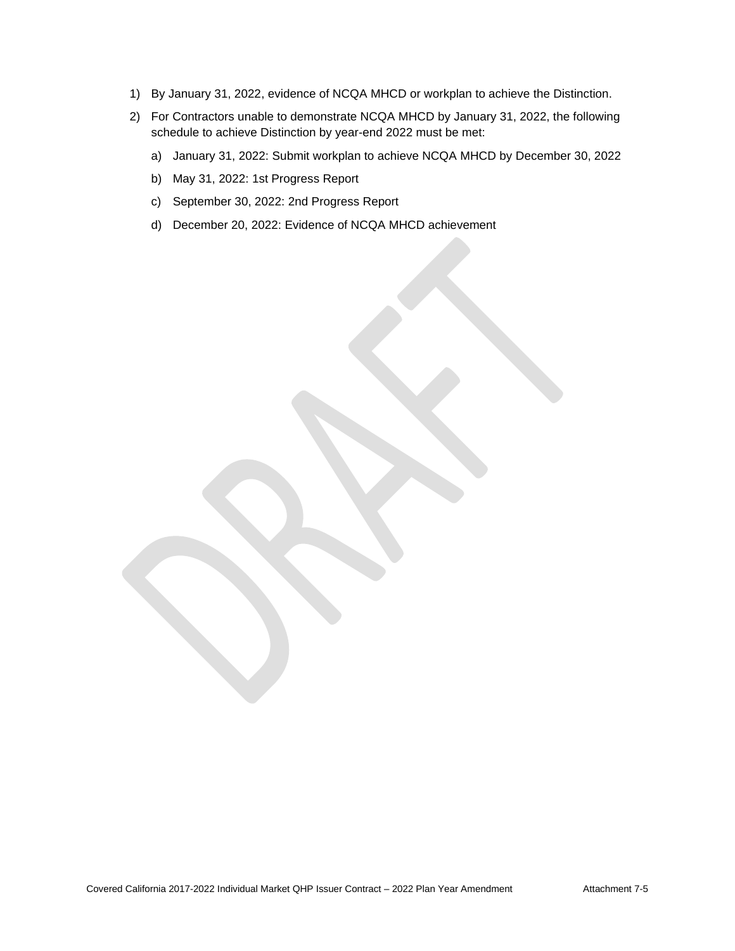- 1) By January 31, 2022, evidence of NCQA MHCD or workplan to achieve the Distinction.
- 2) For Contractors unable to demonstrate NCQA MHCD by January 31, 2022, the following schedule to achieve Distinction by year-end 2022 must be met:
	- a) January 31, 2022: Submit workplan to achieve NCQA MHCD by December 30, 2022
	- b) May 31, 2022: 1st Progress Report
	- c) September 30, 2022: 2nd Progress Report
	- d) December 20, 2022: Evidence of NCQA MHCD achievement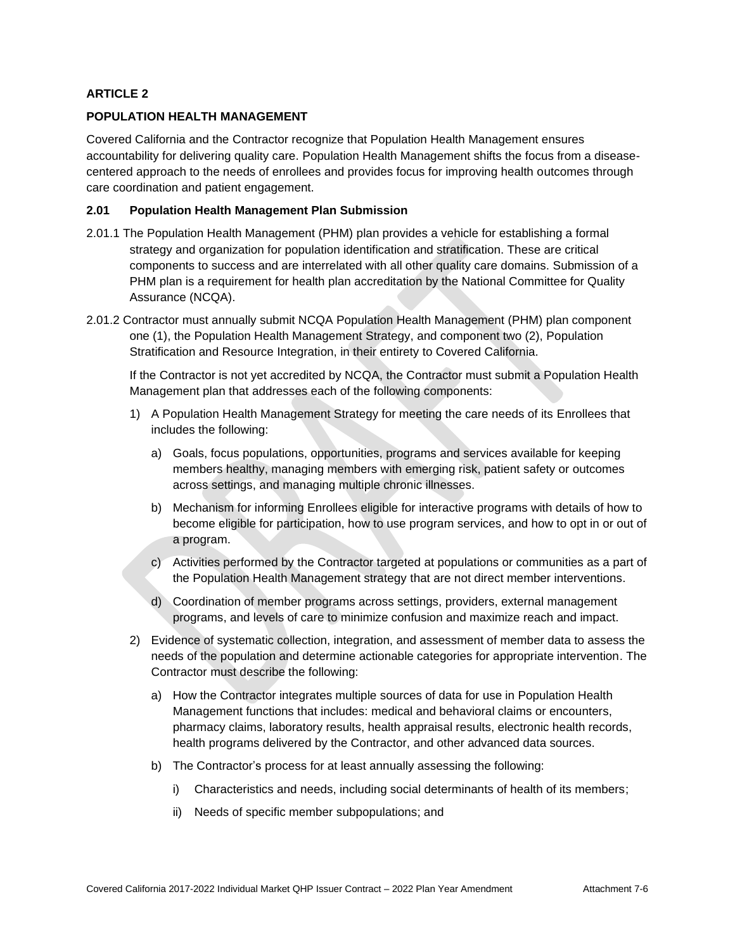## **POPULATION HEALTH MANAGEMENT**

Covered California and the Contractor recognize that Population Health Management ensures accountability for delivering quality care. Population Health Management shifts the focus from a diseasecentered approach to the needs of enrollees and provides focus for improving health outcomes through care coordination and patient engagement.

### **2.01 Population Health Management Plan Submission**

- 2.01.1 The Population Health Management (PHM) plan provides a vehicle for establishing a formal strategy and organization for population identification and stratification. These are critical components to success and are interrelated with all other quality care domains. Submission of a PHM plan is a requirement for health plan accreditation by the National Committee for Quality Assurance (NCQA).
- 2.01.2 Contractor must annually submit NCQA Population Health Management (PHM) plan component one (1), the Population Health Management Strategy, and component two (2), Population Stratification and Resource Integration, in their entirety to Covered California.

If the Contractor is not yet accredited by NCQA, the Contractor must submit a Population Health Management plan that addresses each of the following components:

- 1) A Population Health Management Strategy for meeting the care needs of its Enrollees that includes the following:
	- a) Goals, focus populations, opportunities, programs and services available for keeping members healthy, managing members with emerging risk, patient safety or outcomes across settings, and managing multiple chronic illnesses.
	- b) Mechanism for informing Enrollees eligible for interactive programs with details of how to become eligible for participation, how to use program services, and how to opt in or out of a program.
	- c) Activities performed by the Contractor targeted at populations or communities as a part of the Population Health Management strategy that are not direct member interventions.
	- d) Coordination of member programs across settings, providers, external management programs, and levels of care to minimize confusion and maximize reach and impact.
- 2) Evidence of systematic collection, integration, and assessment of member data to assess the needs of the population and determine actionable categories for appropriate intervention. The Contractor must describe the following:
	- a) How the Contractor integrates multiple sources of data for use in Population Health Management functions that includes: medical and behavioral claims or encounters, pharmacy claims, laboratory results, health appraisal results, electronic health records, health programs delivered by the Contractor, and other advanced data sources.
	- b) The Contractor's process for at least annually assessing the following:
		- i) Characteristics and needs, including social determinants of health of its members;
		- ii) Needs of specific member subpopulations; and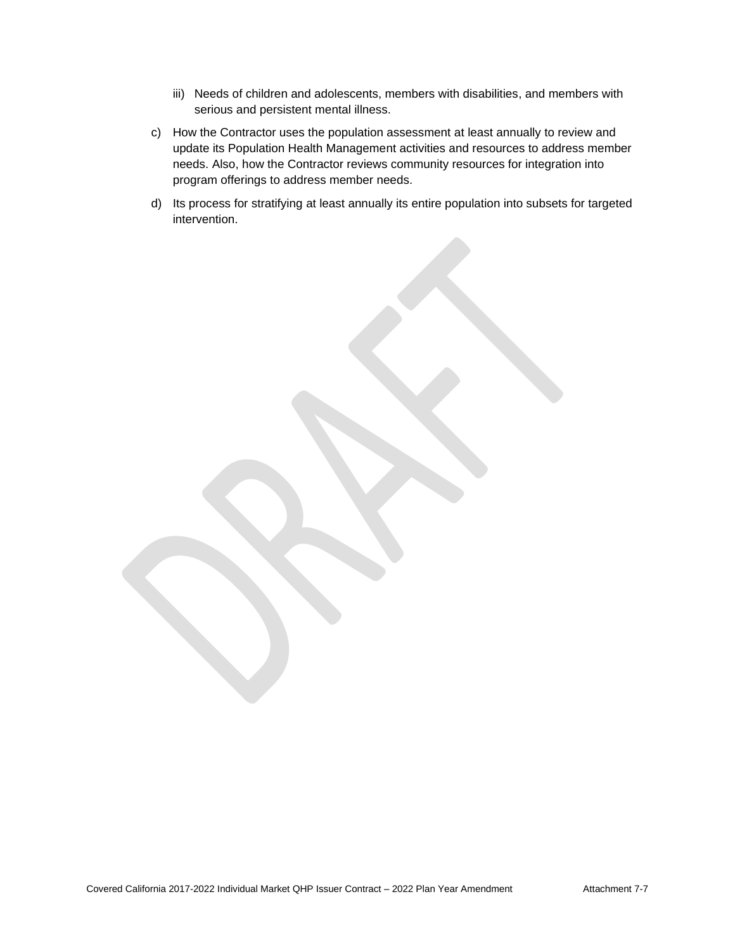- iii) Needs of children and adolescents, members with disabilities, and members with serious and persistent mental illness.
- c) How the Contractor uses the population assessment at least annually to review and update its Population Health Management activities and resources to address member needs. Also, how the Contractor reviews community resources for integration into program offerings to address member needs.
- d) Its process for stratifying at least annually its entire population into subsets for targeted intervention.

Covered California 2017-2022 Individual Market QHP Issuer Contract – 2022 Plan Year Amendment Mexicon Attachment 7-7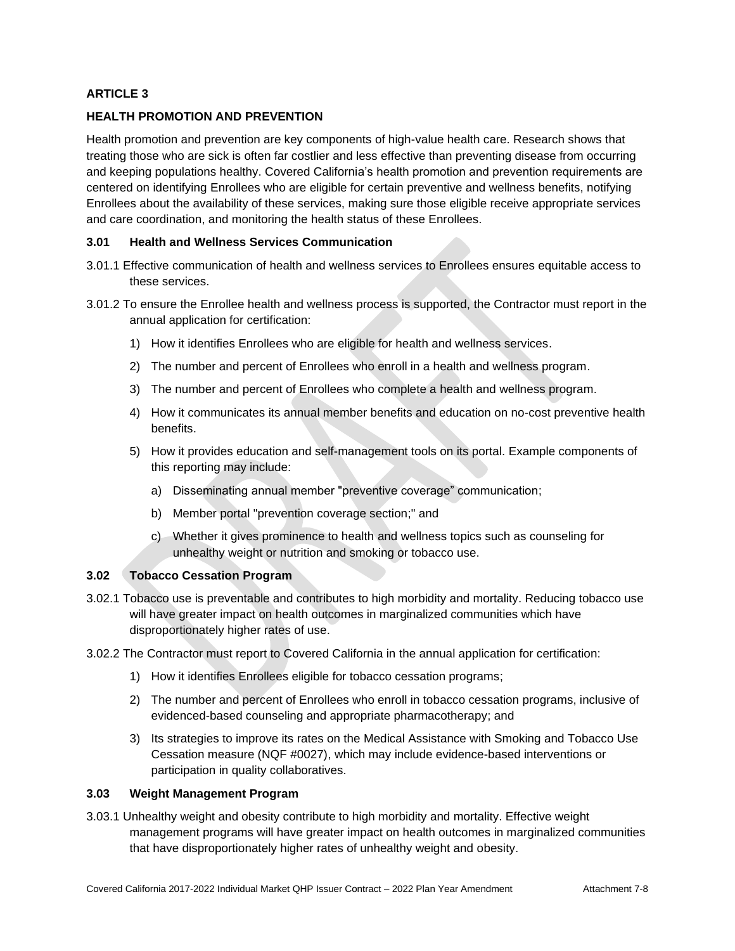# **HEALTH PROMOTION AND PREVENTION**

Health promotion and prevention are key components of high-value health care. Research shows that treating those who are sick is often far costlier and less effective than preventing disease from occurring and keeping populations healthy. Covered California's health promotion and prevention requirements are centered on identifying Enrollees who are eligible for certain preventive and wellness benefits, notifying Enrollees about the availability of these services, making sure those eligible receive appropriate services and care coordination, and monitoring the health status of these Enrollees.

### **3.01 Health and Wellness Services Communication**

- 3.01.1 Effective communication of health and wellness services to Enrollees ensures equitable access to these services.
- 3.01.2 To ensure the Enrollee health and wellness process is supported, the Contractor must report in the annual application for certification:
	- 1) How it identifies Enrollees who are eligible for health and wellness services.
	- 2) The number and percent of Enrollees who enroll in a health and wellness program.
	- 3) The number and percent of Enrollees who complete a health and wellness program.
	- 4) How it communicates its annual member benefits and education on no-cost preventive health benefits.
	- 5) How it provides education and self-management tools on its portal. Example components of this reporting may include:
		- a) Disseminating annual member "preventive coverage" communication;
		- b) Member portal "prevention coverage section;" and
		- c) Whether it gives prominence to health and wellness topics such as counseling for unhealthy weight or nutrition and smoking or tobacco use.

#### **3.02 Tobacco Cessation Program**

- 3.02.1 Tobacco use is preventable and contributes to high morbidity and mortality. Reducing tobacco use will have greater impact on health outcomes in marginalized communities which have disproportionately higher rates of use.
- 3.02.2 The Contractor must report to Covered California in the annual application for certification:
	- 1) How it identifies Enrollees eligible for tobacco cessation programs;
	- 2) The number and percent of Enrollees who enroll in tobacco cessation programs, inclusive of evidenced-based counseling and appropriate pharmacotherapy; and
	- 3) Its strategies to improve its rates on the Medical Assistance with Smoking and Tobacco Use Cessation measure (NQF #0027), which may include evidence-based interventions or participation in quality collaboratives.

## **3.03 Weight Management Program**

3.03.1 Unhealthy weight and obesity contribute to high morbidity and mortality. Effective weight management programs will have greater impact on health outcomes in marginalized communities that have disproportionately higher rates of unhealthy weight and obesity.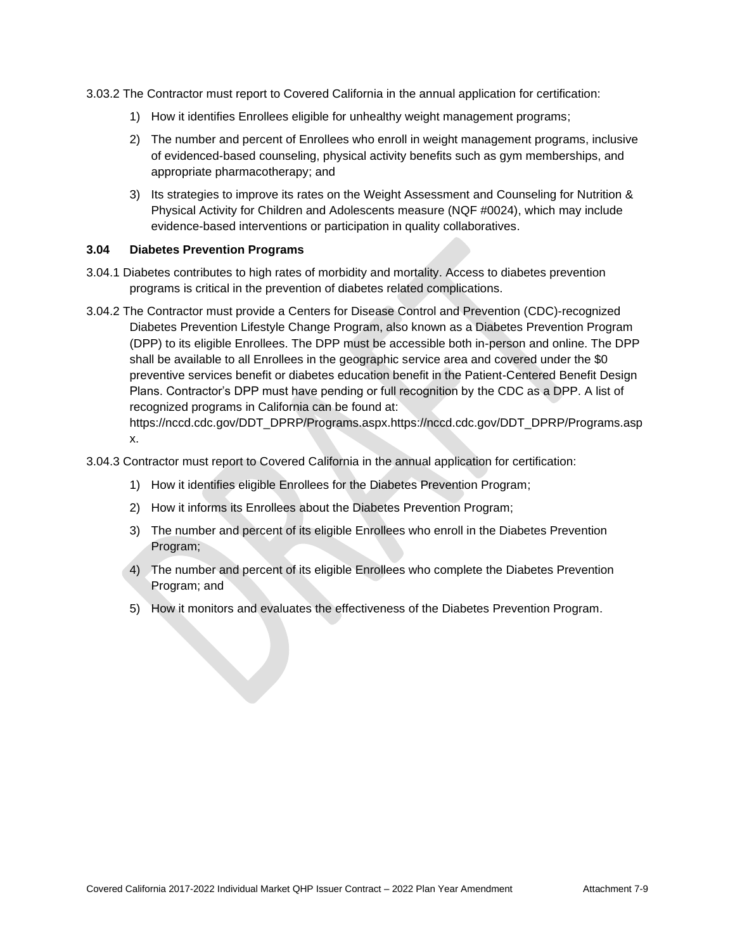3.03.2 The Contractor must report to Covered California in the annual application for certification:

- 1) How it identifies Enrollees eligible for unhealthy weight management programs;
- 2) The number and percent of Enrollees who enroll in weight management programs, inclusive of evidenced-based counseling, physical activity benefits such as gym memberships, and appropriate pharmacotherapy; and
- 3) Its strategies to improve its rates on the Weight Assessment and Counseling for Nutrition & Physical Activity for Children and Adolescents measure (NQF #0024), which may include evidence-based interventions or participation in quality collaboratives.

### **3.04 Diabetes Prevention Programs**

- 3.04.1 Diabetes contributes to high rates of morbidity and mortality. Access to diabetes prevention programs is critical in the prevention of diabetes related complications.
- 3.04.2 The Contractor must provide a Centers for Disease Control and Prevention (CDC)-recognized Diabetes Prevention Lifestyle Change Program, also known as a Diabetes Prevention Program (DPP) to its eligible Enrollees. The DPP must be accessible both in-person and online. The DPP shall be available to all Enrollees in the geographic service area and covered under the \$0 preventive services benefit or diabetes education benefit in the Patient-Centered Benefit Design Plans. Contractor's DPP must have pending or full recognition by the CDC as a DPP. A list of recognized programs in California can be found at: [https://nccd.cdc.gov/DDT\\_DPRP/Programs.aspx.https://nccd.cdc.gov/DDT\\_DPRP/Programs.asp](https://nccd.cdc.gov/DDT_DPRP/Programs.aspx.https:/nccd.cdc.gov/DDT_DPRP/Programs.aspx)

[x.](https://nccd.cdc.gov/DDT_DPRP/Programs.aspx.https:/nccd.cdc.gov/DDT_DPRP/Programs.aspx)

- 3.04.3 Contractor must report to Covered California in the annual application for certification:
	- 1) How it identifies eligible Enrollees for the Diabetes Prevention Program;
	- 2) How it informs its Enrollees about the Diabetes Prevention Program;
	- 3) The number and percent of its eligible Enrollees who enroll in the Diabetes Prevention Program;
	- 4) The number and percent of its eligible Enrollees who complete the Diabetes Prevention Program; and
	- 5) How it monitors and evaluates the effectiveness of the Diabetes Prevention Program.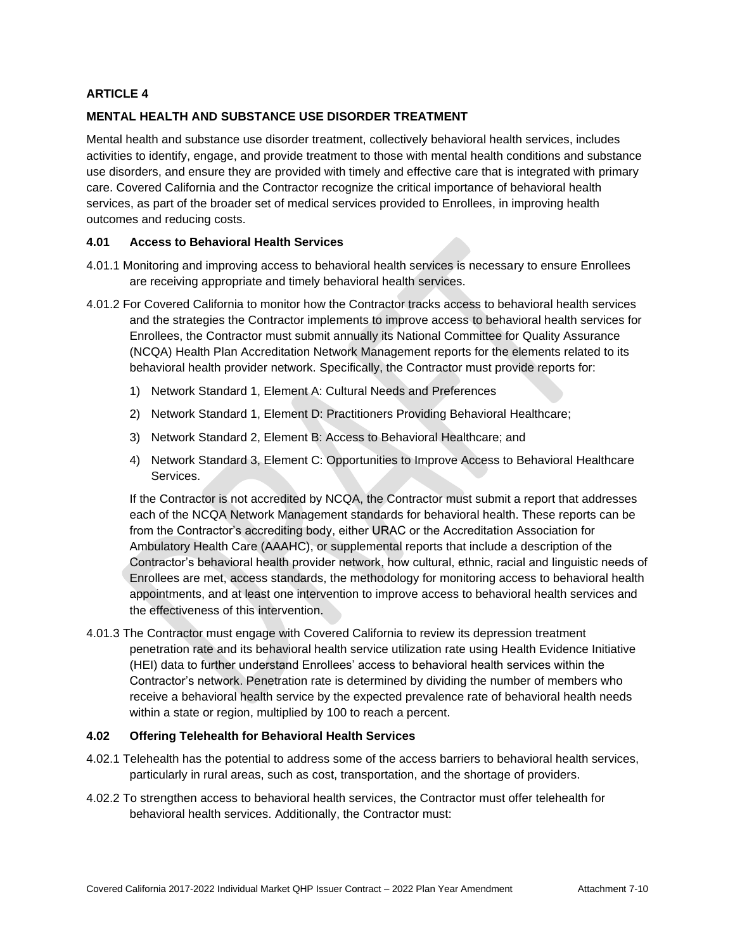## **MENTAL HEALTH AND SUBSTANCE USE DISORDER TREATMENT**

Mental health and substance use disorder treatment, collectively behavioral health services, includes activities to identify, engage, and provide treatment to those with mental health conditions and substance use disorders, and ensure they are provided with timely and effective care that is integrated with primary care. Covered California and the Contractor recognize the critical importance of behavioral health services, as part of the broader set of medical services provided to Enrollees, in improving health outcomes and reducing costs.

## **4.01 Access to Behavioral Health Services**

- 4.01.1 Monitoring and improving access to behavioral health services is necessary to ensure Enrollees are receiving appropriate and timely behavioral health services.
- 4.01.2 For Covered California to monitor how the Contractor tracks access to behavioral health services and the strategies the Contractor implements to improve access to behavioral health services for Enrollees, the Contractor must submit annually its National Committee for Quality Assurance (NCQA) Health Plan Accreditation Network Management reports for the elements related to its behavioral health provider network. Specifically, the Contractor must provide reports for:
	- 1) Network Standard 1, Element A: Cultural Needs and Preferences
	- 2) Network Standard 1, Element D: Practitioners Providing Behavioral Healthcare;
	- 3) Network Standard 2, Element B: Access to Behavioral Healthcare; and
	- 4) Network Standard 3, Element C: Opportunities to Improve Access to Behavioral Healthcare Services.

If the Contractor is not accredited by NCQA, the Contractor must submit a report that addresses each of the NCQA Network Management standards for behavioral health. These reports can be from the Contractor's accrediting body, either URAC or the Accreditation Association for Ambulatory Health Care (AAAHC), or supplemental reports that include a description of the Contractor's behavioral health provider network, how cultural, ethnic, racial and linguistic needs of Enrollees are met, access standards, the methodology for monitoring access to behavioral health appointments, and at least one intervention to improve access to behavioral health services and the effectiveness of this intervention.

4.01.3 The Contractor must engage with Covered California to review its depression treatment penetration rate and its behavioral health service utilization rate using Health Evidence Initiative (HEI) data to further understand Enrollees' access to behavioral health services within the Contractor's network. Penetration rate is determined by dividing the number of members who receive a behavioral health service by the expected prevalence rate of behavioral health needs within a state or region, multiplied by 100 to reach a percent.

#### **4.02 Offering Telehealth for Behavioral Health Services**

- 4.02.1 Telehealth has the potential to address some of the access barriers to behavioral health services, particularly in rural areas, such as cost, transportation, and the shortage of providers.
- 4.02.2 To strengthen access to behavioral health services, the Contractor must offer telehealth for behavioral health services. Additionally, the Contractor must: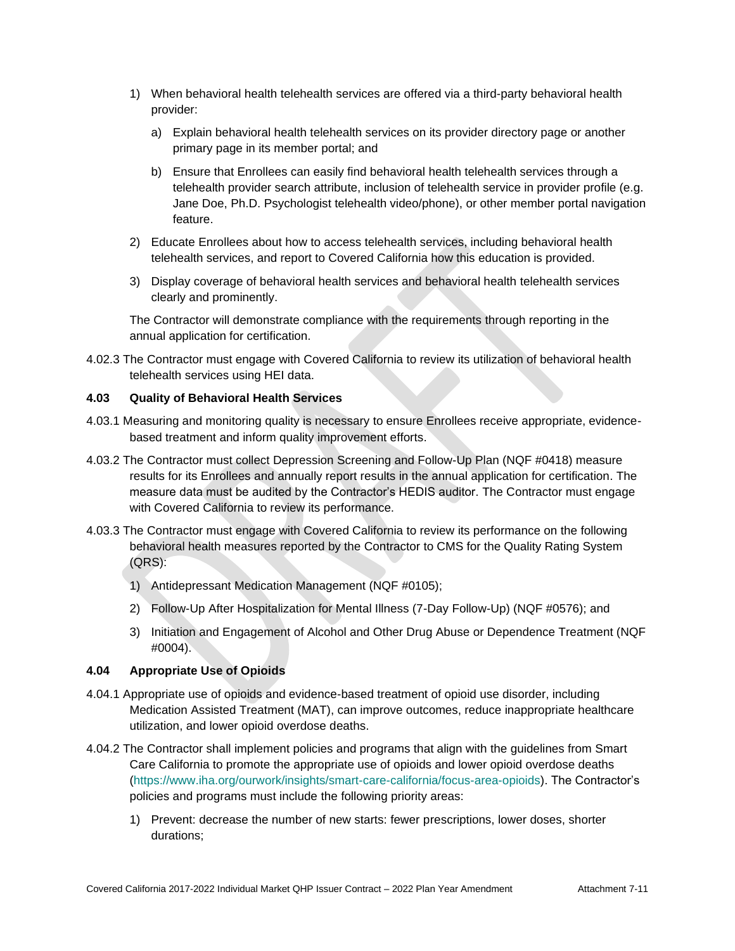- 1) When behavioral health telehealth services are offered via a third-party behavioral health provider:
	- a) Explain behavioral health telehealth services on its provider directory page or another primary page in its member portal; and
	- b) Ensure that Enrollees can easily find behavioral health telehealth services through a telehealth provider search attribute, inclusion of telehealth service in provider profile (e.g. Jane Doe, Ph.D. Psychologist telehealth video/phone), or other member portal navigation feature.
- 2) Educate Enrollees about how to access telehealth services, including behavioral health telehealth services, and report to Covered California how this education is provided.
- 3) Display coverage of behavioral health services and behavioral health telehealth services clearly and prominently.

The Contractor will demonstrate compliance with the requirements through reporting in the annual application for certification.

4.02.3 The Contractor must engage with Covered California to review its utilization of behavioral health telehealth services using HEI data.

## **4.03 Quality of Behavioral Health Services**

- 4.03.1 Measuring and monitoring quality is necessary to ensure Enrollees receive appropriate, evidencebased treatment and inform quality improvement efforts.
- 4.03.2 The Contractor must collect Depression Screening and Follow-Up Plan (NQF #0418) measure results for its Enrollees and annually report results in the annual application for certification. The measure data must be audited by the Contractor's HEDIS auditor. The Contractor must engage with Covered California to review its performance.
- 4.03.3 The Contractor must engage with Covered California to review its performance on the following behavioral health measures reported by the Contractor to CMS for the Quality Rating System (QRS):
	- 1) Antidepressant Medication Management (NQF #0105);
	- 2) Follow-Up After Hospitalization for Mental Illness (7-Day Follow-Up) (NQF #0576); and
	- 3) Initiation and Engagement of Alcohol and Other Drug Abuse or Dependence Treatment (NQF #0004).

## **4.04 Appropriate Use of Opioids**

- 4.04.1 Appropriate use of opioids and evidence-based treatment of opioid use disorder, including Medication Assisted Treatment (MAT), can improve outcomes, reduce inappropriate healthcare utilization, and lower opioid overdose deaths.
- 4.04.2 The Contractor shall implement policies and programs that align with the guidelines from Smart Care California to promote the appropriate use of opioids and lower opioid overdose deaths [\(https://www.iha.org/ourwork/insights/smart-care-california/focus-area-opioids\)](https://www.iha.org/ourwork/insights/smart-care-california/focus-area-opioids). The Contractor's policies and programs must include the following priority areas:
	- 1) Prevent: decrease the number of new starts: fewer prescriptions, lower doses, shorter durations;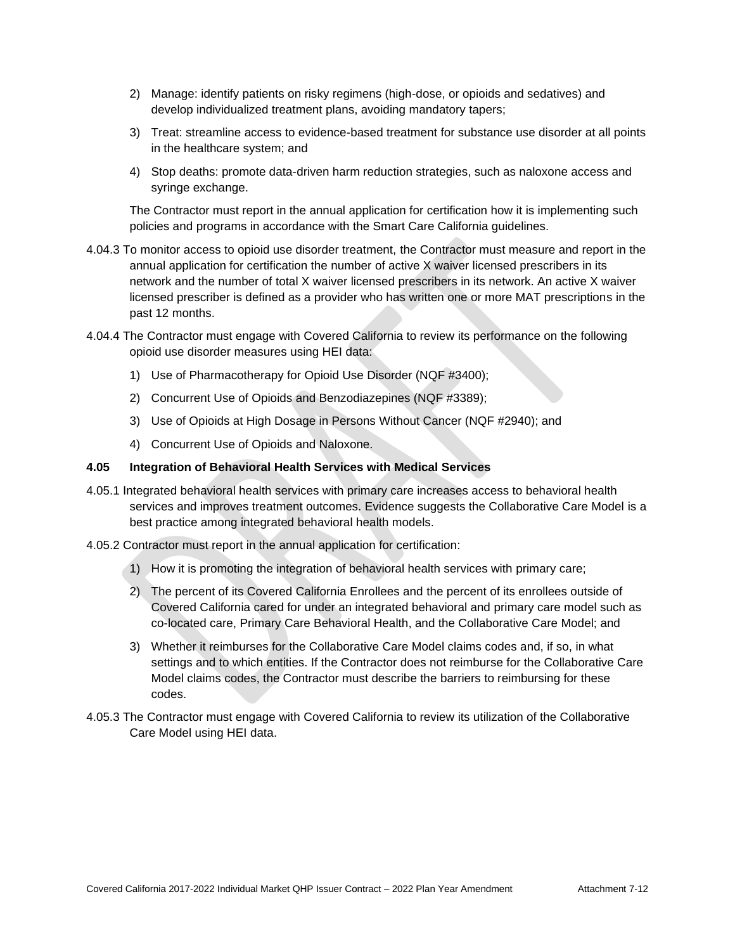- 2) Manage: identify patients on risky regimens (high-dose, or opioids and sedatives) and develop individualized treatment plans, avoiding mandatory tapers;
- 3) Treat: streamline access to evidence-based treatment for substance use disorder at all points in the healthcare system; and
- 4) Stop deaths: promote data-driven harm reduction strategies, such as naloxone access and syringe exchange.

The Contractor must report in the annual application for certification how it is implementing such policies and programs in accordance with the Smart Care California guidelines.

- 4.04.3 To monitor access to opioid use disorder treatment, the Contractor must measure and report in the annual application for certification the number of active X waiver licensed prescribers in its network and the number of total X waiver licensed prescribers in its network. An active X waiver licensed prescriber is defined as a provider who has written one or more MAT prescriptions in the past 12 months.
- 4.04.4 The Contractor must engage with Covered California to review its performance on the following opioid use disorder measures using HEI data:
	- 1) Use of Pharmacotherapy for Opioid Use Disorder (NQF #3400);
	- 2) Concurrent Use of Opioids and Benzodiazepines (NQF #3389);
	- 3) Use of Opioids at High Dosage in Persons Without Cancer (NQF #2940); and
	- 4) Concurrent Use of Opioids and Naloxone.

#### **4.05 Integration of Behavioral Health Services with Medical Services**

- 4.05.1 Integrated behavioral health services with primary care increases access to behavioral health services and improves treatment outcomes. Evidence suggests the Collaborative Care Model is a best practice among integrated behavioral health models.
- 4.05.2 Contractor must report in the annual application for certification:
	- 1) How it is promoting the integration of behavioral health services with primary care;
	- 2) The percent of its Covered California Enrollees and the percent of its enrollees outside of Covered California cared for under an integrated behavioral and primary care model such as co-located care, Primary Care Behavioral Health, and the Collaborative Care Model; and
	- 3) Whether it reimburses for the Collaborative Care Model claims codes and, if so, in what settings and to which entities. If the Contractor does not reimburse for the Collaborative Care Model claims codes, the Contractor must describe the barriers to reimbursing for these codes.
- 4.05.3 The Contractor must engage with Covered California to review its utilization of the Collaborative Care Model using HEI data.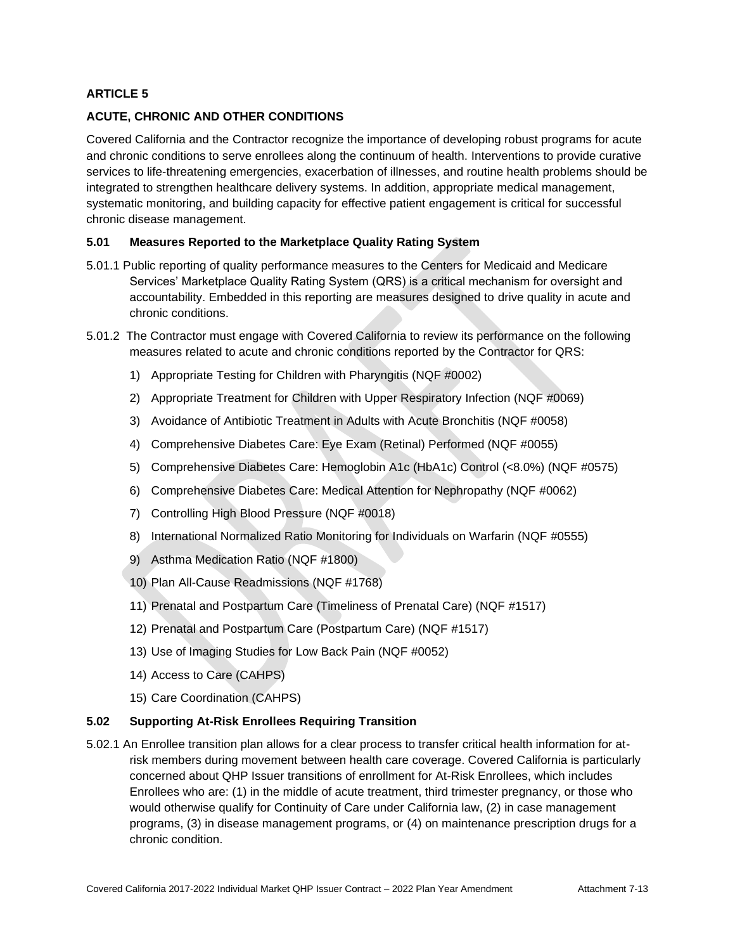## **ACUTE, CHRONIC AND OTHER CONDITIONS**

Covered California and the Contractor recognize the importance of developing robust programs for acute and chronic conditions to serve enrollees along the continuum of health. Interventions to provide curative services to life-threatening emergencies, exacerbation of illnesses, and routine health problems should be integrated to strengthen healthcare delivery systems. In addition, appropriate medical management, systematic monitoring, and building capacity for effective patient engagement is critical for successful chronic disease management.

## **5.01 Measures Reported to the Marketplace Quality Rating System**

- 5.01.1 Public reporting of quality performance measures to the Centers for Medicaid and Medicare Services' Marketplace Quality Rating System (QRS) is a critical mechanism for oversight and accountability. Embedded in this reporting are measures designed to drive quality in acute and chronic conditions.
- 5.01.2 The Contractor must engage with Covered California to review its performance on the following measures related to acute and chronic conditions reported by the Contractor for QRS:
	- 1) Appropriate Testing for Children with Pharyngitis (NQF #0002)
	- 2) Appropriate Treatment for Children with Upper Respiratory Infection (NQF #0069)
	- 3) Avoidance of Antibiotic Treatment in Adults with Acute Bronchitis (NQF #0058)
	- 4) Comprehensive Diabetes Care: Eye Exam (Retinal) Performed (NQF #0055)
	- 5) Comprehensive Diabetes Care: Hemoglobin A1c (HbA1c) Control (<8.0%) (NQF #0575)
	- 6) Comprehensive Diabetes Care: Medical Attention for Nephropathy (NQF #0062)
	- 7) Controlling High Blood Pressure (NQF #0018)
	- 8) International Normalized Ratio Monitoring for Individuals on Warfarin (NQF #0555)
	- 9) Asthma Medication Ratio (NQF #1800)
	- 10) Plan All-Cause Readmissions (NQF #1768)
	- 11) Prenatal and Postpartum Care (Timeliness of Prenatal Care) (NQF #1517)
	- 12) Prenatal and Postpartum Care (Postpartum Care) (NQF #1517)
	- 13) Use of Imaging Studies for Low Back Pain (NQF #0052)
	- 14) Access to Care (CAHPS)
	- 15) Care Coordination (CAHPS)

## **5.02 Supporting At-Risk Enrollees Requiring Transition**

5.02.1 An Enrollee transition plan allows for a clear process to transfer critical health information for atrisk members during movement between health care coverage. Covered California is particularly concerned about QHP Issuer transitions of enrollment for At-Risk Enrollees, which includes Enrollees who are: (1) in the middle of acute treatment, third trimester pregnancy, or those who would otherwise qualify for Continuity of Care under California law, (2) in case management programs, (3) in disease management programs, or (4) on maintenance prescription drugs for a chronic condition.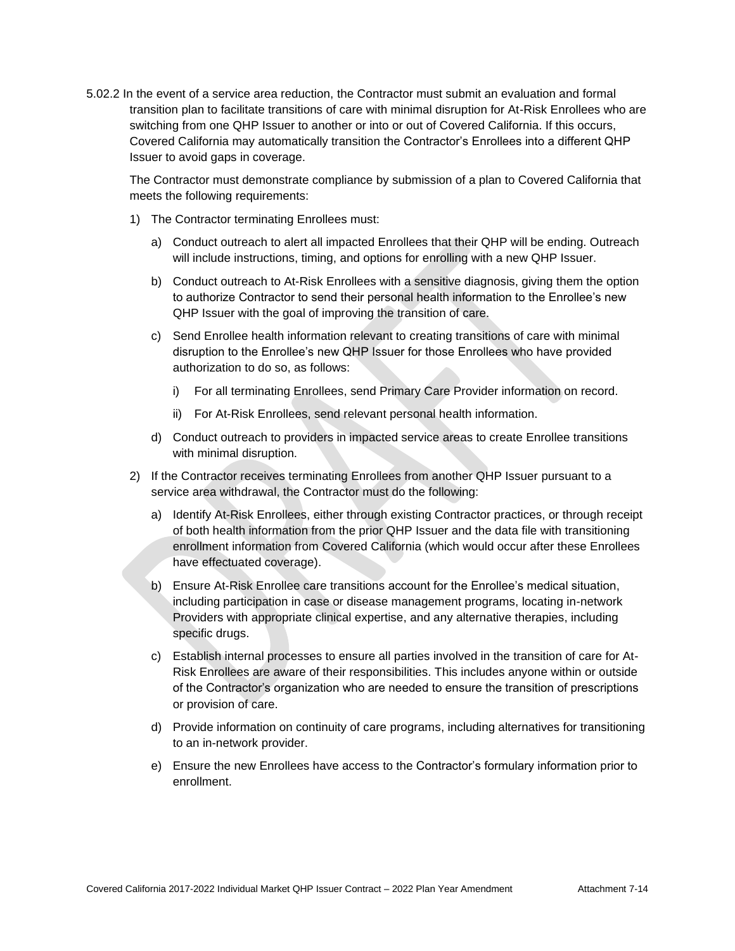5.02.2 In the event of a service area reduction, the Contractor must submit an evaluation and formal transition plan to facilitate transitions of care with minimal disruption for At-Risk Enrollees who are switching from one QHP Issuer to another or into or out of Covered California. If this occurs, Covered California may automatically transition the Contractor's Enrollees into a different QHP Issuer to avoid gaps in coverage.

The Contractor must demonstrate compliance by submission of a plan to Covered California that meets the following requirements:

- 1) The Contractor terminating Enrollees must:
	- a) Conduct outreach to alert all impacted Enrollees that their QHP will be ending. Outreach will include instructions, timing, and options for enrolling with a new QHP Issuer.
	- b) Conduct outreach to At-Risk Enrollees with a sensitive diagnosis, giving them the option to authorize Contractor to send their personal health information to the Enrollee's new QHP Issuer with the goal of improving the transition of care.
	- c) Send Enrollee health information relevant to creating transitions of care with minimal disruption to the Enrollee's new QHP Issuer for those Enrollees who have provided authorization to do so, as follows:
		- i) For all terminating Enrollees, send Primary Care Provider information on record.
		- ii) For At-Risk Enrollees, send relevant personal health information.
	- d) Conduct outreach to providers in impacted service areas to create Enrollee transitions with minimal disruption.
- 2) If the Contractor receives terminating Enrollees from another QHP Issuer pursuant to a service area withdrawal, the Contractor must do the following:
	- a) Identify At-Risk Enrollees, either through existing Contractor practices, or through receipt of both health information from the prior QHP Issuer and the data file with transitioning enrollment information from Covered California (which would occur after these Enrollees have effectuated coverage).
	- b) Ensure At-Risk Enrollee care transitions account for the Enrollee's medical situation, including participation in case or disease management programs, locating in-network Providers with appropriate clinical expertise, and any alternative therapies, including specific drugs.
	- c) Establish internal processes to ensure all parties involved in the transition of care for At-Risk Enrollees are aware of their responsibilities. This includes anyone within or outside of the Contractor's organization who are needed to ensure the transition of prescriptions or provision of care.
	- d) Provide information on continuity of care programs, including alternatives for transitioning to an in-network provider.
	- e) Ensure the new Enrollees have access to the Contractor's formulary information prior to enrollment.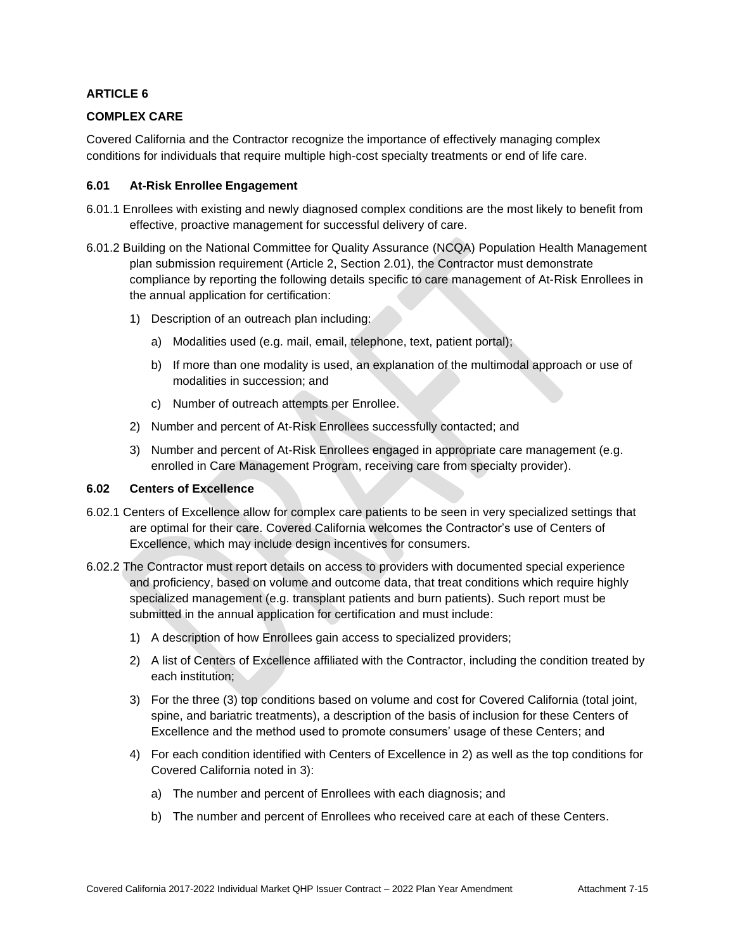## **COMPLEX CARE**

Covered California and the Contractor recognize the importance of effectively managing complex conditions for individuals that require multiple high-cost specialty treatments or end of life care.

## **6.01 At-Risk Enrollee Engagement**

- 6.01.1 Enrollees with existing and newly diagnosed complex conditions are the most likely to benefit from effective, proactive management for successful delivery of care.
- 6.01.2 Building on the National Committee for Quality Assurance (NCQA) Population Health Management plan submission requirement (Article 2, Section 2.01), the Contractor must demonstrate compliance by reporting the following details specific to care management of At-Risk Enrollees in the annual application for certification:
	- 1) Description of an outreach plan including:
		- a) Modalities used (e.g. mail, email, telephone, text, patient portal);
		- b) If more than one modality is used, an explanation of the multimodal approach or use of modalities in succession; and
		- c) Number of outreach attempts per Enrollee.
	- 2) Number and percent of At-Risk Enrollees successfully contacted; and
	- 3) Number and percent of At-Risk Enrollees engaged in appropriate care management (e.g. enrolled in Care Management Program, receiving care from specialty provider).

## **6.02 Centers of Excellence**

- 6.02.1 Centers of Excellence allow for complex care patients to be seen in very specialized settings that are optimal for their care. Covered California welcomes the Contractor's use of Centers of Excellence, which may include design incentives for consumers.
- 6.02.2 The Contractor must report details on access to providers with documented special experience and proficiency, based on volume and outcome data, that treat conditions which require highly specialized management (e.g. transplant patients and burn patients). Such report must be submitted in the annual application for certification and must include:
	- 1) A description of how Enrollees gain access to specialized providers;
	- 2) A list of Centers of Excellence affiliated with the Contractor, including the condition treated by each institution;
	- 3) For the three (3) top conditions based on volume and cost for Covered California (total joint, spine, and bariatric treatments), a description of the basis of inclusion for these Centers of Excellence and the method used to promote consumers' usage of these Centers; and
	- 4) For each condition identified with Centers of Excellence in 2) as well as the top conditions for Covered California noted in 3):
		- a) The number and percent of Enrollees with each diagnosis; and
		- b) The number and percent of Enrollees who received care at each of these Centers.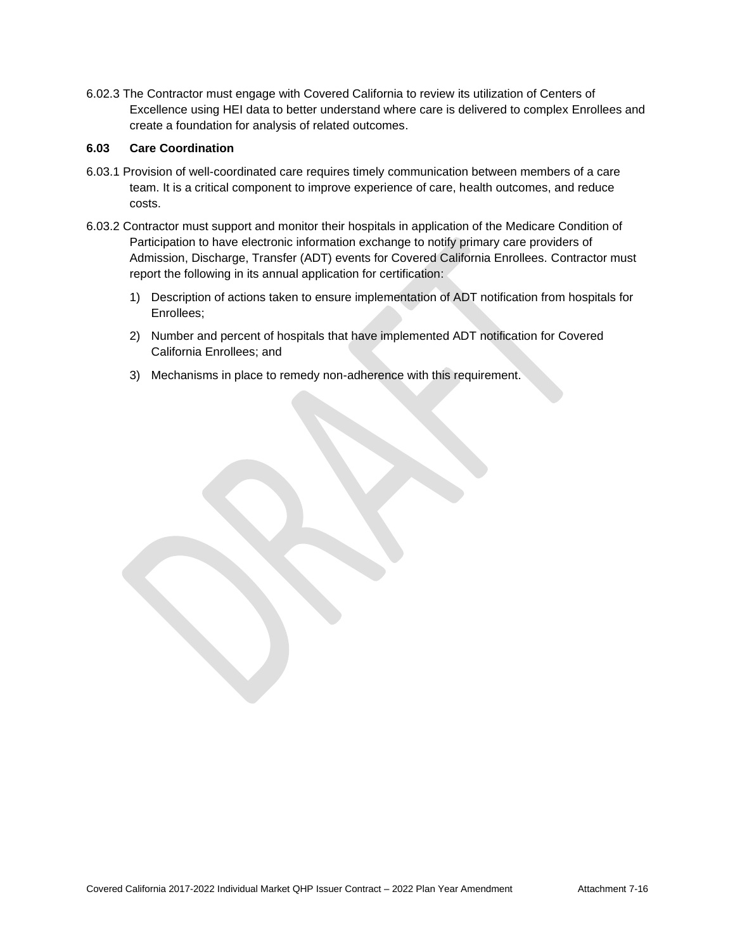6.02.3 The Contractor must engage with Covered California to review its utilization of Centers of Excellence using HEI data to better understand where care is delivered to complex Enrollees and create a foundation for analysis of related outcomes.

## **6.03 Care Coordination**

- 6.03.1 Provision of well-coordinated care requires timely communication between members of a care team. It is a critical component to improve experience of care, health outcomes, and reduce costs.
- 6.03.2 Contractor must support and monitor their hospitals in application of the Medicare Condition of Participation to have electronic information exchange to notify primary care providers of Admission, Discharge, Transfer (ADT) events for Covered California Enrollees. Contractor must report the following in its annual application for certification:
	- 1) Description of actions taken to ensure implementation of ADT notification from hospitals for Enrollees;
	- 2) Number and percent of hospitals that have implemented ADT notification for Covered California Enrollees; and
	- 3) Mechanisms in place to remedy non-adherence with this requirement.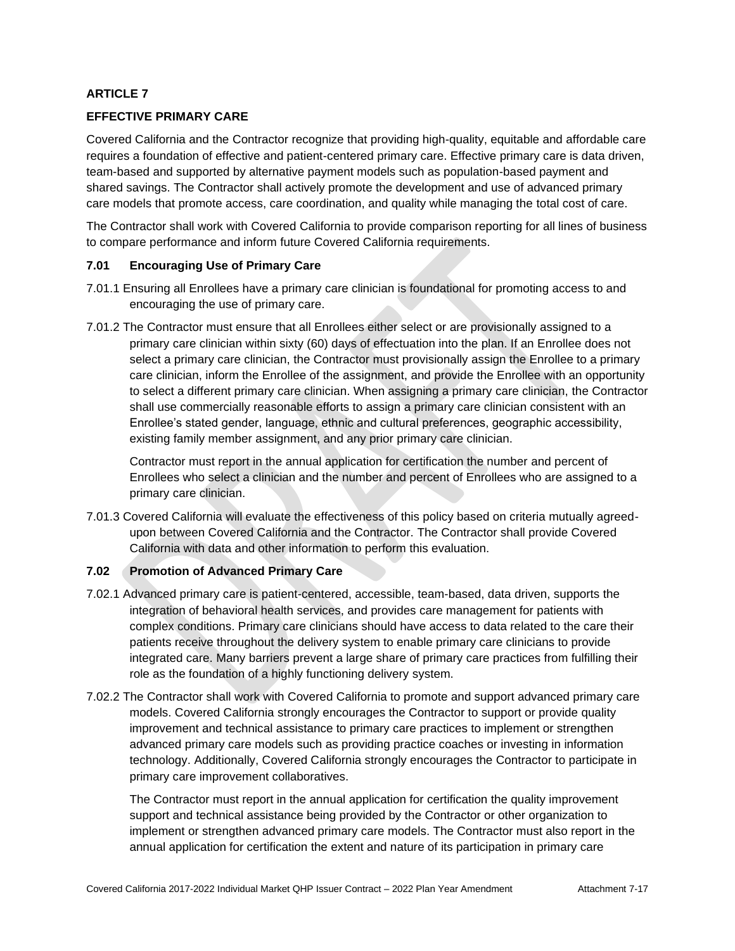## **EFFECTIVE PRIMARY CARE**

Covered California and the Contractor recognize that providing high-quality, equitable and affordable care requires a foundation of effective and patient-centered primary care. Effective primary care is data driven, team-based and supported by alternative payment models such as population-based payment and shared savings. The Contractor shall actively promote the development and use of advanced primary care models that promote access, care coordination, and quality while managing the total cost of care.

The Contractor shall work with Covered California to provide comparison reporting for all lines of business to compare performance and inform future Covered California requirements.

## **7.01 Encouraging Use of Primary Care**

- 7.01.1 Ensuring all Enrollees have a primary care clinician is foundational for promoting access to and encouraging the use of primary care.
- 7.01.2 The Contractor must ensure that all Enrollees either select or are provisionally assigned to a primary care clinician within sixty (60) days of effectuation into the plan. If an Enrollee does not select a primary care clinician, the Contractor must provisionally assign the Enrollee to a primary care clinician, inform the Enrollee of the assignment, and provide the Enrollee with an opportunity to select a different primary care clinician. When assigning a primary care clinician, the Contractor shall use commercially reasonable efforts to assign a primary care clinician consistent with an Enrollee's stated gender, language, ethnic and cultural preferences, geographic accessibility, existing family member assignment, and any prior primary care clinician.

Contractor must report in the annual application for certification the number and percent of Enrollees who select a clinician and the number and percent of Enrollees who are assigned to a primary care clinician.

7.01.3 Covered California will evaluate the effectiveness of this policy based on criteria mutually agreedupon between Covered California and the Contractor. The Contractor shall provide Covered California with data and other information to perform this evaluation.

# **7.02 Promotion of Advanced Primary Care**

- 7.02.1 Advanced primary care is patient-centered, accessible, team-based, data driven, supports the integration of behavioral health services, and provides care management for patients with complex conditions. Primary care clinicians should have access to data related to the care their patients receive throughout the delivery system to enable primary care clinicians to provide integrated care. Many barriers prevent a large share of primary care practices from fulfilling their role as the foundation of a highly functioning delivery system.
- 7.02.2 The Contractor shall work with Covered California to promote and support advanced primary care models. Covered California strongly encourages the Contractor to support or provide quality improvement and technical assistance to primary care practices to implement or strengthen advanced primary care models such as providing practice coaches or investing in information technology. Additionally, Covered California strongly encourages the Contractor to participate in primary care improvement collaboratives.

The Contractor must report in the annual application for certification the quality improvement support and technical assistance being provided by the Contractor or other organization to implement or strengthen advanced primary care models. The Contractor must also report in the annual application for certification the extent and nature of its participation in primary care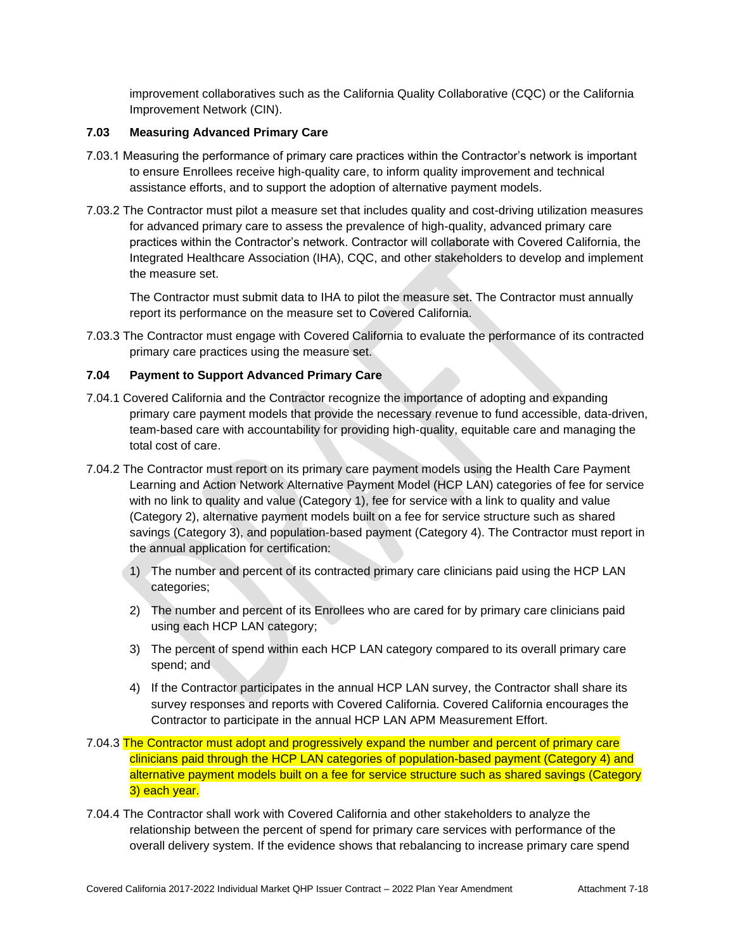improvement collaboratives such as the California Quality Collaborative (CQC) or the California Improvement Network (CIN).

## **7.03 Measuring Advanced Primary Care**

- 7.03.1 Measuring the performance of primary care practices within the Contractor's network is important to ensure Enrollees receive high-quality care, to inform quality improvement and technical assistance efforts, and to support the adoption of alternative payment models.
- 7.03.2 The Contractor must pilot a measure set that includes quality and cost-driving utilization measures for advanced primary care to assess the prevalence of high-quality, advanced primary care practices within the Contractor's network. Contractor will collaborate with Covered California, the Integrated Healthcare Association (IHA), CQC, and other stakeholders to develop and implement the measure set.

The Contractor must submit data to IHA to pilot the measure set. The Contractor must annually report its performance on the measure set to Covered California.

7.03.3 The Contractor must engage with Covered California to evaluate the performance of its contracted primary care practices using the measure set.

## **7.04 Payment to Support Advanced Primary Care**

- 7.04.1 Covered California and the Contractor recognize the importance of adopting and expanding primary care payment models that provide the necessary revenue to fund accessible, data-driven, team-based care with accountability for providing high-quality, equitable care and managing the total cost of care.
- 7.04.2 The Contractor must report on its primary care payment models using the Health Care Payment Learning and Action Network Alternative Payment Model (HCP LAN) categories of fee for service with no link to quality and value (Category 1), fee for service with a link to quality and value (Category 2), alternative payment models built on a fee for service structure such as shared savings (Category 3), and population-based payment (Category 4). The Contractor must report in the annual application for certification:
	- 1) The number and percent of its contracted primary care clinicians paid using the HCP LAN categories;
	- 2) The number and percent of its Enrollees who are cared for by primary care clinicians paid using each HCP LAN category;
	- 3) The percent of spend within each HCP LAN category compared to its overall primary care spend; and
	- 4) If the Contractor participates in the annual HCP LAN survey, the Contractor shall share its survey responses and reports with Covered California. Covered California encourages the Contractor to participate in the annual HCP LAN APM Measurement Effort.
- 7.04.3 The Contractor must adopt and progressively expand the number and percent of primary care clinicians paid through the HCP LAN categories of population-based payment (Category 4) and alternative payment models built on a fee for service structure such as shared savings (Category 3) each year.
- 7.04.4 The Contractor shall work with Covered California and other stakeholders to analyze the relationship between the percent of spend for primary care services with performance of the overall delivery system. If the evidence shows that rebalancing to increase primary care spend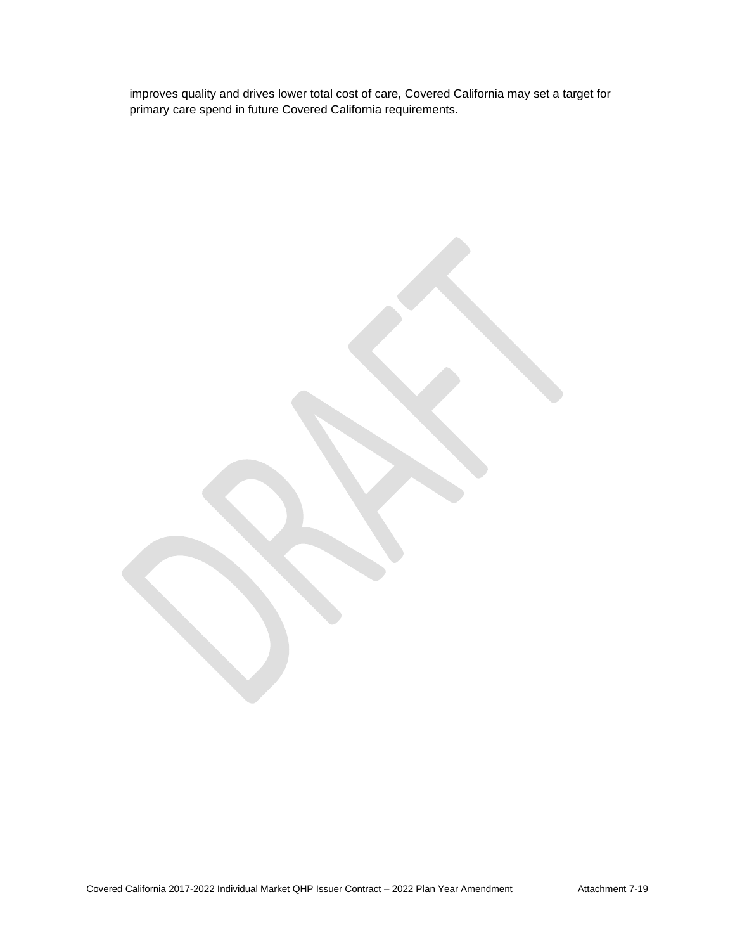improves quality and drives lower total cost of care, Covered California may set a target for primary care spend in future Covered California requirements.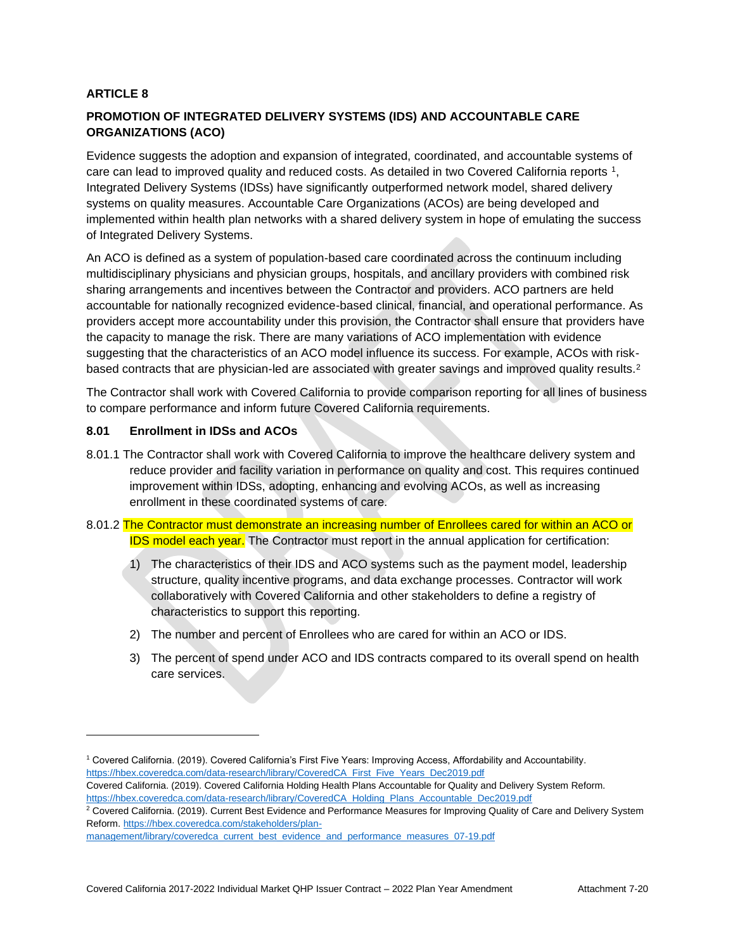# **PROMOTION OF INTEGRATED DELIVERY SYSTEMS (IDS) AND ACCOUNTABLE CARE ORGANIZATIONS (ACO)**

Evidence suggests the adoption and expansion of integrated, coordinated, and accountable systems of care can lead to improved quality and reduced costs. As detailed in two Covered California reports 1, Integrated Delivery Systems (IDSs) have significantly outperformed network model, shared delivery systems on quality measures. Accountable Care Organizations (ACOs) are being developed and implemented within health plan networks with a shared delivery system in hope of emulating the success of Integrated Delivery Systems.

An ACO is defined as a system of population-based care coordinated across the continuum including multidisciplinary physicians and physician groups, hospitals, and ancillary providers with combined risk sharing arrangements and incentives between the Contractor and providers. ACO partners are held accountable for nationally recognized evidence-based clinical, financial, and operational performance. As providers accept more accountability under this provision, the Contractor shall ensure that providers have the capacity to manage the risk. There are many variations of ACO implementation with evidence suggesting that the characteristics of an ACO model influence its success. For example, ACOs with riskbased contracts that are physician-led are associated with greater savings and improved quality results.<sup>2</sup>

The Contractor shall work with Covered California to provide comparison reporting for all lines of business to compare performance and inform future Covered California requirements.

## **8.01 Enrollment in IDSs and ACOs**

- 8.01.1 The Contractor shall work with Covered California to improve the healthcare delivery system and reduce provider and facility variation in performance on quality and cost. This requires continued improvement within IDSs, adopting, enhancing and evolving ACOs, as well as increasing enrollment in these coordinated systems of care.
- 8.01.2 The Contractor must demonstrate an increasing number of Enrollees cared for within an ACO or **IDS model each year.** The Contractor must report in the annual application for certification:
	- 1) The characteristics of their IDS and ACO systems such as the payment model, leadership structure, quality incentive programs, and data exchange processes. Contractor will work collaboratively with Covered California and other stakeholders to define a registry of characteristics to support this reporting.
	- 2) The number and percent of Enrollees who are cared for within an ACO or IDS.
	- 3) The percent of spend under ACO and IDS contracts compared to its overall spend on health care services.

<sup>2</sup> Covered California. (2019). Current Best Evidence and Performance Measures for Improving Quality of Care and Delivery System Reform[. https://hbex.coveredca.com/stakeholders/plan-](https://hbex.coveredca.com/stakeholders/plan-management/library/coveredca_current_best_evidence_and_performance_measures_07-19.pdf)

<sup>1</sup> Covered California. (2019). Covered California's First Five Years: Improving Access, Affordability and Accountability. [https://hbex.coveredca.com/data-research/library/CoveredCA\\_First\\_Five\\_Years\\_Dec2019.pdf](https://hbex.coveredca.com/data-research/library/CoveredCA_First_Five_Years_Dec2019.pdf)

Covered California. (2019). Covered California Holding Health Plans Accountable for Quality and Delivery System Reform. [https://hbex.coveredca.com/data-research/library/CoveredCA\\_Holding\\_Plans\\_Accountable\\_Dec2019.pdf](https://hbex.coveredca.com/data-research/library/CoveredCA_Holding_Plans_Accountable_Dec2019.pdf)

[management/library/coveredca\\_current\\_best\\_evidence\\_and\\_performance\\_measures\\_07-19.pdf](https://hbex.coveredca.com/stakeholders/plan-management/library/coveredca_current_best_evidence_and_performance_measures_07-19.pdf)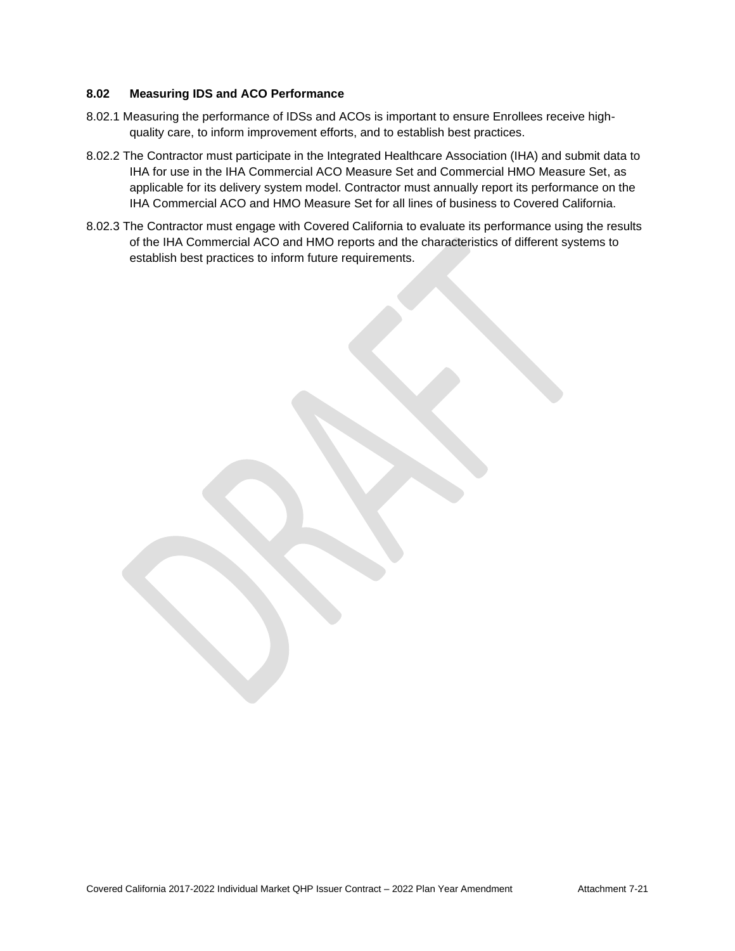## **8.02 Measuring IDS and ACO Performance**

- 8.02.1 Measuring the performance of IDSs and ACOs is important to ensure Enrollees receive highquality care, to inform improvement efforts, and to establish best practices.
- 8.02.2 The Contractor must participate in the Integrated Healthcare Association (IHA) and submit data to IHA for use in the IHA Commercial ACO Measure Set and Commercial HMO Measure Set, as applicable for its delivery system model. Contractor must annually report its performance on the IHA Commercial ACO and HMO Measure Set for all lines of business to Covered California.
- 8.02.3 The Contractor must engage with Covered California to evaluate its performance using the results of the IHA Commercial ACO and HMO reports and the characteristics of different systems to establish best practices to inform future requirements.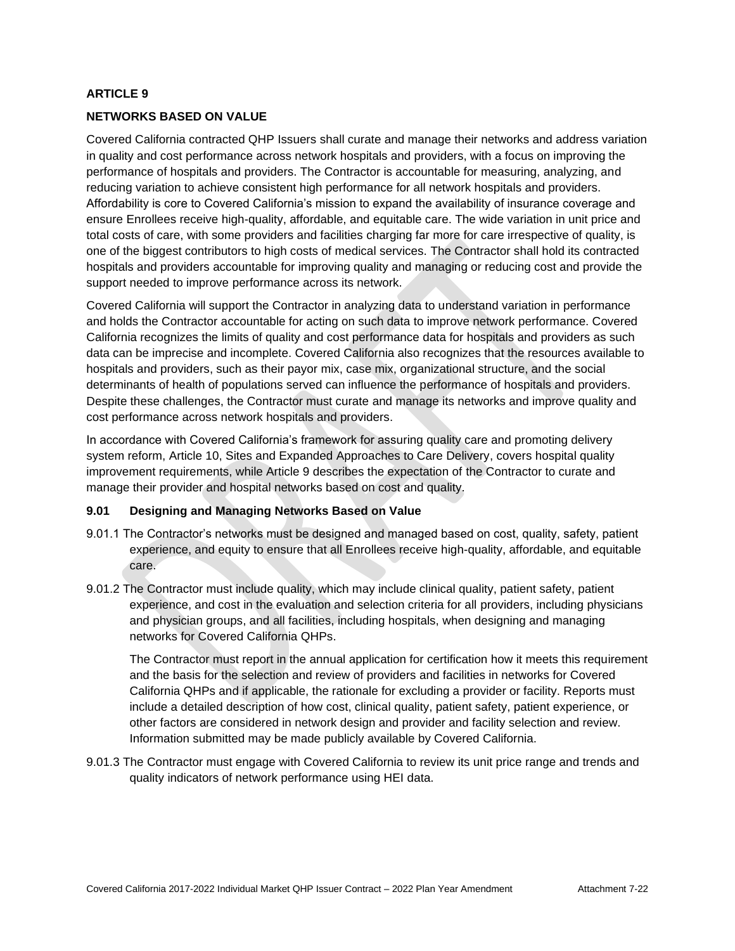### **NETWORKS BASED ON VALUE**

Covered California contracted QHP Issuers shall curate and manage their networks and address variation in quality and cost performance across network hospitals and providers, with a focus on improving the performance of hospitals and providers. The Contractor is accountable for measuring, analyzing, and reducing variation to achieve consistent high performance for all network hospitals and providers. Affordability is core to Covered California's mission to expand the availability of insurance coverage and ensure Enrollees receive high-quality, affordable, and equitable care. The wide variation in unit price and total costs of care, with some providers and facilities charging far more for care irrespective of quality, is one of the biggest contributors to high costs of medical services. The Contractor shall hold its contracted hospitals and providers accountable for improving quality and managing or reducing cost and provide the support needed to improve performance across its network.

Covered California will support the Contractor in analyzing data to understand variation in performance and holds the Contractor accountable for acting on such data to improve network performance. Covered California recognizes the limits of quality and cost performance data for hospitals and providers as such data can be imprecise and incomplete. Covered California also recognizes that the resources available to hospitals and providers, such as their payor mix, case mix, organizational structure, and the social determinants of health of populations served can influence the performance of hospitals and providers. Despite these challenges, the Contractor must curate and manage its networks and improve quality and cost performance across network hospitals and providers.

In accordance with Covered California's framework for assuring quality care and promoting delivery system reform, Article 10, Sites and Expanded Approaches to Care Delivery, covers hospital quality improvement requirements, while Article 9 describes the expectation of the Contractor to curate and manage their provider and hospital networks based on cost and quality.

#### **9.01 Designing and Managing Networks Based on Value**

- 9.01.1 The Contractor's networks must be designed and managed based on cost, quality, safety, patient experience, and equity to ensure that all Enrollees receive high-quality, affordable, and equitable care.
- 9.01.2 The Contractor must include quality, which may include clinical quality, patient safety, patient experience, and cost in the evaluation and selection criteria for all providers, including physicians and physician groups, and all facilities, including hospitals, when designing and managing networks for Covered California QHPs.

The Contractor must report in the annual application for certification how it meets this requirement and the basis for the selection and review of providers and facilities in networks for Covered California QHPs and if applicable, the rationale for excluding a provider or facility. Reports must include a detailed description of how cost, clinical quality, patient safety, patient experience, or other factors are considered in network design and provider and facility selection and review. Information submitted may be made publicly available by Covered California.

9.01.3 The Contractor must engage with Covered California to review its unit price range and trends and quality indicators of network performance using HEI data.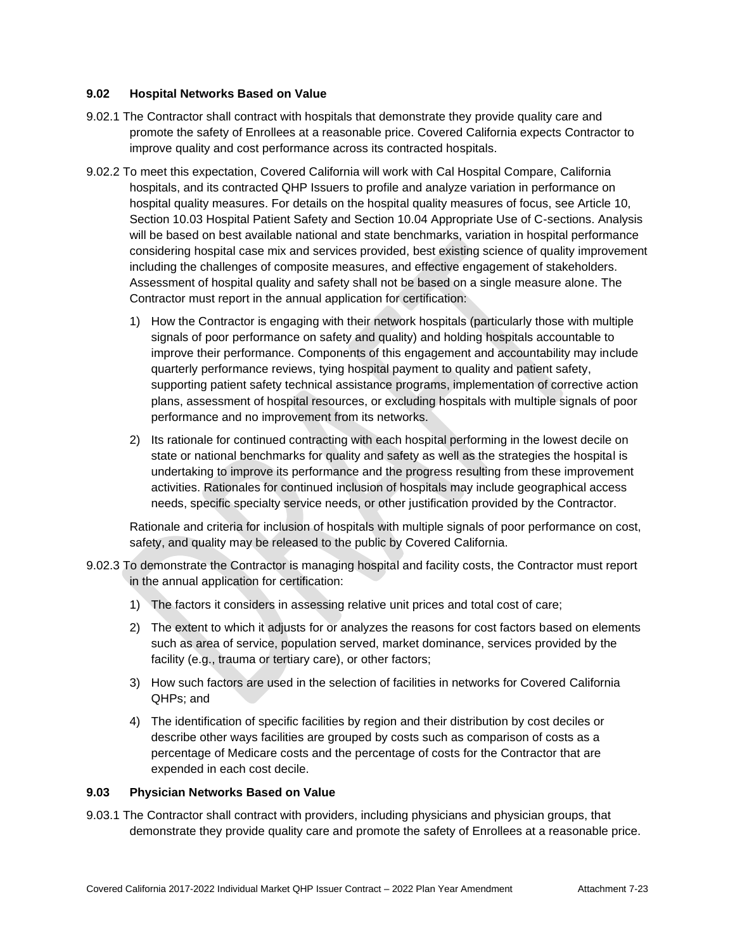### **9.02 Hospital Networks Based on Value**

- 9.02.1 The Contractor shall contract with hospitals that demonstrate they provide quality care and promote the safety of Enrollees at a reasonable price. Covered California expects Contractor to improve quality and cost performance across its contracted hospitals.
- 9.02.2 To meet this expectation, Covered California will work with Cal Hospital Compare, California hospitals, and its contracted QHP Issuers to profile and analyze variation in performance on hospital quality measures. For details on the hospital quality measures of focus, see Article 10, Section 10.03 Hospital Patient Safety and Section 10.04 Appropriate Use of C-sections. Analysis will be based on best available national and state benchmarks, variation in hospital performance considering hospital case mix and services provided, best existing science of quality improvement including the challenges of composite measures, and effective engagement of stakeholders. Assessment of hospital quality and safety shall not be based on a single measure alone. The Contractor must report in the annual application for certification:
	- 1) How the Contractor is engaging with their network hospitals (particularly those with multiple signals of poor performance on safety and quality) and holding hospitals accountable to improve their performance. Components of this engagement and accountability may include quarterly performance reviews, tying hospital payment to quality and patient safety, supporting patient safety technical assistance programs, implementation of corrective action plans, assessment of hospital resources, or excluding hospitals with multiple signals of poor performance and no improvement from its networks.
	- 2) Its rationale for continued contracting with each hospital performing in the lowest decile on state or national benchmarks for quality and safety as well as the strategies the hospital is undertaking to improve its performance and the progress resulting from these improvement activities. Rationales for continued inclusion of hospitals may include geographical access needs, specific specialty service needs, or other justification provided by the Contractor.

Rationale and criteria for inclusion of hospitals with multiple signals of poor performance on cost, safety, and quality may be released to the public by Covered California.

- 9.02.3 To demonstrate the Contractor is managing hospital and facility costs, the Contractor must report in the annual application for certification:
	- 1) The factors it considers in assessing relative unit prices and total cost of care;
	- 2) The extent to which it adjusts for or analyzes the reasons for cost factors based on elements such as area of service, population served, market dominance, services provided by the facility (e.g., trauma or tertiary care), or other factors;
	- 3) How such factors are used in the selection of facilities in networks for Covered California QHPs; and
	- 4) The identification of specific facilities by region and their distribution by cost deciles or describe other ways facilities are grouped by costs such as comparison of costs as a percentage of Medicare costs and the percentage of costs for the Contractor that are expended in each cost decile.

## **9.03 Physician Networks Based on Value**

9.03.1 The Contractor shall contract with providers, including physicians and physician groups, that demonstrate they provide quality care and promote the safety of Enrollees at a reasonable price.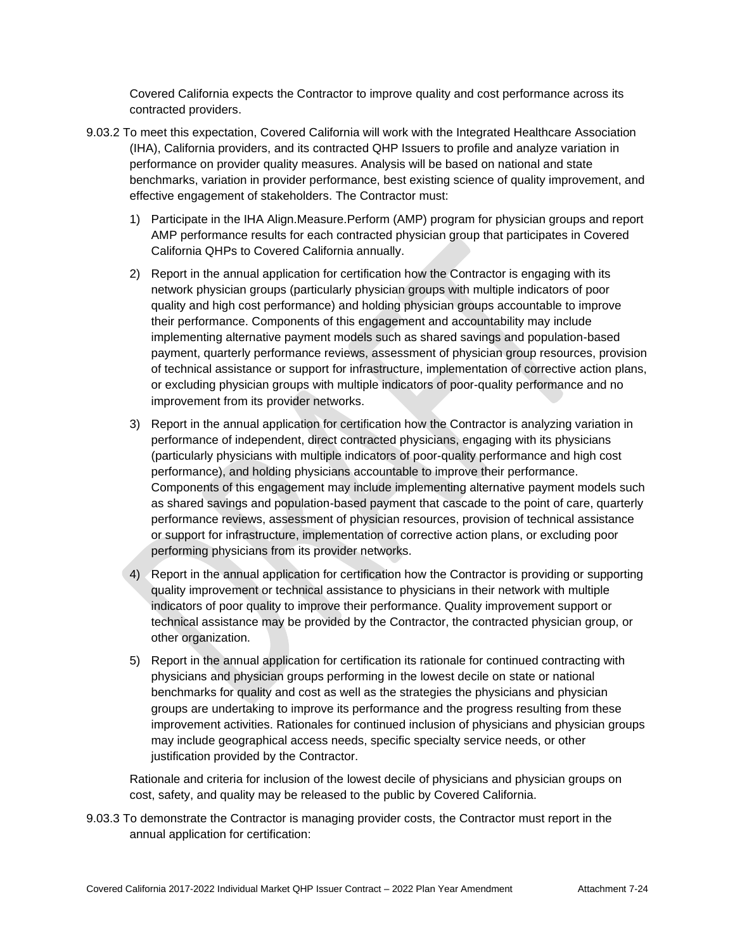Covered California expects the Contractor to improve quality and cost performance across its contracted providers.

- 9.03.2 To meet this expectation, Covered California will work with the Integrated Healthcare Association (IHA), California providers, and its contracted QHP Issuers to profile and analyze variation in performance on provider quality measures. Analysis will be based on national and state benchmarks, variation in provider performance, best existing science of quality improvement, and effective engagement of stakeholders. The Contractor must:
	- 1) Participate in the IHA Align.Measure.Perform (AMP) program for physician groups and report AMP performance results for each contracted physician group that participates in Covered California QHPs to Covered California annually.
	- 2) Report in the annual application for certification how the Contractor is engaging with its network physician groups (particularly physician groups with multiple indicators of poor quality and high cost performance) and holding physician groups accountable to improve their performance. Components of this engagement and accountability may include implementing alternative payment models such as shared savings and population-based payment, quarterly performance reviews, assessment of physician group resources, provision of technical assistance or support for infrastructure, implementation of corrective action plans, or excluding physician groups with multiple indicators of poor-quality performance and no improvement from its provider networks.
	- 3) Report in the annual application for certification how the Contractor is analyzing variation in performance of independent, direct contracted physicians, engaging with its physicians (particularly physicians with multiple indicators of poor-quality performance and high cost performance), and holding physicians accountable to improve their performance. Components of this engagement may include implementing alternative payment models such as shared savings and population-based payment that cascade to the point of care, quarterly performance reviews, assessment of physician resources, provision of technical assistance or support for infrastructure, implementation of corrective action plans, or excluding poor performing physicians from its provider networks.
	- 4) Report in the annual application for certification how the Contractor is providing or supporting quality improvement or technical assistance to physicians in their network with multiple indicators of poor quality to improve their performance. Quality improvement support or technical assistance may be provided by the Contractor, the contracted physician group, or other organization.
	- 5) Report in the annual application for certification its rationale for continued contracting with physicians and physician groups performing in the lowest decile on state or national benchmarks for quality and cost as well as the strategies the physicians and physician groups are undertaking to improve its performance and the progress resulting from these improvement activities. Rationales for continued inclusion of physicians and physician groups may include geographical access needs, specific specialty service needs, or other justification provided by the Contractor.

Rationale and criteria for inclusion of the lowest decile of physicians and physician groups on cost, safety, and quality may be released to the public by Covered California.

9.03.3 To demonstrate the Contractor is managing provider costs, the Contractor must report in the annual application for certification: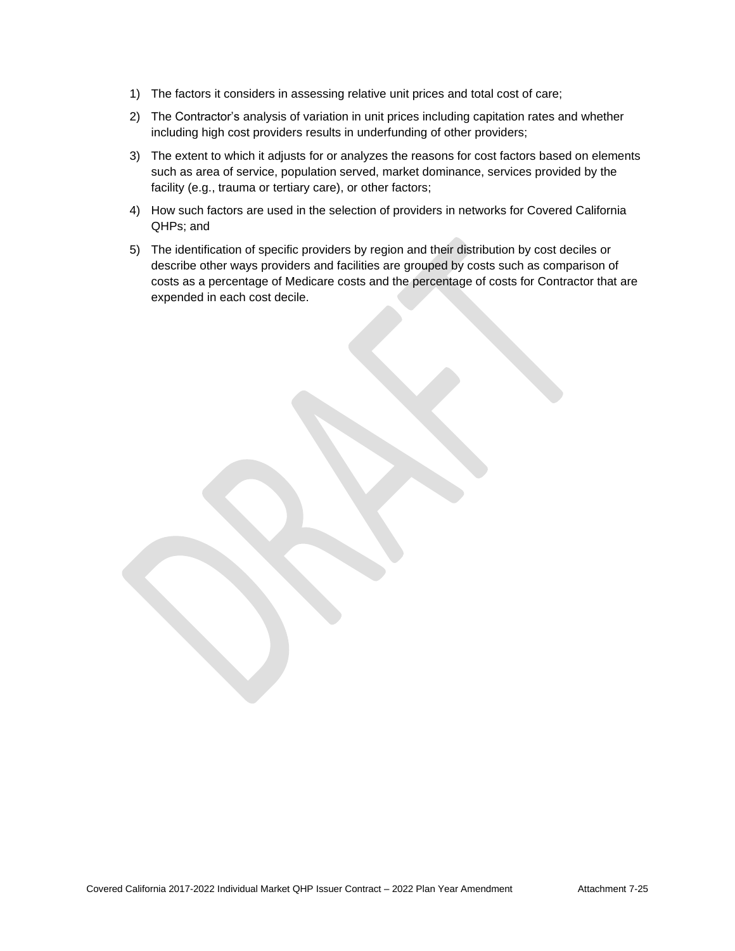- 1) The factors it considers in assessing relative unit prices and total cost of care;
- 2) The Contractor's analysis of variation in unit prices including capitation rates and whether including high cost providers results in underfunding of other providers;
- 3) The extent to which it adjusts for or analyzes the reasons for cost factors based on elements such as area of service, population served, market dominance, services provided by the facility (e.g., trauma or tertiary care), or other factors;
- 4) How such factors are used in the selection of providers in networks for Covered California QHPs; and
- 5) The identification of specific providers by region and their distribution by cost deciles or describe other ways providers and facilities are grouped by costs such as comparison of costs as a percentage of Medicare costs and the percentage of costs for Contractor that are expended in each cost decile.

Covered California 2017-2022 Individual Market QHP Issuer Contract – 2022 Plan Year Amendment Attachment 7-25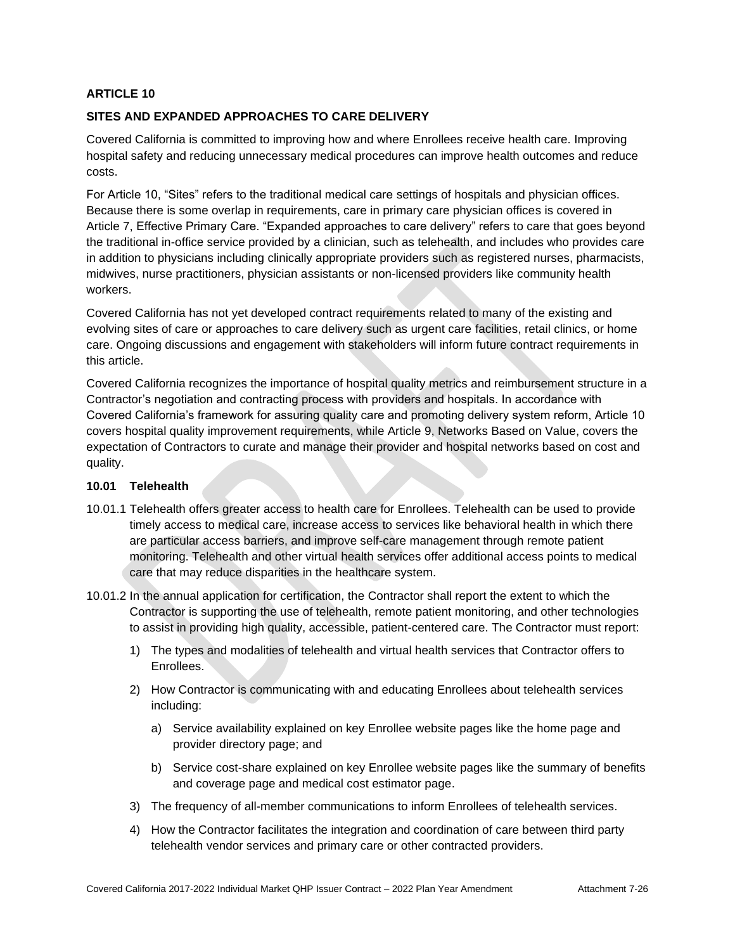## **SITES AND EXPANDED APPROACHES TO CARE DELIVERY**

Covered California is committed to improving how and where Enrollees receive health care. Improving hospital safety and reducing unnecessary medical procedures can improve health outcomes and reduce costs.

For Article 10, "Sites" refers to the traditional medical care settings of hospitals and physician offices. Because there is some overlap in requirements, care in primary care physician offices is covered in Article 7, Effective Primary Care. "Expanded approaches to care delivery" refers to care that goes beyond the traditional in-office service provided by a clinician, such as telehealth, and includes who provides care in addition to physicians including clinically appropriate providers such as registered nurses, pharmacists, midwives, nurse practitioners, physician assistants or non-licensed providers like community health workers.

Covered California has not yet developed contract requirements related to many of the existing and evolving sites of care or approaches to care delivery such as urgent care facilities, retail clinics, or home care. Ongoing discussions and engagement with stakeholders will inform future contract requirements in this article.

Covered California recognizes the importance of hospital quality metrics and reimbursement structure in a Contractor's negotiation and contracting process with providers and hospitals. In accordance with Covered California's framework for assuring quality care and promoting delivery system reform, Article 10 covers hospital quality improvement requirements, while Article 9, Networks Based on Value, covers the expectation of Contractors to curate and manage their provider and hospital networks based on cost and quality.

#### **10.01 Telehealth**

- 10.01.1 Telehealth offers greater access to health care for Enrollees. Telehealth can be used to provide timely access to medical care, increase access to services like behavioral health in which there are particular access barriers, and improve self-care management through remote patient monitoring. Telehealth and other virtual health services offer additional access points to medical care that may reduce disparities in the healthcare system.
- 10.01.2 In the annual application for certification, the Contractor shall report the extent to which the Contractor is supporting the use of telehealth, remote patient monitoring, and other technologies to assist in providing high quality, accessible, patient-centered care. The Contractor must report:
	- 1) The types and modalities of telehealth and virtual health services that Contractor offers to Enrollees.
	- 2) How Contractor is communicating with and educating Enrollees about telehealth services including:
		- a) Service availability explained on key Enrollee website pages like the home page and provider directory page; and
		- b) Service cost-share explained on key Enrollee website pages like the summary of benefits and coverage page and medical cost estimator page.
	- 3) The frequency of all-member communications to inform Enrollees of telehealth services.
	- 4) How the Contractor facilitates the integration and coordination of care between third party telehealth vendor services and primary care or other contracted providers.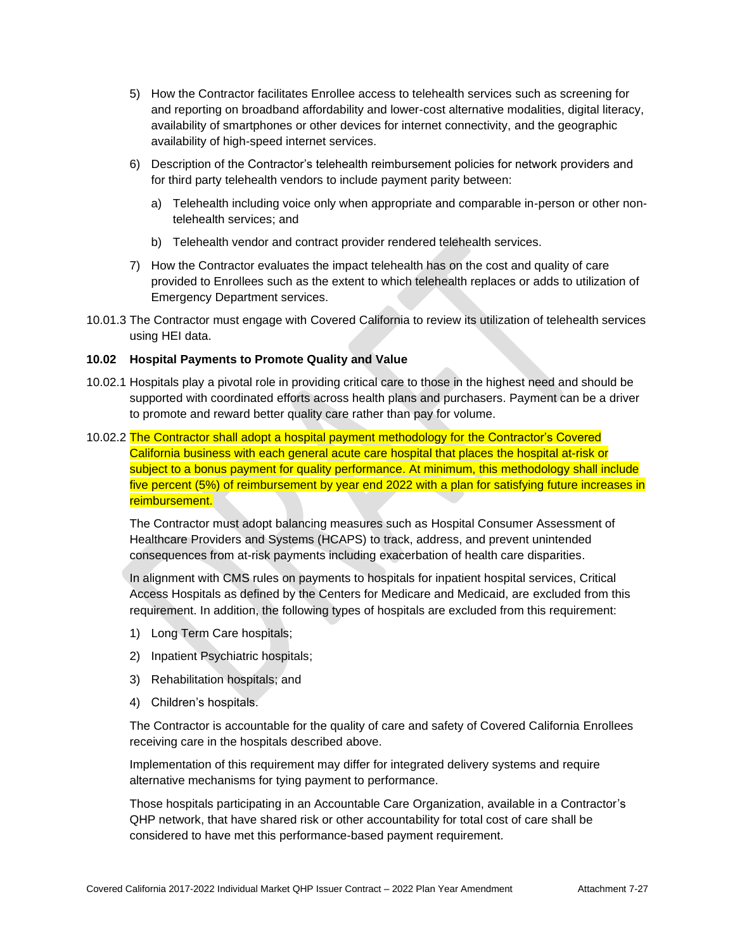- 5) How the Contractor facilitates Enrollee access to telehealth services such as screening for and reporting on broadband affordability and lower-cost alternative modalities, digital literacy, availability of smartphones or other devices for internet connectivity, and the geographic availability of high-speed internet services.
- 6) Description of the Contractor's telehealth reimbursement policies for network providers and for third party telehealth vendors to include payment parity between:
	- a) Telehealth including voice only when appropriate and comparable in-person or other nontelehealth services; and
	- b) Telehealth vendor and contract provider rendered telehealth services.
- 7) How the Contractor evaluates the impact telehealth has on the cost and quality of care provided to Enrollees such as the extent to which telehealth replaces or adds to utilization of Emergency Department services.
- 10.01.3 The Contractor must engage with Covered California to review its utilization of telehealth services using HEI data.

## **10.02 Hospital Payments to Promote Quality and Value**

- 10.02.1 Hospitals play a pivotal role in providing critical care to those in the highest need and should be supported with coordinated efforts across health plans and purchasers. Payment can be a driver to promote and reward better quality care rather than pay for volume.
- 10.02.2 The Contractor shall adopt a hospital payment methodology for the Contractor's Covered California business with each general acute care hospital that places the hospital at-risk or subject to a bonus payment for quality performance. At minimum, this methodology shall include five percent (5%) of reimbursement by year end 2022 with a plan for satisfying future increases in reimbursement.

The Contractor must adopt balancing measures such as Hospital Consumer Assessment of Healthcare Providers and Systems (HCAPS) to track, address, and prevent unintended consequences from at-risk payments including exacerbation of health care disparities.

In alignment with CMS rules on payments to hospitals for inpatient hospital services, Critical Access Hospitals as defined by the Centers for Medicare and Medicaid, are excluded from this requirement. In addition, the following types of hospitals are excluded from this requirement:

- 1) Long Term Care hospitals;
- 2) Inpatient Psychiatric hospitals;
- 3) Rehabilitation hospitals; and
- 4) Children's hospitals.

The Contractor is accountable for the quality of care and safety of Covered California Enrollees receiving care in the hospitals described above.

Implementation of this requirement may differ for integrated delivery systems and require alternative mechanisms for tying payment to performance.

Those hospitals participating in an Accountable Care Organization, available in a Contractor's QHP network, that have shared risk or other accountability for total cost of care shall be considered to have met this performance-based payment requirement.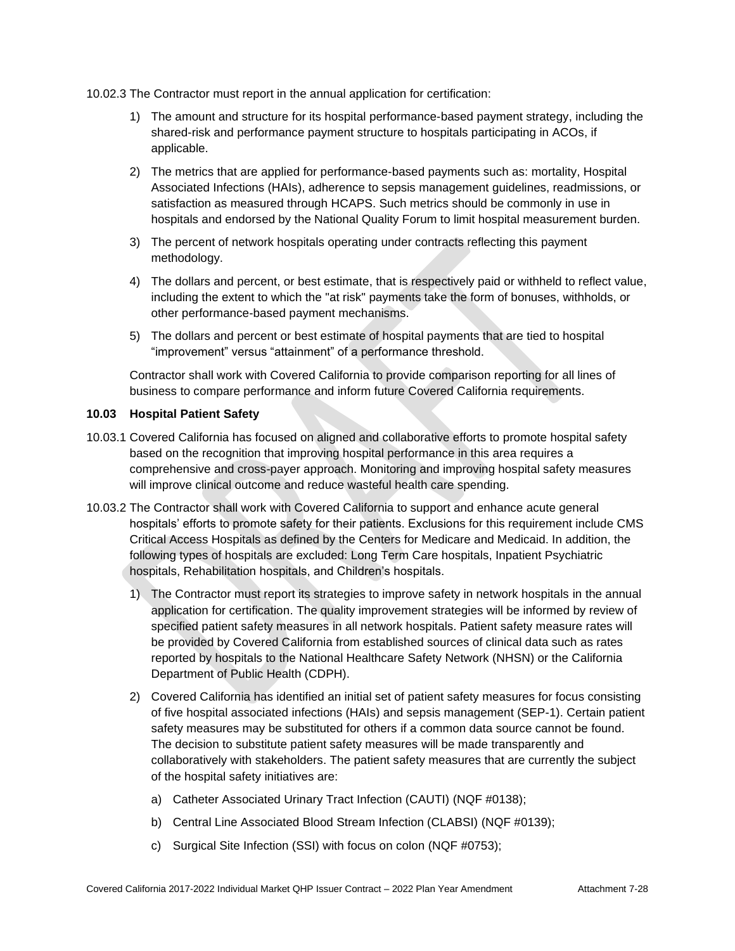10.02.3 The Contractor must report in the annual application for certification:

- 1) The amount and structure for its hospital performance-based payment strategy, including the shared-risk and performance payment structure to hospitals participating in ACOs, if applicable.
- 2) The metrics that are applied for performance-based payments such as: mortality, Hospital Associated Infections (HAIs), adherence to sepsis management guidelines, readmissions, or satisfaction as measured through HCAPS. Such metrics should be commonly in use in hospitals and endorsed by the National Quality Forum to limit hospital measurement burden.
- 3) The percent of network hospitals operating under contracts reflecting this payment methodology.
- 4) The dollars and percent, or best estimate, that is respectively paid or withheld to reflect value, including the extent to which the "at risk" payments take the form of bonuses, withholds, or other performance-based payment mechanisms.
- 5) The dollars and percent or best estimate of hospital payments that are tied to hospital "improvement" versus "attainment" of a performance threshold.

Contractor shall work with Covered California to provide comparison reporting for all lines of business to compare performance and inform future Covered California requirements.

## **10.03 Hospital Patient Safety**

- 10.03.1 Covered California has focused on aligned and collaborative efforts to promote hospital safety based on the recognition that improving hospital performance in this area requires a comprehensive and cross-payer approach. Monitoring and improving hospital safety measures will improve clinical outcome and reduce wasteful health care spending.
- 10.03.2 The Contractor shall work with Covered California to support and enhance acute general hospitals' efforts to promote safety for their patients. Exclusions for this requirement include CMS Critical Access Hospitals as defined by the Centers for Medicare and Medicaid. In addition, the following types of hospitals are excluded: Long Term Care hospitals, Inpatient Psychiatric hospitals, Rehabilitation hospitals, and Children's hospitals.
	- 1) The Contractor must report its strategies to improve safety in network hospitals in the annual application for certification. The quality improvement strategies will be informed by review of specified patient safety measures in all network hospitals. Patient safety measure rates will be provided by Covered California from established sources of clinical data such as rates reported by hospitals to the National Healthcare Safety Network (NHSN) or the California Department of Public Health (CDPH).
	- 2) Covered California has identified an initial set of patient safety measures for focus consisting of five hospital associated infections (HAIs) and sepsis management (SEP-1). Certain patient safety measures may be substituted for others if a common data source cannot be found. The decision to substitute patient safety measures will be made transparently and collaboratively with stakeholders. The patient safety measures that are currently the subject of the hospital safety initiatives are:
		- a) Catheter Associated Urinary Tract Infection (CAUTI) (NQF #0138);
		- b) Central Line Associated Blood Stream Infection (CLABSI) (NQF #0139);
		- c) Surgical Site Infection (SSI) with focus on colon (NQF #0753);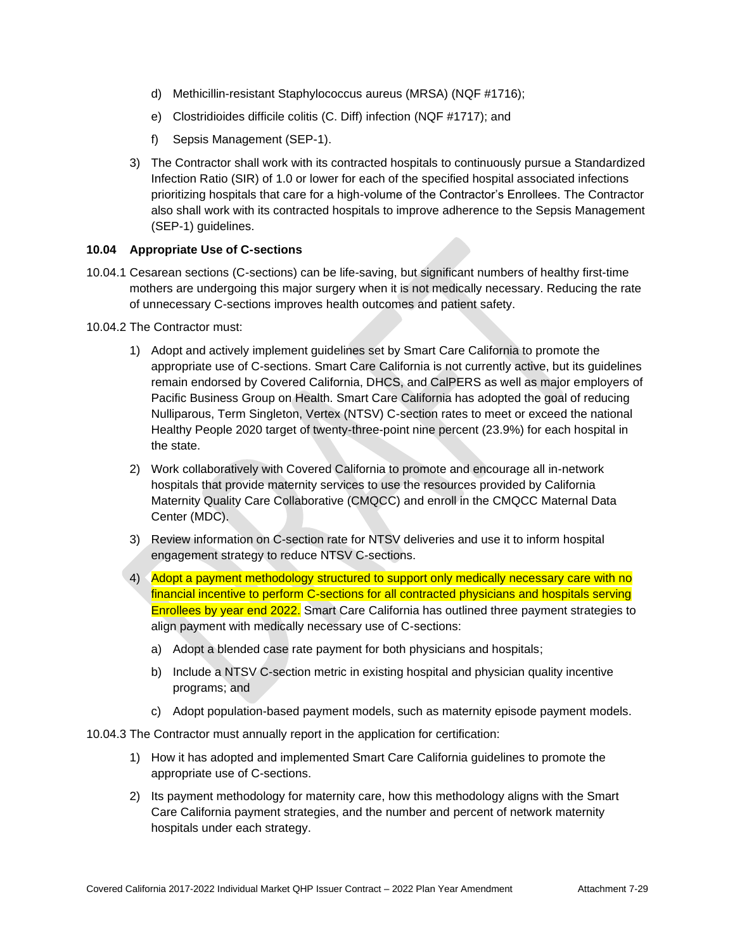- d) Methicillin-resistant Staphylococcus aureus (MRSA) (NQF #1716);
- e) Clostridioides difficile colitis (C. Diff) infection (NQF #1717); and
- f) Sepsis Management (SEP-1).
- 3) The Contractor shall work with its contracted hospitals to continuously pursue a Standardized Infection Ratio (SIR) of 1.0 or lower for each of the specified hospital associated infections prioritizing hospitals that care for a high-volume of the Contractor's Enrollees. The Contractor also shall work with its contracted hospitals to improve adherence to the Sepsis Management (SEP-1) guidelines.

## **10.04 Appropriate Use of C-sections**

10.04.1 Cesarean sections (C-sections) can be life-saving, but significant numbers of healthy first-time mothers are undergoing this major surgery when it is not medically necessary. Reducing the rate of unnecessary C-sections improves health outcomes and patient safety.

10.04.2 The Contractor must:

- 1) Adopt and actively implement guidelines set by Smart Care California to promote the appropriate use of C-sections. Smart Care California is not currently active, but its guidelines remain endorsed by Covered California, DHCS, and CalPERS as well as major employers of Pacific Business Group on Health. Smart Care California has adopted the goal of reducing Nulliparous, Term Singleton, Vertex (NTSV) C-section rates to meet or exceed the national Healthy People 2020 target of twenty-three-point nine percent (23.9%) for each hospital in the state.
- 2) Work collaboratively with Covered California to promote and encourage all in-network hospitals that provide maternity services to use the resources provided by California Maternity Quality Care Collaborative (CMQCC) and enroll in the CMQCC Maternal Data Center (MDC).
- 3) Review information on C-section rate for NTSV deliveries and use it to inform hospital engagement strategy to reduce NTSV C-sections.
- 4) Adopt a payment methodology structured to support only medically necessary care with no financial incentive to perform C-sections for all contracted physicians and hospitals serving Enrollees by year end 2022. Smart Care California has outlined three payment strategies to align payment with medically necessary use of C-sections:
	- a) Adopt a blended case rate payment for both physicians and hospitals;
	- b) Include a NTSV C-section metric in existing hospital and physician quality incentive programs; and
	- c) Adopt population-based payment models, such as maternity episode payment models.

10.04.3 The Contractor must annually report in the application for certification:

- 1) How it has adopted and implemented Smart Care California guidelines to promote the appropriate use of C-sections.
- 2) Its payment methodology for maternity care, how this methodology aligns with the Smart Care California payment strategies, and the number and percent of network maternity hospitals under each strategy.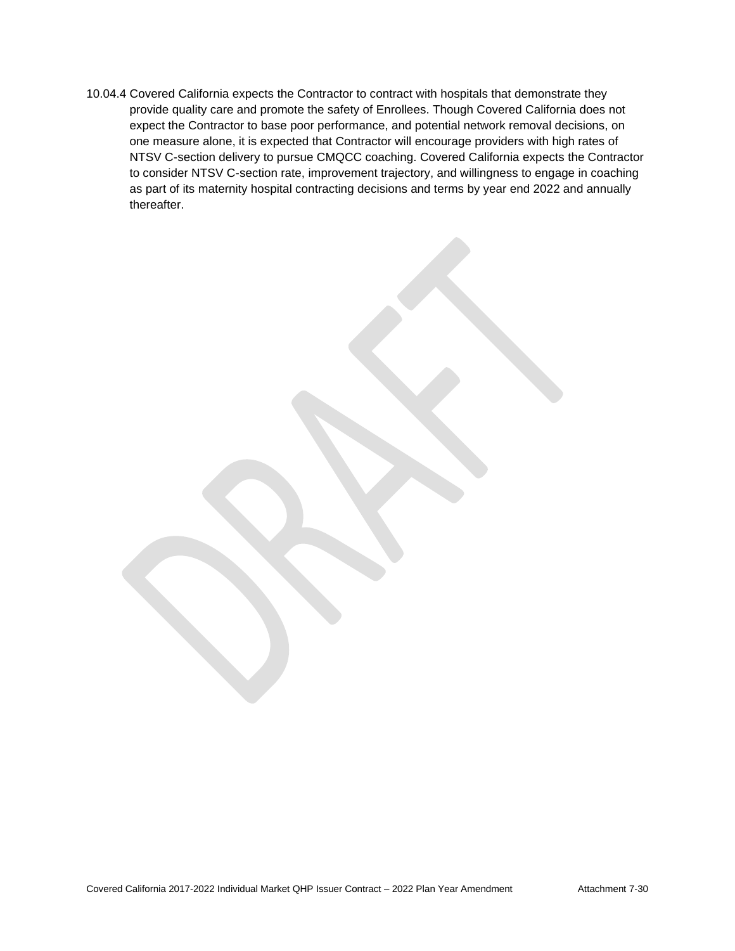10.04.4 Covered California expects the Contractor to contract with hospitals that demonstrate they provide quality care and promote the safety of Enrollees. Though Covered California does not expect the Contractor to base poor performance, and potential network removal decisions, on one measure alone, it is expected that Contractor will encourage providers with high rates of NTSV C-section delivery to pursue CMQCC coaching. Covered California expects the Contractor to consider NTSV C-section rate, improvement trajectory, and willingness to engage in coaching as part of its maternity hospital contracting decisions and terms by year end 2022 and annually thereafter.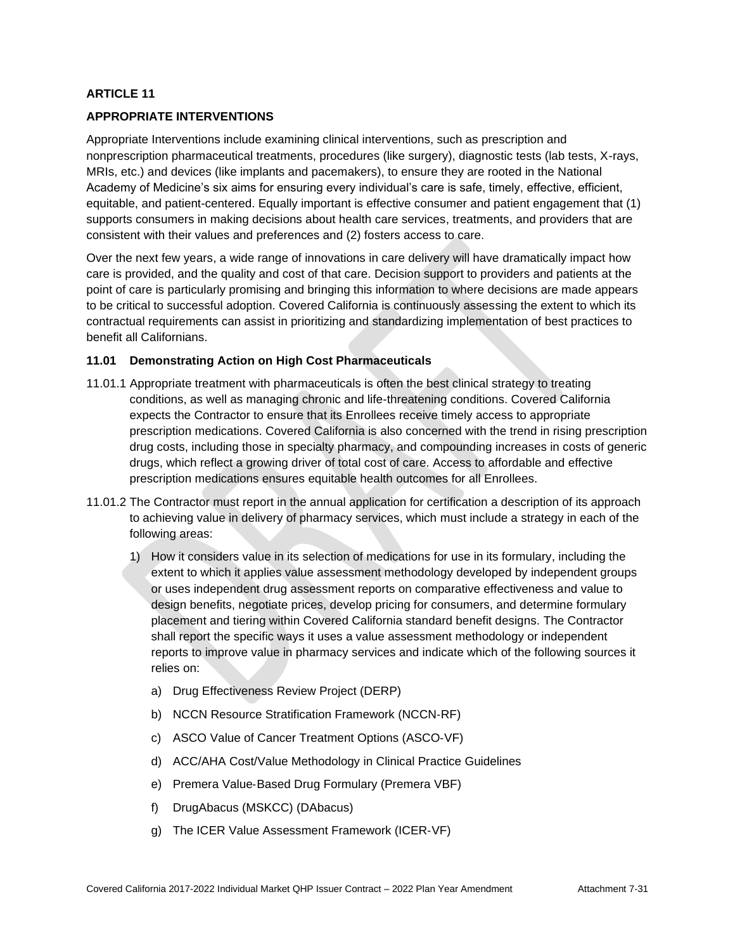# **APPROPRIATE INTERVENTIONS**

Appropriate Interventions include examining clinical interventions, such as prescription and nonprescription pharmaceutical treatments, procedures (like surgery), diagnostic tests (lab tests, X-rays, MRIs, etc.) and devices (like implants and pacemakers), to ensure they are rooted in the National Academy of Medicine's six aims for ensuring every individual's care is safe, timely, effective, efficient, equitable, and patient-centered. Equally important is effective consumer and patient engagement that (1) supports consumers in making decisions about health care services, treatments, and providers that are consistent with their values and preferences and (2) fosters access to care.

Over the next few years, a wide range of innovations in care delivery will have dramatically impact how care is provided, and the quality and cost of that care. Decision support to providers and patients at the point of care is particularly promising and bringing this information to where decisions are made appears to be critical to successful adoption. Covered California is continuously assessing the extent to which its contractual requirements can assist in prioritizing and standardizing implementation of best practices to benefit all Californians.

#### **11.01 Demonstrating Action on High Cost Pharmaceuticals**

- 11.01.1 Appropriate treatment with pharmaceuticals is often the best clinical strategy to treating conditions, as well as managing chronic and life-threatening conditions. Covered California expects the Contractor to ensure that its Enrollees receive timely access to appropriate prescription medications. Covered California is also concerned with the trend in rising prescription drug costs, including those in specialty pharmacy, and compounding increases in costs of generic drugs, which reflect a growing driver of total cost of care. Access to affordable and effective prescription medications ensures equitable health outcomes for all Enrollees.
- 11.01.2 The Contractor must report in the annual application for certification a description of its approach to achieving value in delivery of pharmacy services, which must include a strategy in each of the following areas:
	- 1) How it considers value in its selection of medications for use in its formulary, including the extent to which it applies value assessment methodology developed by independent groups or uses independent drug assessment reports on comparative effectiveness and value to design benefits, negotiate prices, develop pricing for consumers, and determine formulary placement and tiering within Covered California standard benefit designs. The Contractor shall report the specific ways it uses a value assessment methodology or independent reports to improve value in pharmacy services and indicate which of the following sources it relies on:
		- a) Drug Effectiveness Review Project (DERP)
		- b) NCCN Resource Stratification Framework (NCCN‐RF)
		- c) ASCO Value of Cancer Treatment Options (ASCO‐VF)
		- d) ACC/AHA Cost/Value Methodology in Clinical Practice Guidelines
		- e) Premera Value‐Based Drug Formulary (Premera VBF)
		- f) DrugAbacus (MSKCC) (DAbacus)
		- g) The ICER Value Assessment Framework (ICER‐VF)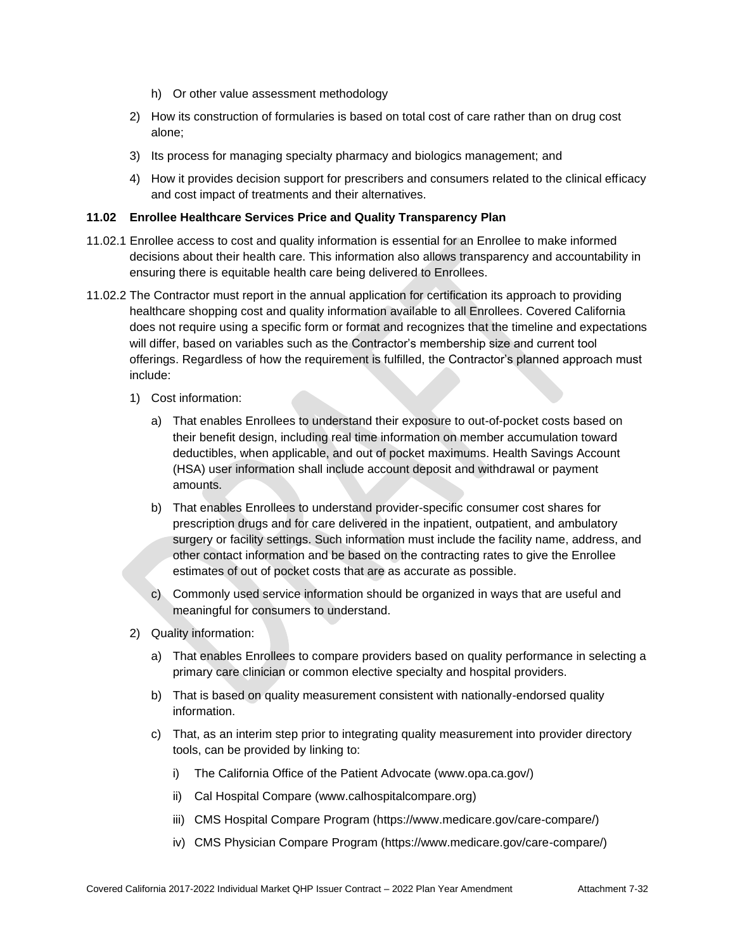- h) Or other value assessment methodology
- 2) How its construction of formularies is based on total cost of care rather than on drug cost alone;
- 3) Its process for managing specialty pharmacy and biologics management; and
- 4) How it provides decision support for prescribers and consumers related to the clinical efficacy and cost impact of treatments and their alternatives.

## **11.02 Enrollee Healthcare Services Price and Quality Transparency Plan**

- 11.02.1 Enrollee access to cost and quality information is essential for an Enrollee to make informed decisions about their health care. This information also allows transparency and accountability in ensuring there is equitable health care being delivered to Enrollees.
- 11.02.2 The Contractor must report in the annual application for certification its approach to providing healthcare shopping cost and quality information available to all Enrollees. Covered California does not require using a specific form or format and recognizes that the timeline and expectations will differ, based on variables such as the Contractor's membership size and current tool offerings. Regardless of how the requirement is fulfilled, the Contractor's planned approach must include:
	- 1) Cost information:
		- a) That enables Enrollees to understand their exposure to out-of-pocket costs based on their benefit design, including real time information on member accumulation toward deductibles, when applicable, and out of pocket maximums. Health Savings Account (HSA) user information shall include account deposit and withdrawal or payment amounts.
		- b) That enables Enrollees to understand provider-specific consumer cost shares for prescription drugs and for care delivered in the inpatient, outpatient, and ambulatory surgery or facility settings. Such information must include the facility name, address, and other contact information and be based on the contracting rates to give the Enrollee estimates of out of pocket costs that are as accurate as possible.
		- c) Commonly used service information should be organized in ways that are useful and meaningful for consumers to understand.
	- 2) Quality information:
		- a) That enables Enrollees to compare providers based on quality performance in selecting a primary care clinician or common elective specialty and hospital providers.
		- b) That is based on quality measurement consistent with nationally-endorsed quality information.
		- c) That, as an interim step prior to integrating quality measurement into provider directory tools, can be provided by linking to:
			- i) The California Office of the Patient Advocate [\(www.opa.ca.gov/\)](http://www.opa.ca.gov/)
			- ii) Cal Hospital Compare [\(www.calhospitalcompare.org\)](http://www.calhospitalcompare.org/)
			- iii) CMS Hospital Compare Program (https://www.medicare.gov/care-compare/)
			- iv) CMS Physician Compare Program (https://www.medicare.gov/care-compare/)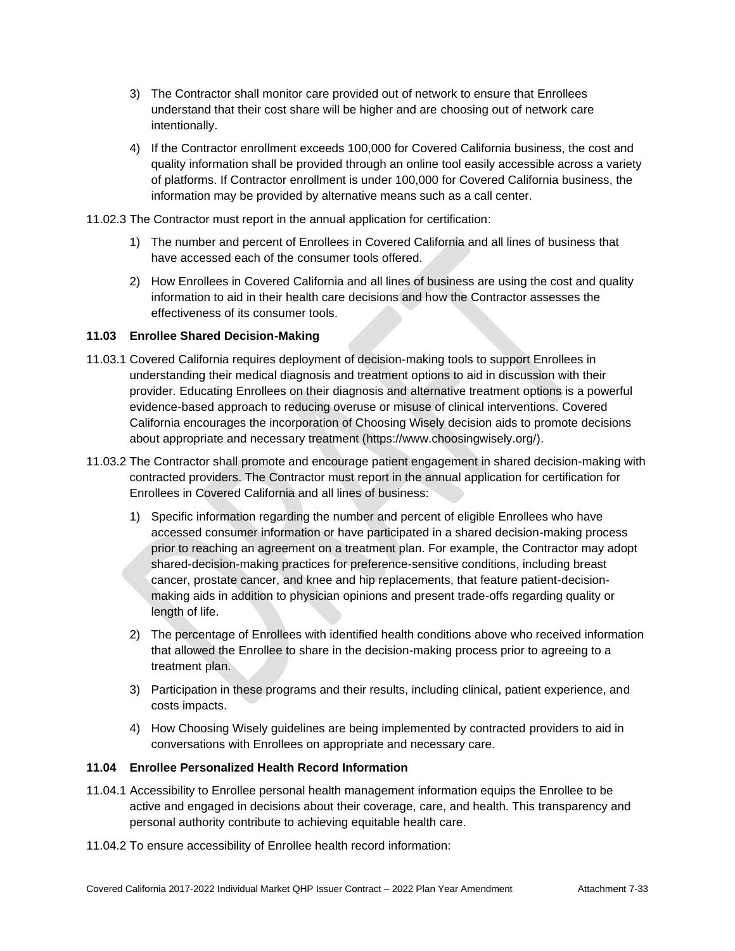- 3) The Contractor shall monitor care provided out of network to ensure that Enrollees understand that their cost share will be higher and are choosing out of network care intentionally.
- 4) If the Contractor enrollment exceeds 100,000 for Covered California business, the cost and quality information shall be provided through an online tool easily accessible across a variety of platforms. If Contractor enrollment is under 100,000 for Covered California business, the information may be provided by alternative means such as a call center.
- 11.02.3 The Contractor must report in the annual application for certification:
	- 1) The number and percent of Enrollees in Covered California and all lines of business that have accessed each of the consumer tools offered.
	- 2) How Enrollees in Covered California and all lines of business are using the cost and quality information to aid in their health care decisions and how the Contractor assesses the effectiveness of its consumer tools.

## **11.03 Enrollee Shared Decision-Making**

- 11.03.1 Covered California requires deployment of decision-making tools to support Enrollees in understanding their medical diagnosis and treatment options to aid in discussion with their provider. Educating Enrollees on their diagnosis and alternative treatment options is a powerful evidence-based approach to reducing overuse or misuse of clinical interventions. Covered California encourages the incorporation of Choosing Wisely decision aids to promote decisions about appropriate and necessary treatment [\(https://www.choosingwisely.org/\)](https://www.choosingwisely.org/).
- 11.03.2 The Contractor shall promote and encourage patient engagement in shared decision-making with contracted providers. The Contractor must report in the annual application for certification for Enrollees in Covered California and all lines of business:
	- 1) Specific information regarding the number and percent of eligible Enrollees who have accessed consumer information or have participated in a shared decision-making process prior to reaching an agreement on a treatment plan. For example, the Contractor may adopt shared-decision-making practices for preference-sensitive conditions, including breast cancer, prostate cancer, and knee and hip replacements, that feature patient-decisionmaking aids in addition to physician opinions and present trade-offs regarding quality or length of life.
	- 2) The percentage of Enrollees with identified health conditions above who received information that allowed the Enrollee to share in the decision-making process prior to agreeing to a treatment plan.
	- 3) Participation in these programs and their results, including clinical, patient experience, and costs impacts.
	- 4) How Choosing Wisely guidelines are being implemented by contracted providers to aid in conversations with Enrollees on appropriate and necessary care.

## **11.04 Enrollee Personalized Health Record Information**

- 11.04.1 Accessibility to Enrollee personal health management information equips the Enrollee to be active and engaged in decisions about their coverage, care, and health. This transparency and personal authority contribute to achieving equitable health care.
- 11.04.2 To ensure accessibility of Enrollee health record information: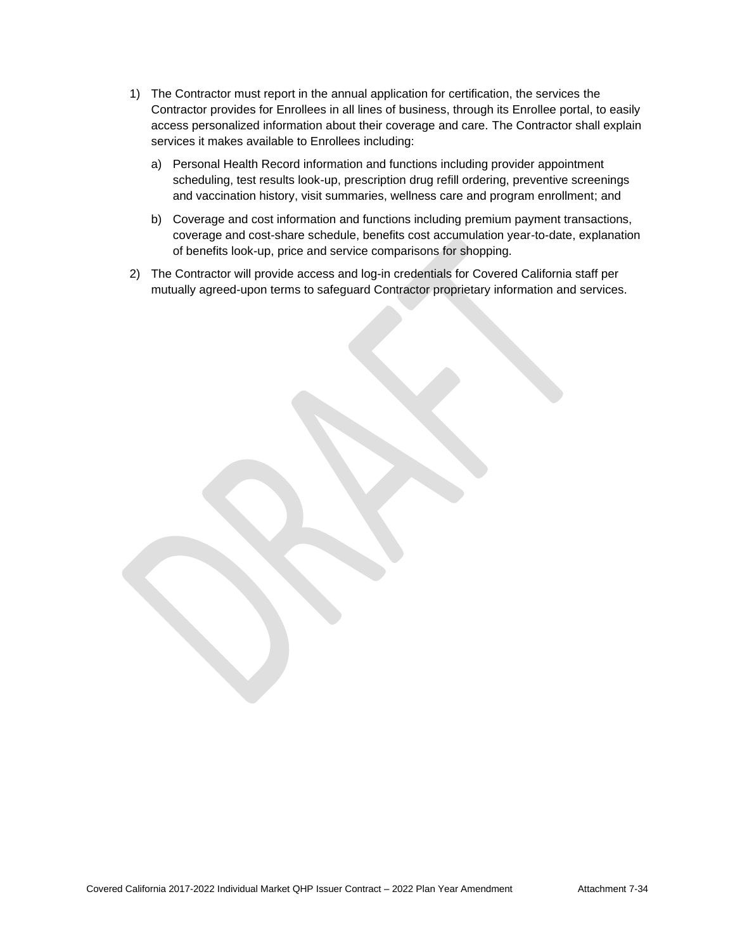- 1) The Contractor must report in the annual application for certification, the services the Contractor provides for Enrollees in all lines of business, through its Enrollee portal, to easily access personalized information about their coverage and care. The Contractor shall explain services it makes available to Enrollees including:
	- a) Personal Health Record information and functions including provider appointment scheduling, test results look-up, prescription drug refill ordering, preventive screenings and vaccination history, visit summaries, wellness care and program enrollment; and
	- b) Coverage and cost information and functions including premium payment transactions, coverage and cost-share schedule, benefits cost accumulation year-to-date, explanation of benefits look-up, price and service comparisons for shopping.
- 2) The Contractor will provide access and log-in credentials for Covered California staff per mutually agreed-upon terms to safeguard Contractor proprietary information and services.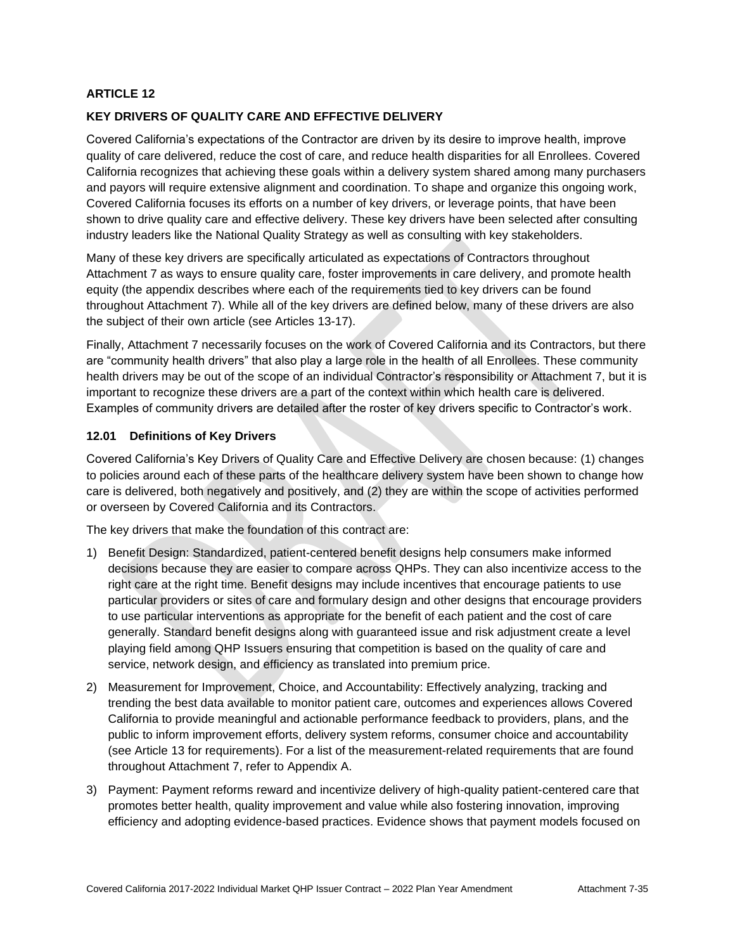## **KEY DRIVERS OF QUALITY CARE AND EFFECTIVE DELIVERY**

Covered California's expectations of the Contractor are driven by its desire to improve health, improve quality of care delivered, reduce the cost of care, and reduce health disparities for all Enrollees. Covered California recognizes that achieving these goals within a delivery system shared among many purchasers and payors will require extensive alignment and coordination. To shape and organize this ongoing work, Covered California focuses its efforts on a number of key drivers, or leverage points, that have been shown to drive quality care and effective delivery. These key drivers have been selected after consulting industry leaders like the National Quality Strategy as well as consulting with key stakeholders.

Many of these key drivers are specifically articulated as expectations of Contractors throughout Attachment 7 as ways to ensure quality care, foster improvements in care delivery, and promote health equity (the appendix describes where each of the requirements tied to key drivers can be found throughout Attachment 7). While all of the key drivers are defined below, many of these drivers are also the subject of their own article (see Articles 13-17).

Finally, Attachment 7 necessarily focuses on the work of Covered California and its Contractors, but there are "community health drivers" that also play a large role in the health of all Enrollees. These community health drivers may be out of the scope of an individual Contractor's responsibility or Attachment 7, but it is important to recognize these drivers are a part of the context within which health care is delivered. Examples of community drivers are detailed after the roster of key drivers specific to Contractor's work.

## **12.01 Definitions of Key Drivers**

Covered California's Key Drivers of Quality Care and Effective Delivery are chosen because: (1) changes to policies around each of these parts of the healthcare delivery system have been shown to change how care is delivered, both negatively and positively, and (2) they are within the scope of activities performed or overseen by Covered California and its Contractors.

The key drivers that make the foundation of this contract are:

- 1) Benefit Design: Standardized, patient-centered benefit designs help consumers make informed decisions because they are easier to compare across QHPs. They can also incentivize access to the right care at the right time. Benefit designs may include incentives that encourage patients to use particular providers or sites of care and formulary design and other designs that encourage providers to use particular interventions as appropriate for the benefit of each patient and the cost of care generally. Standard benefit designs along with guaranteed issue and risk adjustment create a level playing field among QHP Issuers ensuring that competition is based on the quality of care and service, network design, and efficiency as translated into premium price.
- 2) Measurement for Improvement, Choice, and Accountability: Effectively analyzing, tracking and trending the best data available to monitor patient care, outcomes and experiences allows Covered California to provide meaningful and actionable performance feedback to providers, plans, and the public to inform improvement efforts, delivery system reforms, consumer choice and accountability (see Article 13 for requirements). For a list of the measurement-related requirements that are found throughout Attachment 7, refer to Appendix A.
- 3) Payment: Payment reforms reward and incentivize delivery of high-quality patient-centered care that promotes better health, quality improvement and value while also fostering innovation, improving efficiency and adopting evidence-based practices. Evidence shows that payment models focused on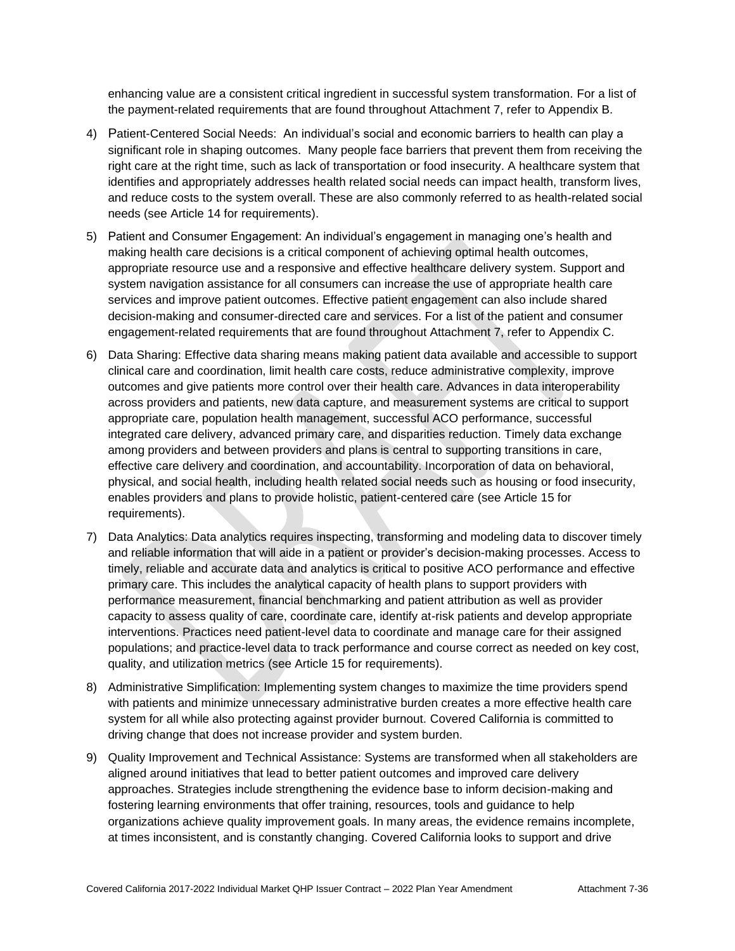enhancing value are a consistent critical ingredient in successful system transformation. For a list of the payment-related requirements that are found throughout Attachment 7, refer to Appendix B.

- 4) Patient-Centered Social Needs: An individual's social and economic barriers to health can play a significant role in shaping outcomes. Many people face barriers that prevent them from receiving the right care at the right time, such as lack of transportation or food insecurity. A healthcare system that identifies and appropriately addresses health related social needs can impact health, transform lives, and reduce costs to the system overall. These are also commonly referred to as health-related social needs (see Article 14 for requirements).
- 5) Patient and Consumer Engagement: An individual's engagement in managing one's health and making health care decisions is a critical component of achieving optimal health outcomes, appropriate resource use and a responsive and effective healthcare delivery system. Support and system navigation assistance for all consumers can increase the use of appropriate health care services and improve patient outcomes. Effective patient engagement can also include shared decision-making and consumer-directed care and services. For a list of the patient and consumer engagement-related requirements that are found throughout Attachment 7, refer to Appendix C.
- 6) Data Sharing: Effective data sharing means making patient data available and accessible to support clinical care and coordination, limit health care costs, reduce administrative complexity, improve outcomes and give patients more control over their health care. Advances in data interoperability across providers and patients, new data capture, and measurement systems are critical to support appropriate care, population health management, successful ACO performance, successful integrated care delivery, advanced primary care, and disparities reduction. Timely data exchange among providers and between providers and plans is central to supporting transitions in care, effective care delivery and coordination, and accountability. Incorporation of data on behavioral, physical, and social health, including health related social needs such as housing or food insecurity, enables providers and plans to provide holistic, patient-centered care (see Article 15 for requirements).
- 7) Data Analytics: Data analytics requires inspecting, transforming and modeling data to discover timely and reliable information that will aide in a patient or provider's decision-making processes. Access to timely, reliable and accurate data and analytics is critical to positive ACO performance and effective primary care. This includes the analytical capacity of health plans to support providers with performance measurement, financial benchmarking and patient attribution as well as provider capacity to assess quality of care, coordinate care, identify at-risk patients and develop appropriate interventions. Practices need patient-level data to coordinate and manage care for their assigned populations; and practice-level data to track performance and course correct as needed on key cost, quality, and utilization metrics (see Article 15 for requirements).
- 8) Administrative Simplification: Implementing system changes to maximize the time providers spend with patients and minimize unnecessary administrative burden creates a more effective health care system for all while also protecting against provider burnout. Covered California is committed to driving change that does not increase provider and system burden.
- 9) Quality Improvement and Technical Assistance: Systems are transformed when all stakeholders are aligned around initiatives that lead to better patient outcomes and improved care delivery approaches. Strategies include strengthening the evidence base to inform decision-making and fostering learning environments that offer training, resources, tools and guidance to help organizations achieve quality improvement goals. In many areas, the evidence remains incomplete, at times inconsistent, and is constantly changing. Covered California looks to support and drive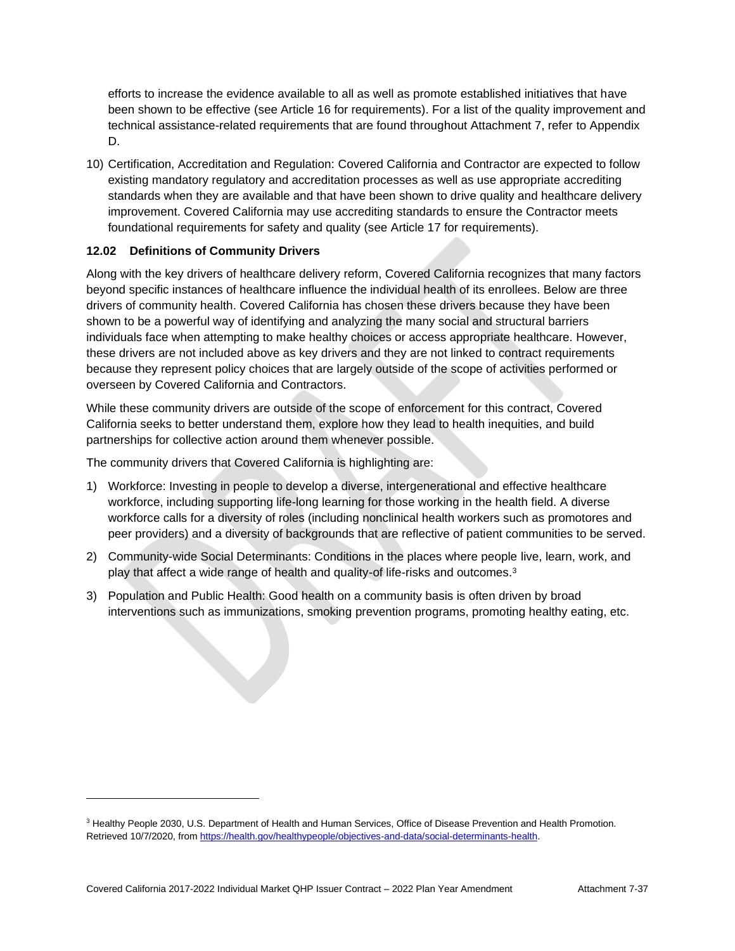efforts to increase the evidence available to all as well as promote established initiatives that have been shown to be effective (see Article 16 for requirements). For a list of the quality improvement and technical assistance-related requirements that are found throughout Attachment 7, refer to Appendix D.

10) Certification, Accreditation and Regulation: Covered California and Contractor are expected to follow existing mandatory regulatory and accreditation processes as well as use appropriate accrediting standards when they are available and that have been shown to drive quality and healthcare delivery improvement. Covered California may use accrediting standards to ensure the Contractor meets foundational requirements for safety and quality (see Article 17 for requirements).

# **12.02 Definitions of Community Drivers**

Along with the key drivers of healthcare delivery reform, Covered California recognizes that many factors beyond specific instances of healthcare influence the individual health of its enrollees. Below are three drivers of community health. Covered California has chosen these drivers because they have been shown to be a powerful way of identifying and analyzing the many social and structural barriers individuals face when attempting to make healthy choices or access appropriate healthcare. However, these drivers are not included above as key drivers and they are not linked to contract requirements because they represent policy choices that are largely outside of the scope of activities performed or overseen by Covered California and Contractors.

While these community drivers are outside of the scope of enforcement for this contract, Covered California seeks to better understand them, explore how they lead to health inequities, and build partnerships for collective action around them whenever possible.

The community drivers that Covered California is highlighting are:

- 1) Workforce: Investing in people to develop a diverse, intergenerational and effective healthcare workforce, including supporting life-long learning for those working in the health field. A diverse workforce calls for a diversity of roles (including nonclinical health workers such as promotores and peer providers) and a diversity of backgrounds that are reflective of patient communities to be served.
- 2) Community-wide Social Determinants: Conditions in the places where people live, learn, work, and play that affect a wide range of health and quality-of life-risks and outcomes. 3
- 3) Population and Public Health: Good health on a community basis is often driven by broad interventions such as immunizations, smoking prevention programs, promoting healthy eating, etc.

<sup>&</sup>lt;sup>3</sup> Healthy People 2030, U.S. Department of Health and Human Services, Office of Disease Prevention and Health Promotion. Retrieved 10/7/2020, from https://health.gov/healthypeople/objectives-and-data/social-determinants-health.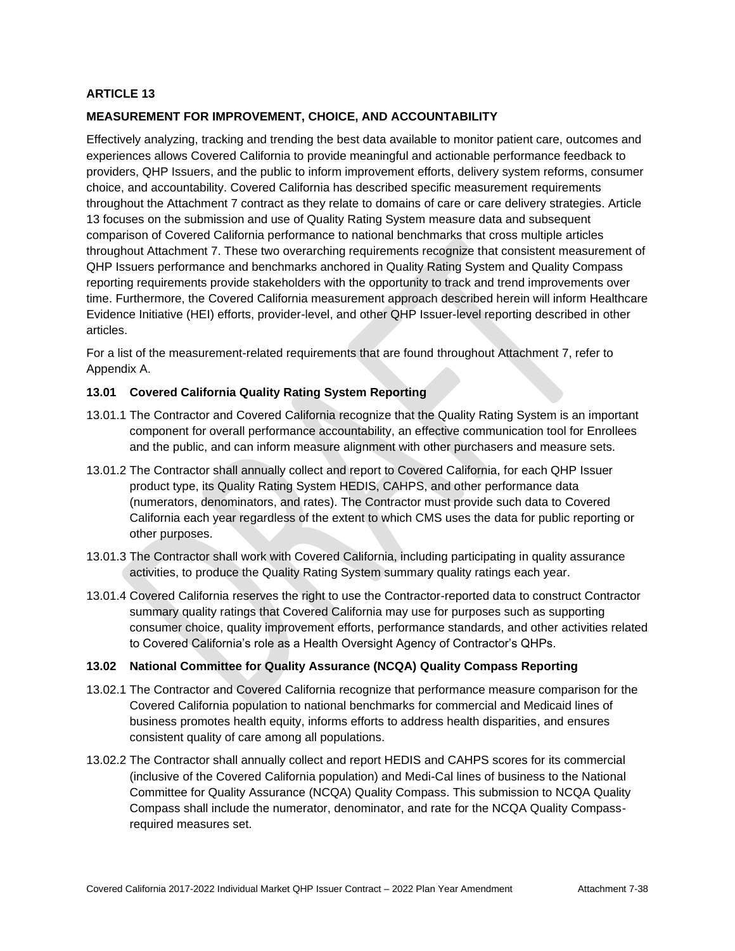## **MEASUREMENT FOR IMPROVEMENT, CHOICE, AND ACCOUNTABILITY**

Effectively analyzing, tracking and trending the best data available to monitor patient care, outcomes and experiences allows Covered California to provide meaningful and actionable performance feedback to providers, QHP Issuers, and the public to inform improvement efforts, delivery system reforms, consumer choice, and accountability. Covered California has described specific measurement requirements throughout the Attachment 7 contract as they relate to domains of care or care delivery strategies. Article 13 focuses on the submission and use of Quality Rating System measure data and subsequent comparison of Covered California performance to national benchmarks that cross multiple articles throughout Attachment 7. These two overarching requirements recognize that consistent measurement of QHP Issuers performance and benchmarks anchored in Quality Rating System and Quality Compass reporting requirements provide stakeholders with the opportunity to track and trend improvements over time. Furthermore, the Covered California measurement approach described herein will inform Healthcare Evidence Initiative (HEI) efforts, provider-level, and other QHP Issuer-level reporting described in other articles.

For a list of the measurement-related requirements that are found throughout Attachment 7, refer to Appendix A.

## **13.01 Covered California Quality Rating System Reporting**

- 13.01.1 The Contractor and Covered California recognize that the Quality Rating System is an important component for overall performance accountability, an effective communication tool for Enrollees and the public, and can inform measure alignment with other purchasers and measure sets.
- 13.01.2 The Contractor shall annually collect and report to Covered California, for each QHP Issuer product type, its Quality Rating System HEDIS, CAHPS, and other performance data (numerators, denominators, and rates). The Contractor must provide such data to Covered California each year regardless of the extent to which CMS uses the data for public reporting or other purposes.
- 13.01.3 The Contractor shall work with Covered California, including participating in quality assurance activities, to produce the Quality Rating System summary quality ratings each year.
- 13.01.4 Covered California reserves the right to use the Contractor-reported data to construct Contractor summary quality ratings that Covered California may use for purposes such as supporting consumer choice, quality improvement efforts, performance standards, and other activities related to Covered California's role as a Health Oversight Agency of Contractor's QHPs.

## **13.02 National Committee for Quality Assurance (NCQA) Quality Compass Reporting**

- 13.02.1 The Contractor and Covered California recognize that performance measure comparison for the Covered California population to national benchmarks for commercial and Medicaid lines of business promotes health equity, informs efforts to address health disparities, and ensures consistent quality of care among all populations.
- 13.02.2 The Contractor shall annually collect and report HEDIS and CAHPS scores for its commercial (inclusive of the Covered California population) and Medi-Cal lines of business to the National Committee for Quality Assurance (NCQA) Quality Compass. This submission to NCQA Quality Compass shall include the numerator, denominator, and rate for the NCQA Quality Compassrequired measures set.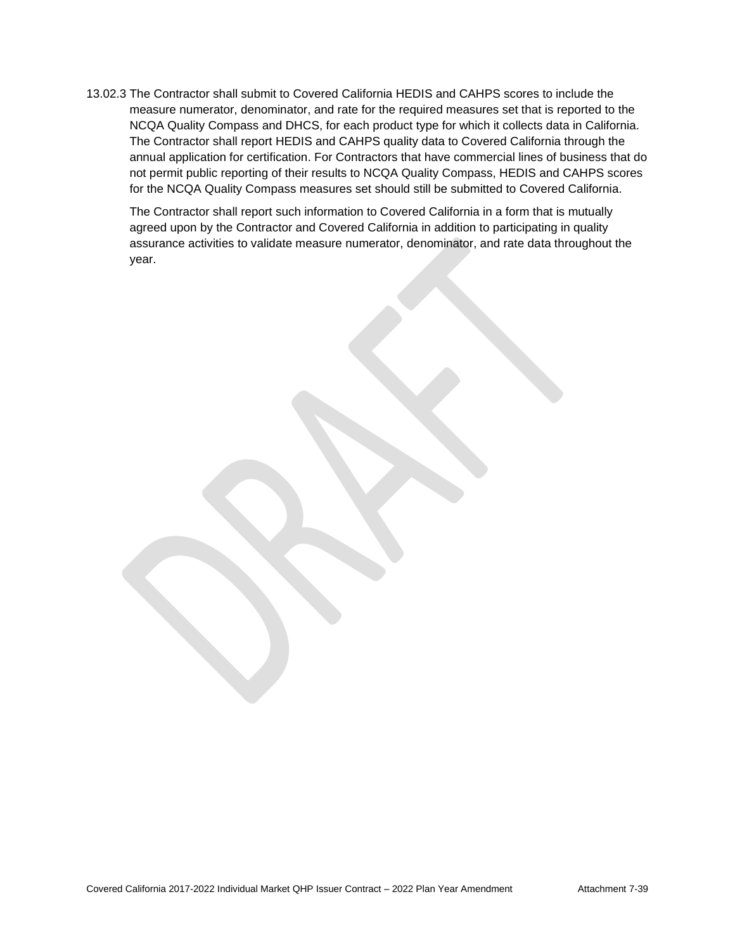13.02.3 The Contractor shall submit to Covered California HEDIS and CAHPS scores to include the measure numerator, denominator, and rate for the required measures set that is reported to the NCQA Quality Compass and DHCS, for each product type for which it collects data in California. The Contractor shall report HEDIS and CAHPS quality data to Covered California through the annual application for certification. For Contractors that have commercial lines of business that do not permit public reporting of their results to NCQA Quality Compass, HEDIS and CAHPS scores for the NCQA Quality Compass measures set should still be submitted to Covered California.

The Contractor shall report such information to Covered California in a form that is mutually agreed upon by the Contractor and Covered California in addition to participating in quality assurance activities to validate measure numerator, denominator, and rate data throughout the year.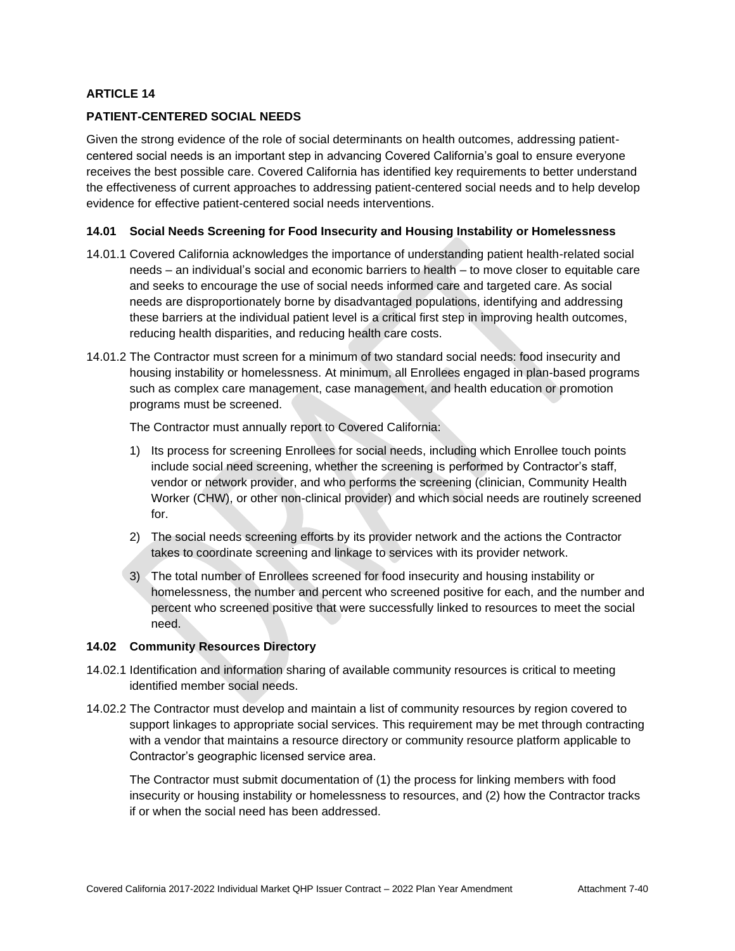## **PATIENT-CENTERED SOCIAL NEEDS**

Given the strong evidence of the role of social determinants on health outcomes, addressing patientcentered social needs is an important step in advancing Covered California's goal to ensure everyone receives the best possible care. Covered California has identified key requirements to better understand the effectiveness of current approaches to addressing patient-centered social needs and to help develop evidence for effective patient-centered social needs interventions.

### **14.01 Social Needs Screening for Food Insecurity and Housing Instability or Homelessness**

- 14.01.1 Covered California acknowledges the importance of understanding patient health-related social needs – an individual's social and economic barriers to health – to move closer to equitable care and seeks to encourage the use of social needs informed care and targeted care. As social needs are disproportionately borne by disadvantaged populations, identifying and addressing these barriers at the individual patient level is a critical first step in improving health outcomes, reducing health disparities, and reducing health care costs.
- 14.01.2 The Contractor must screen for a minimum of two standard social needs: food insecurity and housing instability or homelessness. At minimum, all Enrollees engaged in plan-based programs such as complex care management, case management, and health education or promotion programs must be screened.

The Contractor must annually report to Covered California:

- 1) Its process for screening Enrollees for social needs, including which Enrollee touch points include social need screening, whether the screening is performed by Contractor's staff, vendor or network provider, and who performs the screening (clinician, Community Health Worker (CHW), or other non-clinical provider) and which social needs are routinely screened for.
- 2) The social needs screening efforts by its provider network and the actions the Contractor takes to coordinate screening and linkage to services with its provider network.
- 3) The total number of Enrollees screened for food insecurity and housing instability or homelessness, the number and percent who screened positive for each, and the number and percent who screened positive that were successfully linked to resources to meet the social need.

### **14.02 Community Resources Directory**

- 14.02.1 Identification and information sharing of available community resources is critical to meeting identified member social needs.
- 14.02.2 The Contractor must develop and maintain a list of community resources by region covered to support linkages to appropriate social services. This requirement may be met through contracting with a vendor that maintains a resource directory or community resource platform applicable to Contractor's geographic licensed service area.

The Contractor must submit documentation of (1) the process for linking members with food insecurity or housing instability or homelessness to resources, and (2) how the Contractor tracks if or when the social need has been addressed.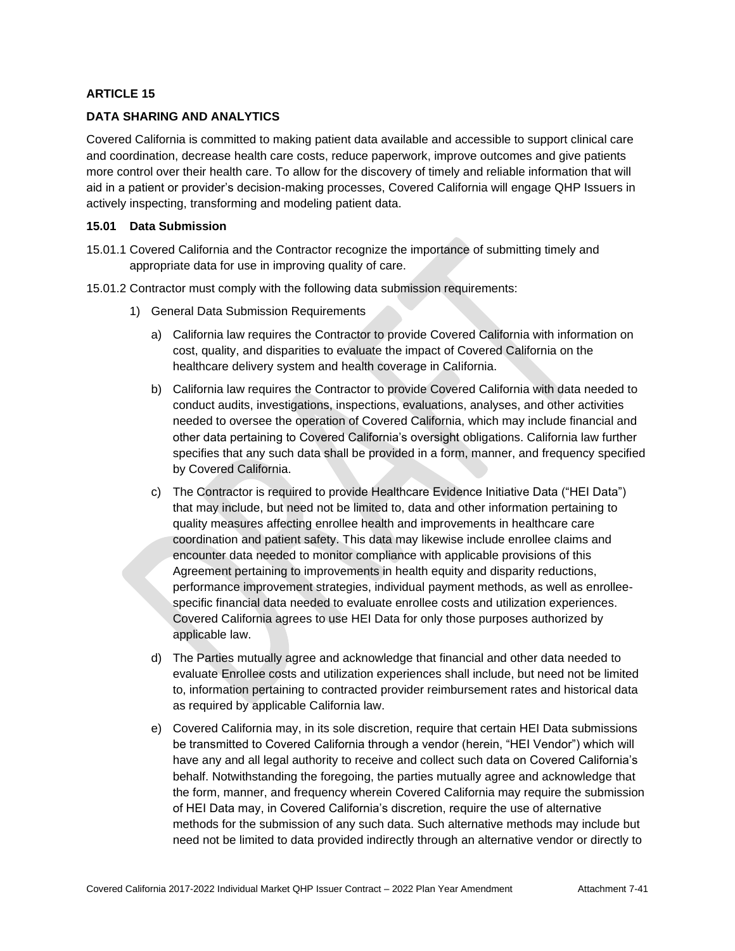### **DATA SHARING AND ANALYTICS**

Covered California is committed to making patient data available and accessible to support clinical care and coordination, decrease health care costs, reduce paperwork, improve outcomes and give patients more control over their health care. To allow for the discovery of timely and reliable information that will aid in a patient or provider's decision-making processes, Covered California will engage QHP Issuers in actively inspecting, transforming and modeling patient data.

#### **15.01 Data Submission**

- 15.01.1 Covered California and the Contractor recognize the importance of submitting timely and appropriate data for use in improving quality of care.
- 15.01.2 Contractor must comply with the following data submission requirements:
	- 1) General Data Submission Requirements
		- a) California law requires the Contractor to provide Covered California with information on cost, quality, and disparities to evaluate the impact of Covered California on the healthcare delivery system and health coverage in California.
		- b) California law requires the Contractor to provide Covered California with data needed to conduct audits, investigations, inspections, evaluations, analyses, and other activities needed to oversee the operation of Covered California, which may include financial and other data pertaining to Covered California's oversight obligations. California law further specifies that any such data shall be provided in a form, manner, and frequency specified by Covered California.
		- c) The Contractor is required to provide Healthcare Evidence Initiative Data ("HEI Data") that may include, but need not be limited to, data and other information pertaining to quality measures affecting enrollee health and improvements in healthcare care coordination and patient safety. This data may likewise include enrollee claims and encounter data needed to monitor compliance with applicable provisions of this Agreement pertaining to improvements in health equity and disparity reductions, performance improvement strategies, individual payment methods, as well as enrolleespecific financial data needed to evaluate enrollee costs and utilization experiences. Covered California agrees to use HEI Data for only those purposes authorized by applicable law.
		- d) The Parties mutually agree and acknowledge that financial and other data needed to evaluate Enrollee costs and utilization experiences shall include, but need not be limited to, information pertaining to contracted provider reimbursement rates and historical data as required by applicable California law.
		- e) Covered California may, in its sole discretion, require that certain HEI Data submissions be transmitted to Covered California through a vendor (herein, "HEI Vendor") which will have any and all legal authority to receive and collect such data on Covered California's behalf. Notwithstanding the foregoing, the parties mutually agree and acknowledge that the form, manner, and frequency wherein Covered California may require the submission of HEI Data may, in Covered California's discretion, require the use of alternative methods for the submission of any such data. Such alternative methods may include but need not be limited to data provided indirectly through an alternative vendor or directly to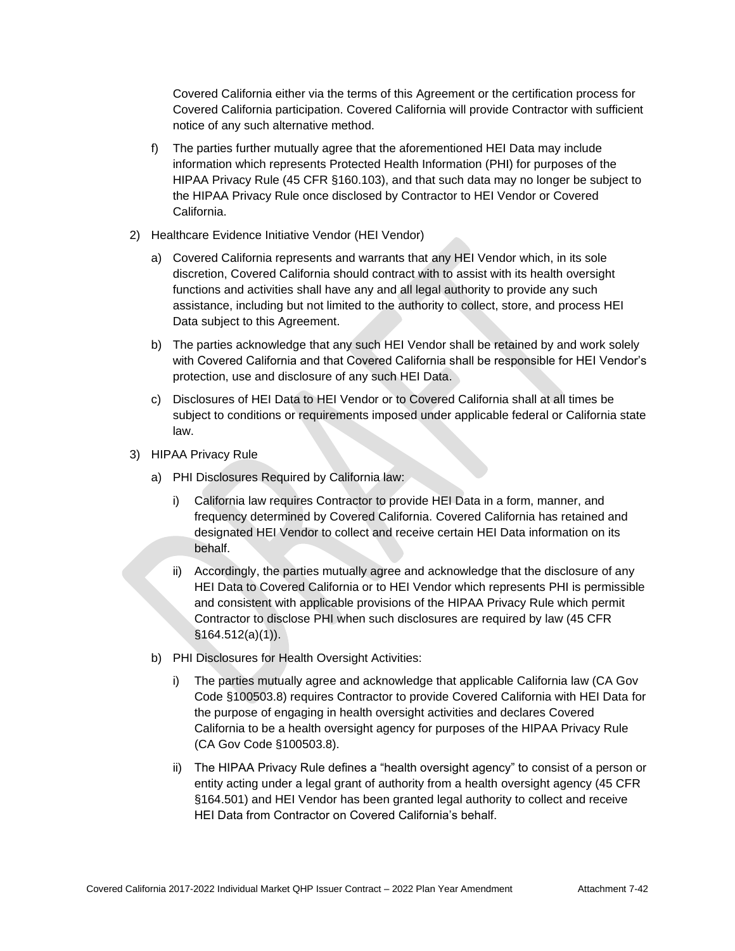Covered California either via the terms of this Agreement or the certification process for Covered California participation. Covered California will provide Contractor with sufficient notice of any such alternative method.

- f) The parties further mutually agree that the aforementioned HEI Data may include information which represents Protected Health Information (PHI) for purposes of the HIPAA Privacy Rule (45 CFR §160.103), and that such data may no longer be subject to the HIPAA Privacy Rule once disclosed by Contractor to HEI Vendor or Covered California.
- 2) Healthcare Evidence Initiative Vendor (HEI Vendor)
	- a) Covered California represents and warrants that any HEI Vendor which, in its sole discretion, Covered California should contract with to assist with its health oversight functions and activities shall have any and all legal authority to provide any such assistance, including but not limited to the authority to collect, store, and process HEI Data subject to this Agreement.
	- b) The parties acknowledge that any such HEI Vendor shall be retained by and work solely with Covered California and that Covered California shall be responsible for HEI Vendor's protection, use and disclosure of any such HEI Data.
	- c) Disclosures of HEI Data to HEI Vendor or to Covered California shall at all times be subject to conditions or requirements imposed under applicable federal or California state law.
- 3) HIPAA Privacy Rule
	- a) PHI Disclosures Required by California law:
		- i) California law requires Contractor to provide HEI Data in a form, manner, and frequency determined by Covered California. Covered California has retained and designated HEI Vendor to collect and receive certain HEI Data information on its behalf.
		- ii) Accordingly, the parties mutually agree and acknowledge that the disclosure of any HEI Data to Covered California or to HEI Vendor which represents PHI is permissible and consistent with applicable provisions of the HIPAA Privacy Rule which permit Contractor to disclose PHI when such disclosures are required by law (45 CFR §164.512(a)(1)).
	- b) PHI Disclosures for Health Oversight Activities:
		- i) The parties mutually agree and acknowledge that applicable California law (CA Gov Code §100503.8) requires Contractor to provide Covered California with HEI Data for the purpose of engaging in health oversight activities and declares Covered California to be a health oversight agency for purposes of the HIPAA Privacy Rule (CA Gov Code §100503.8).
		- ii) The HIPAA Privacy Rule defines a "health oversight agency" to consist of a person or entity acting under a legal grant of authority from a health oversight agency (45 CFR §164.501) and HEI Vendor has been granted legal authority to collect and receive HEI Data from Contractor on Covered California's behalf.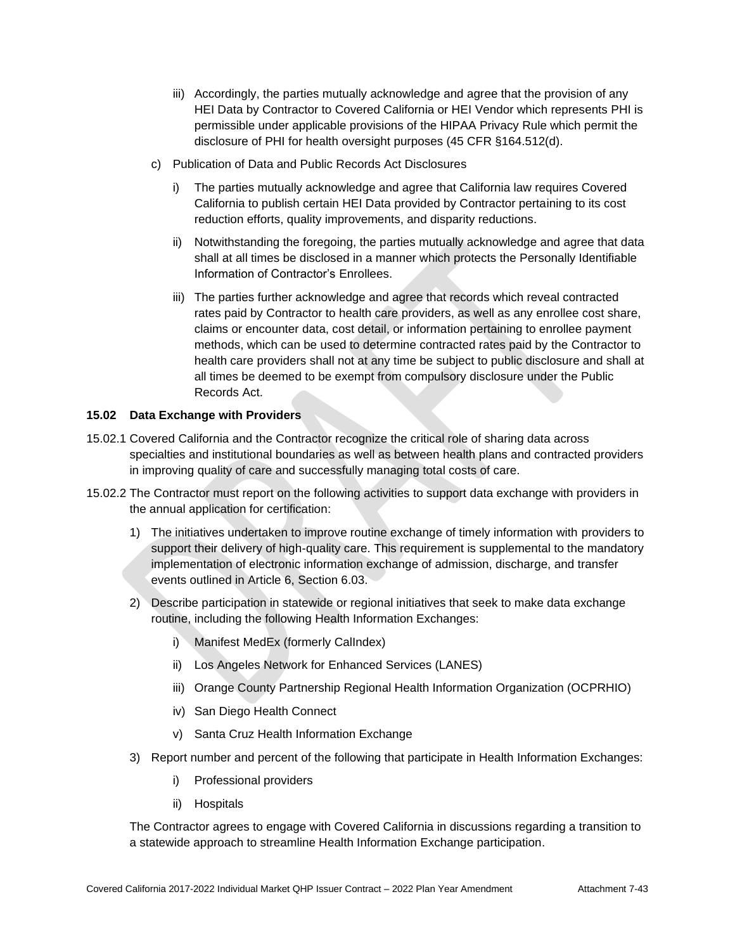- iii) Accordingly, the parties mutually acknowledge and agree that the provision of any HEI Data by Contractor to Covered California or HEI Vendor which represents PHI is permissible under applicable provisions of the HIPAA Privacy Rule which permit the disclosure of PHI for health oversight purposes (45 CFR §164.512(d).
- c) Publication of Data and Public Records Act Disclosures
	- i) The parties mutually acknowledge and agree that California law requires Covered California to publish certain HEI Data provided by Contractor pertaining to its cost reduction efforts, quality improvements, and disparity reductions.
	- ii) Notwithstanding the foregoing, the parties mutually acknowledge and agree that data shall at all times be disclosed in a manner which protects the Personally Identifiable Information of Contractor's Enrollees.
	- iii) The parties further acknowledge and agree that records which reveal contracted rates paid by Contractor to health care providers, as well as any enrollee cost share, claims or encounter data, cost detail, or information pertaining to enrollee payment methods, which can be used to determine contracted rates paid by the Contractor to health care providers shall not at any time be subject to public disclosure and shall at all times be deemed to be exempt from compulsory disclosure under the Public Records Act.

## **15.02 Data Exchange with Providers**

- 15.02.1 Covered California and the Contractor recognize the critical role of sharing data across specialties and institutional boundaries as well as between health plans and contracted providers in improving quality of care and successfully managing total costs of care.
- 15.02.2 The Contractor must report on the following activities to support data exchange with providers in the annual application for certification:
	- 1) The initiatives undertaken to improve routine exchange of timely information with providers to support their delivery of high-quality care. This requirement is supplemental to the mandatory implementation of electronic information exchange of admission, discharge, and transfer events outlined in Article 6, Section 6.03.
	- 2) Describe participation in statewide or regional initiatives that seek to make data exchange routine, including the following Health Information Exchanges:
		- i) Manifest MedEx (formerly CalIndex)
		- ii) Los Angeles Network for Enhanced Services (LANES)
		- iii) Orange County Partnership Regional Health Information Organization (OCPRHIO)
		- iv) San Diego Health Connect
		- v) Santa Cruz Health Information Exchange
	- 3) Report number and percent of the following that participate in Health Information Exchanges:
		- i) Professional providers
		- ii) Hospitals

The Contractor agrees to engage with Covered California in discussions regarding a transition to a statewide approach to streamline Health Information Exchange participation.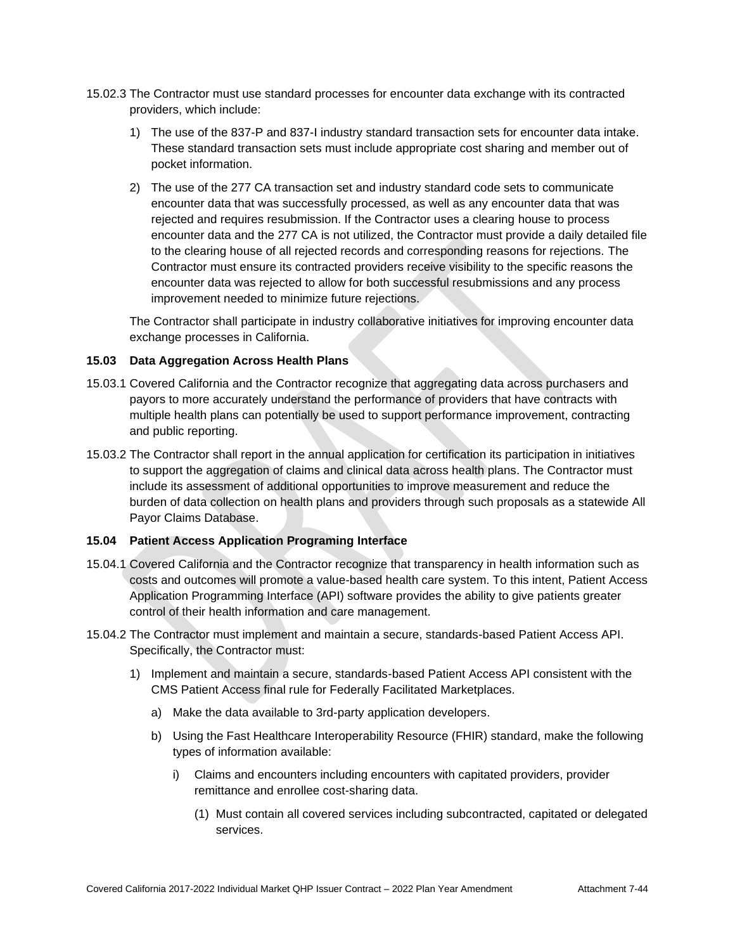- 15.02.3 The Contractor must use standard processes for encounter data exchange with its contracted providers, which include:
	- 1) The use of the 837-P and 837-I industry standard transaction sets for encounter data intake. These standard transaction sets must include appropriate cost sharing and member out of pocket information.
	- 2) The use of the 277 CA transaction set and industry standard code sets to communicate encounter data that was successfully processed, as well as any encounter data that was rejected and requires resubmission. If the Contractor uses a clearing house to process encounter data and the 277 CA is not utilized, the Contractor must provide a daily detailed file to the clearing house of all rejected records and corresponding reasons for rejections. The Contractor must ensure its contracted providers receive visibility to the specific reasons the encounter data was rejected to allow for both successful resubmissions and any process improvement needed to minimize future rejections.

The Contractor shall participate in industry collaborative initiatives for improving encounter data exchange processes in California.

## **15.03 Data Aggregation Across Health Plans**

- 15.03.1 Covered California and the Contractor recognize that aggregating data across purchasers and payors to more accurately understand the performance of providers that have contracts with multiple health plans can potentially be used to support performance improvement, contracting and public reporting.
- 15.03.2 The Contractor shall report in the annual application for certification its participation in initiatives to support the aggregation of claims and clinical data across health plans. The Contractor must include its assessment of additional opportunities to improve measurement and reduce the burden of data collection on health plans and providers through such proposals as a statewide All Payor Claims Database.

## **15.04 Patient Access Application Programing Interface**

- 15.04.1 Covered California and the Contractor recognize that transparency in health information such as costs and outcomes will promote a value-based health care system. To this intent, Patient Access Application Programming Interface (API) software provides the ability to give patients greater control of their health information and care management.
- 15.04.2 The Contractor must implement and maintain a secure, standards-based Patient Access API. Specifically, the Contractor must:
	- 1) Implement and maintain a secure, standards-based Patient Access API consistent with the CMS Patient Access final rule for Federally Facilitated Marketplaces.
		- a) Make the data available to 3rd-party application developers.
		- b) Using the Fast Healthcare Interoperability Resource (FHIR) standard, make the following types of information available:
			- i) Claims and encounters including encounters with capitated providers, provider remittance and enrollee cost-sharing data.
				- (1) Must contain all covered services including subcontracted, capitated or delegated services.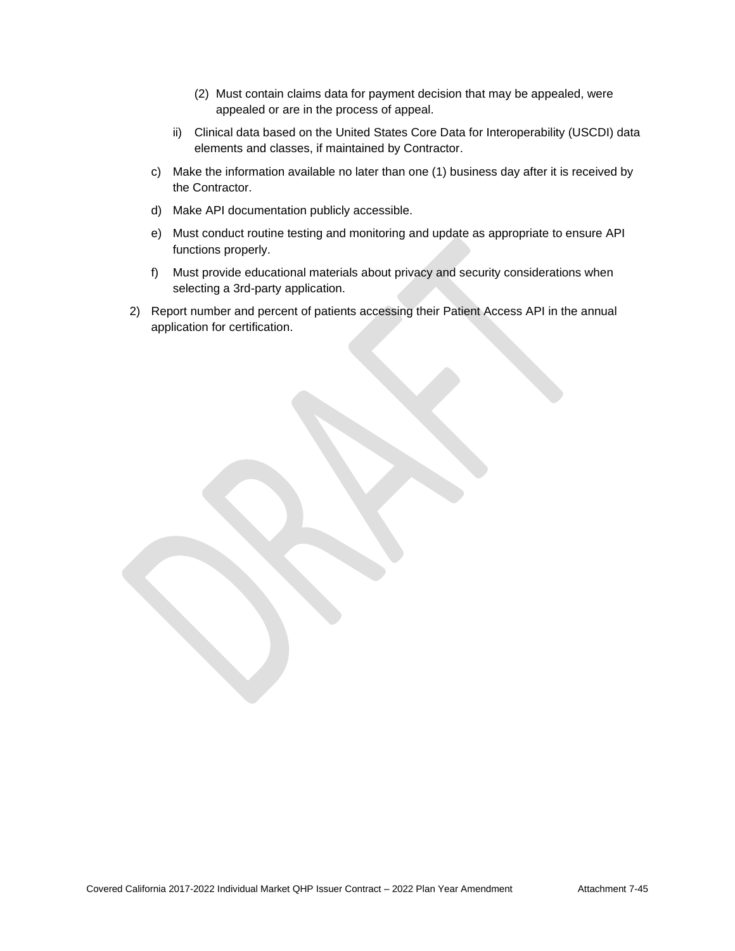- (2) Must contain claims data for payment decision that may be appealed, were appealed or are in the process of appeal.
- ii) Clinical data based on the United States Core Data for Interoperability (USCDI) data elements and classes, if maintained by Contractor.
- c) Make the information available no later than one (1) business day after it is received by the Contractor.
- d) Make API documentation publicly accessible.
- e) Must conduct routine testing and monitoring and update as appropriate to ensure API functions properly.
- f) Must provide educational materials about privacy and security considerations when selecting a 3rd-party application.
- 2) Report number and percent of patients accessing their Patient Access API in the annual application for certification.

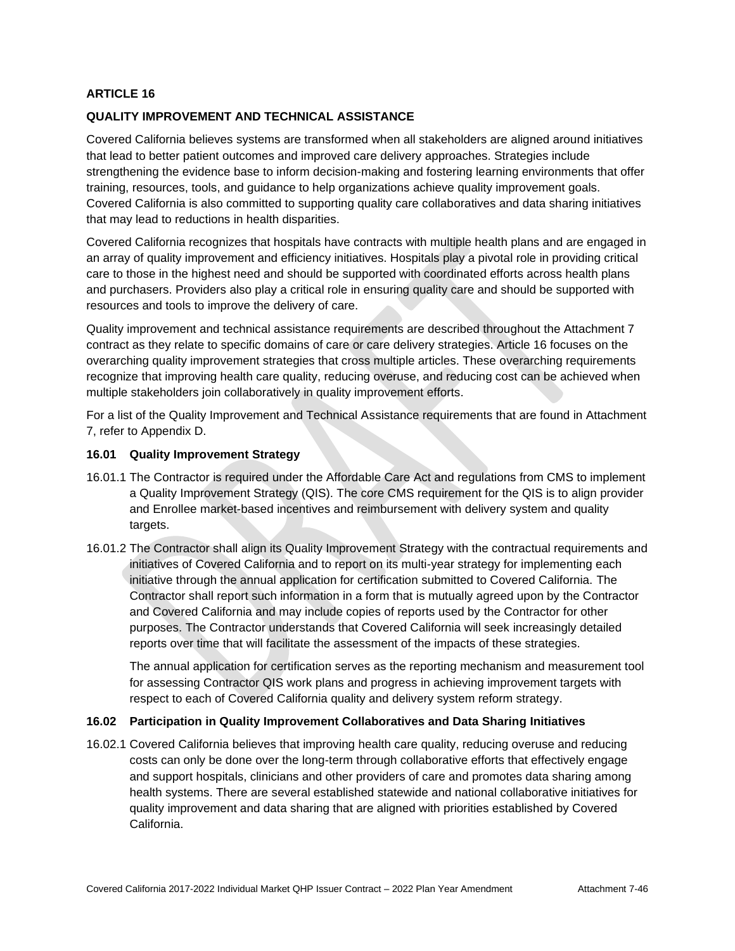## **QUALITY IMPROVEMENT AND TECHNICAL ASSISTANCE**

Covered California believes systems are transformed when all stakeholders are aligned around initiatives that lead to better patient outcomes and improved care delivery approaches. Strategies include strengthening the evidence base to inform decision-making and fostering learning environments that offer training, resources, tools, and guidance to help organizations achieve quality improvement goals. Covered California is also committed to supporting quality care collaboratives and data sharing initiatives that may lead to reductions in health disparities.

Covered California recognizes that hospitals have contracts with multiple health plans and are engaged in an array of quality improvement and efficiency initiatives. Hospitals play a pivotal role in providing critical care to those in the highest need and should be supported with coordinated efforts across health plans and purchasers. Providers also play a critical role in ensuring quality care and should be supported with resources and tools to improve the delivery of care.

Quality improvement and technical assistance requirements are described throughout the Attachment 7 contract as they relate to specific domains of care or care delivery strategies. Article 16 focuses on the overarching quality improvement strategies that cross multiple articles. These overarching requirements recognize that improving health care quality, reducing overuse, and reducing cost can be achieved when multiple stakeholders join collaboratively in quality improvement efforts.

For a list of the Quality Improvement and Technical Assistance requirements that are found in Attachment 7, refer to Appendix D.

### **16.01 Quality Improvement Strategy**

- 16.01.1 The Contractor is required under the Affordable Care Act and regulations from CMS to implement a Quality Improvement Strategy (QIS). The core CMS requirement for the QIS is to align provider and Enrollee market-based incentives and reimbursement with delivery system and quality targets.
- 16.01.2 The Contractor shall align its Quality Improvement Strategy with the contractual requirements and initiatives of Covered California and to report on its multi-year strategy for implementing each initiative through the annual application for certification submitted to Covered California. The Contractor shall report such information in a form that is mutually agreed upon by the Contractor and Covered California and may include copies of reports used by the Contractor for other purposes. The Contractor understands that Covered California will seek increasingly detailed reports over time that will facilitate the assessment of the impacts of these strategies.

The annual application for certification serves as the reporting mechanism and measurement tool for assessing Contractor QIS work plans and progress in achieving improvement targets with respect to each of Covered California quality and delivery system reform strategy.

#### **16.02 Participation in Quality Improvement Collaboratives and Data Sharing Initiatives**

16.02.1 Covered California believes that improving health care quality, reducing overuse and reducing costs can only be done over the long-term through collaborative efforts that effectively engage and support hospitals, clinicians and other providers of care and promotes data sharing among health systems. There are several established statewide and national collaborative initiatives for quality improvement and data sharing that are aligned with priorities established by Covered California.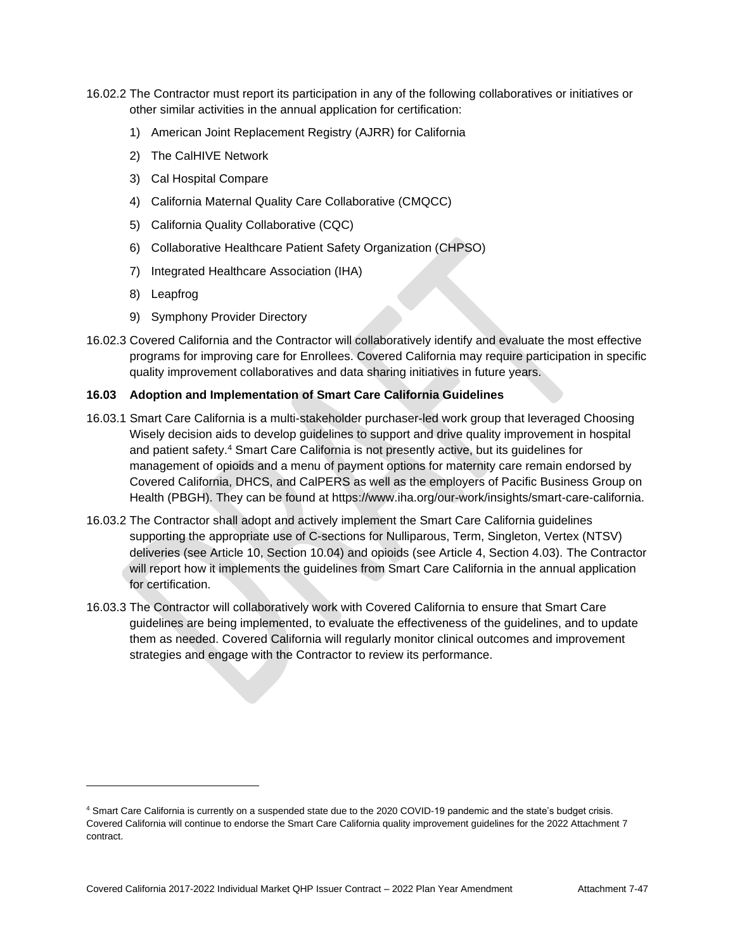- 16.02.2 The Contractor must report its participation in any of the following collaboratives or initiatives or other similar activities in the annual application for certification:
	- 1) American Joint Replacement Registry (AJRR) for California
	- 2) The CalHIVE Network
	- 3) Cal Hospital Compare
	- 4) California Maternal Quality Care Collaborative (CMQCC)
	- 5) California Quality Collaborative (CQC)
	- 6) Collaborative Healthcare Patient Safety Organization (CHPSO)
	- 7) Integrated Healthcare Association (IHA)
	- 8) Leapfrog
	- 9) Symphony Provider Directory
- 16.02.3 Covered California and the Contractor will collaboratively identify and evaluate the most effective programs for improving care for Enrollees. Covered California may require participation in specific quality improvement collaboratives and data sharing initiatives in future years.

## **16.03 Adoption and Implementation of Smart Care California Guidelines**

- 16.03.1 Smart Care California is a multi-stakeholder purchaser-led work group that leveraged Choosing Wisely decision aids to develop guidelines to support and drive quality improvement in hospital and patient safety.<sup>4</sup> Smart Care California is not presently active, but its guidelines for management of opioids and a menu of payment options for maternity care remain endorsed by Covered California, DHCS, and CalPERS as well as the employers of Pacific Business Group on Health (PBGH). They can be found at https://www.iha.org/our-work/insights/smart-care-california.
- 16.03.2 The Contractor shall adopt and actively implement the Smart Care California guidelines supporting the appropriate use of C-sections for Nulliparous, Term, Singleton, Vertex (NTSV) deliveries (see Article 10, Section 10.04) and opioids (see Article 4, Section 4.03). The Contractor will report how it implements the guidelines from Smart Care California in the annual application for certification
- 16.03.3 The Contractor will collaboratively work with Covered California to ensure that Smart Care guidelines are being implemented, to evaluate the effectiveness of the guidelines, and to update them as needed. Covered California will regularly monitor clinical outcomes and improvement strategies and engage with the Contractor to review its performance.

<sup>4</sup> Smart Care California is currently on a suspended state due to the 2020 COVID-19 pandemic and the state's budget crisis. Covered California will continue to endorse the Smart Care California quality improvement guidelines for the 2022 Attachment 7 contract.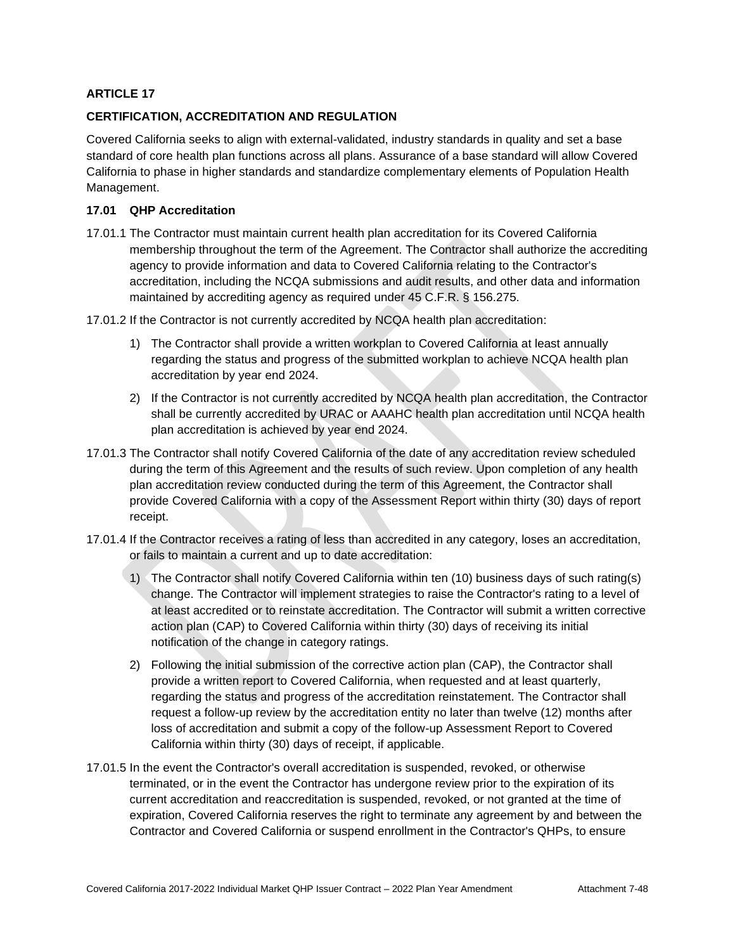## **CERTIFICATION, ACCREDITATION AND REGULATION**

Covered California seeks to align with external-validated, industry standards in quality and set a base standard of core health plan functions across all plans. Assurance of a base standard will allow Covered California to phase in higher standards and standardize complementary elements of Population Health Management.

## **17.01 QHP Accreditation**

17.01.1 The Contractor must maintain current health plan accreditation for its Covered California membership throughout the term of the Agreement. The Contractor shall authorize the accrediting agency to provide information and data to Covered California relating to the Contractor's accreditation, including the NCQA submissions and audit results, and other data and information maintained by accrediting agency as required under 45 C.F.R. § 156.275.

17.01.2 If the Contractor is not currently accredited by NCQA health plan accreditation:

- 1) The Contractor shall provide a written workplan to Covered California at least annually regarding the status and progress of the submitted workplan to achieve NCQA health plan accreditation by year end 2024.
- 2) If the Contractor is not currently accredited by NCQA health plan accreditation, the Contractor shall be currently accredited by URAC or AAAHC health plan accreditation until NCQA health plan accreditation is achieved by year end 2024.
- 17.01.3 The Contractor shall notify Covered California of the date of any accreditation review scheduled during the term of this Agreement and the results of such review. Upon completion of any health plan accreditation review conducted during the term of this Agreement, the Contractor shall provide Covered California with a copy of the Assessment Report within thirty (30) days of report receipt.
- 17.01.4 If the Contractor receives a rating of less than accredited in any category, loses an accreditation, or fails to maintain a current and up to date accreditation:
	- 1) The Contractor shall notify Covered California within ten (10) business days of such rating(s) change. The Contractor will implement strategies to raise the Contractor's rating to a level of at least accredited or to reinstate accreditation. The Contractor will submit a written corrective action plan (CAP) to Covered California within thirty (30) days of receiving its initial notification of the change in category ratings.
	- 2) Following the initial submission of the corrective action plan (CAP), the Contractor shall provide a written report to Covered California, when requested and at least quarterly, regarding the status and progress of the accreditation reinstatement. The Contractor shall request a follow-up review by the accreditation entity no later than twelve (12) months after loss of accreditation and submit a copy of the follow-up Assessment Report to Covered California within thirty (30) days of receipt, if applicable.
- 17.01.5 In the event the Contractor's overall accreditation is suspended, revoked, or otherwise terminated, or in the event the Contractor has undergone review prior to the expiration of its current accreditation and reaccreditation is suspended, revoked, or not granted at the time of expiration, Covered California reserves the right to terminate any agreement by and between the Contractor and Covered California or suspend enrollment in the Contractor's QHPs, to ensure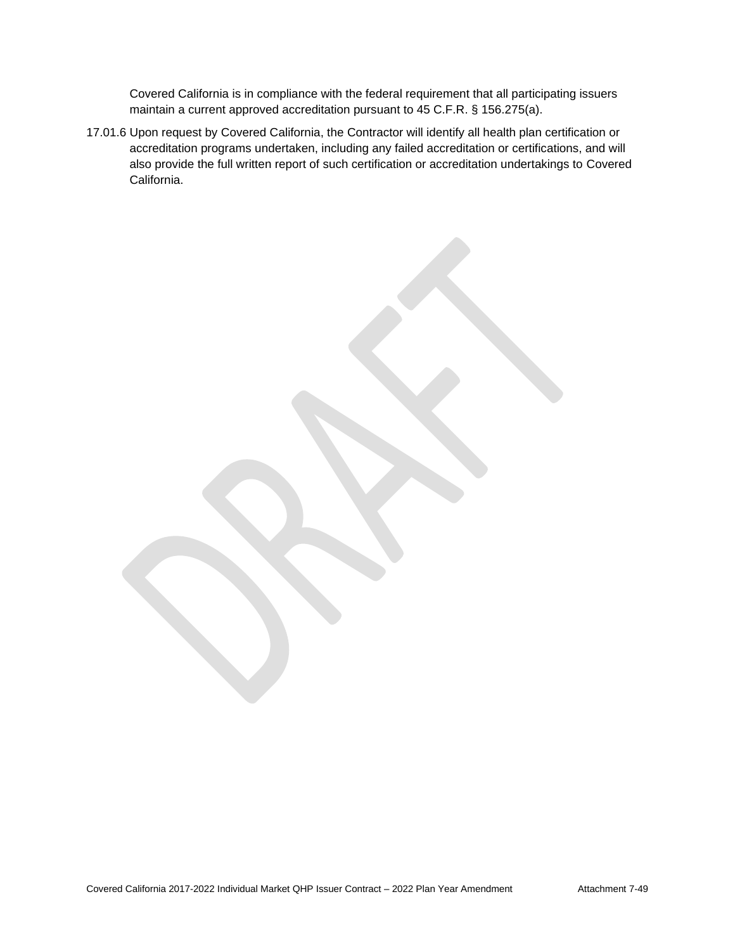Covered California is in compliance with the federal requirement that all participating issuers maintain a current approved accreditation pursuant to 45 C.F.R. § 156.275(a).

17.01.6 Upon request by Covered California, the Contractor will identify all health plan certification or accreditation programs undertaken, including any failed accreditation or certifications, and will also provide the full written report of such certification or accreditation undertakings to Covered California.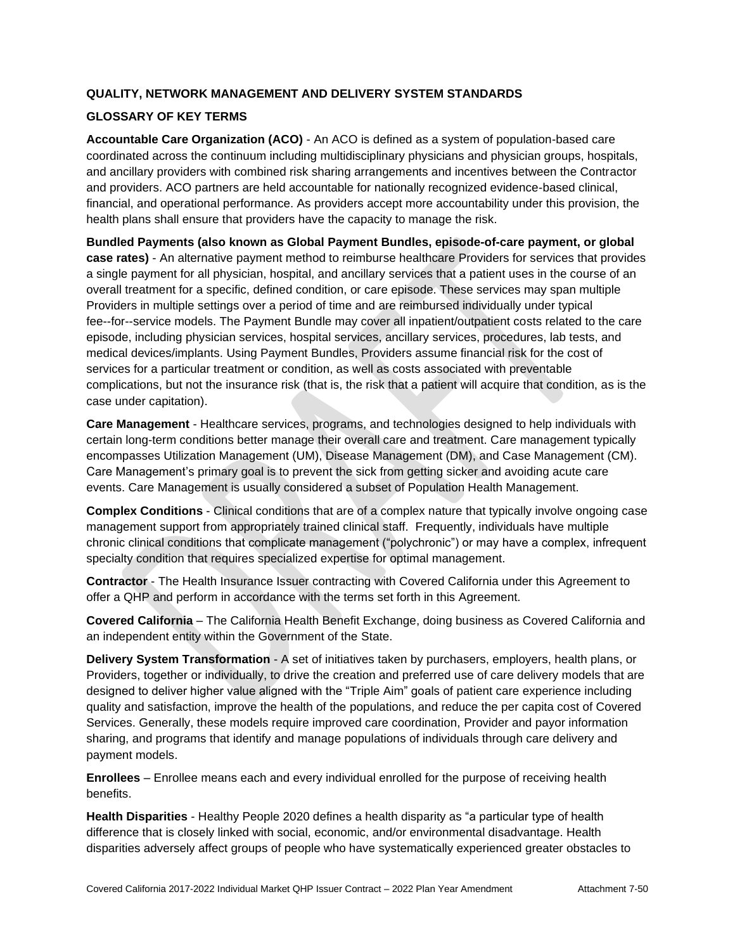# **QUALITY, NETWORK MANAGEMENT AND DELIVERY SYSTEM STANDARDS**

## **GLOSSARY OF KEY TERMS**

**Accountable Care Organization (ACO)** - An ACO is defined as a system of population-based care coordinated across the continuum including multidisciplinary physicians and physician groups, hospitals, and ancillary providers with combined risk sharing arrangements and incentives between the Contractor and providers. ACO partners are held accountable for nationally recognized evidence-based clinical, financial, and operational performance. As providers accept more accountability under this provision, the health plans shall ensure that providers have the capacity to manage the risk.

**Bundled Payments (also known as Global Payment Bundles, episode-of-care payment, or global case rates)** - An alternative payment method to reimburse healthcare Providers for services that provides a single payment for all physician, hospital, and ancillary services that a patient uses in the course of an overall treatment for a specific, defined condition, or care episode. These services may span multiple Providers in multiple settings over a period of time and are reimbursed individually under typical fee--for--service models. The Payment Bundle may cover all inpatient/outpatient costs related to the care episode, including physician services, hospital services, ancillary services, procedures, lab tests, and medical devices/implants. Using Payment Bundles, Providers assume financial risk for the cost of services for a particular treatment or condition, as well as costs associated with preventable complications, but not the insurance risk (that is, the risk that a patient will acquire that condition, as is the case under capitation).

**Care Management** - Healthcare services, programs, and technologies designed to help individuals with certain long-term conditions better manage their overall care and treatment. Care management typically encompasses Utilization Management (UM), Disease Management (DM), and Case Management (CM). Care Management's primary goal is to prevent the sick from getting sicker and avoiding acute care events. Care Management is usually considered a subset of Population Health Management.

**Complex Conditions** - Clinical conditions that are of a complex nature that typically involve ongoing case management support from appropriately trained clinical staff. Frequently, individuals have multiple chronic clinical conditions that complicate management ("polychronic") or may have a complex, infrequent specialty condition that requires specialized expertise for optimal management.

**Contractor** - The Health Insurance Issuer contracting with Covered California under this Agreement to offer a QHP and perform in accordance with the terms set forth in this Agreement.

**Covered California** – The California Health Benefit Exchange, doing business as Covered California and an independent entity within the Government of the State.

**Delivery System Transformation** - A set of initiatives taken by purchasers, employers, health plans, or Providers, together or individually, to drive the creation and preferred use of care delivery models that are designed to deliver higher value aligned with the "Triple Aim" goals of patient care experience including quality and satisfaction, improve the health of the populations, and reduce the per capita cost of Covered Services. Generally, these models require improved care coordination, Provider and payor information sharing, and programs that identify and manage populations of individuals through care delivery and payment models.

**Enrollees** – Enrollee means each and every individual enrolled for the purpose of receiving health benefits.

**Health Disparities** - Healthy People 2020 defines a health disparity as "a particular type of health difference that is closely linked with social, economic, and/or environmental disadvantage. Health disparities adversely affect groups of people who have systematically experienced greater obstacles to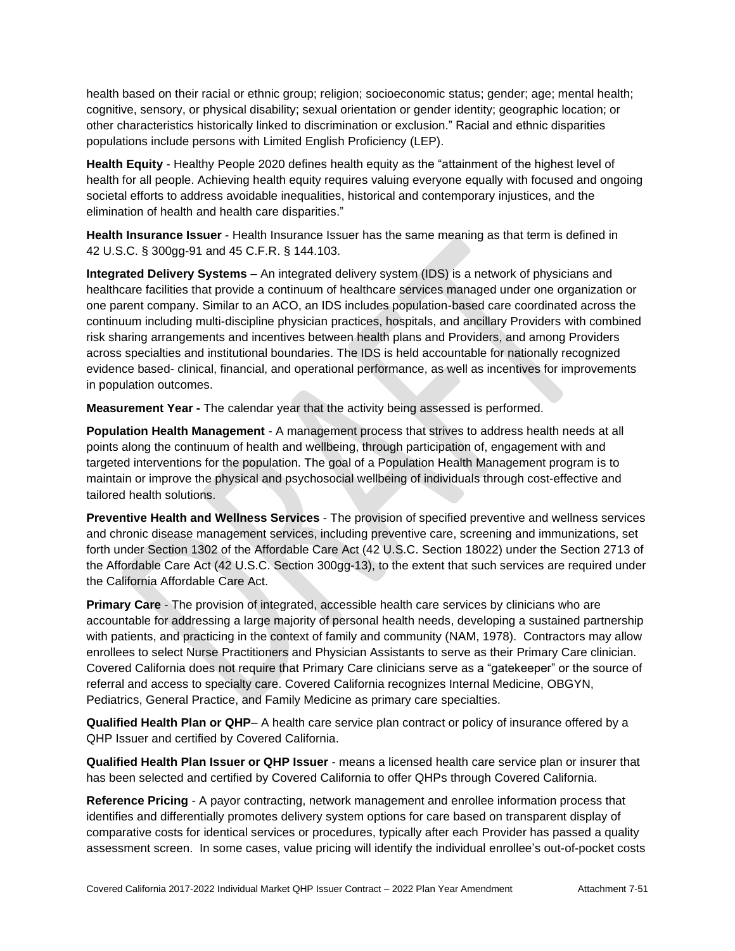health based on their racial or ethnic group; religion; socioeconomic status; gender; age; mental health; cognitive, sensory, or physical disability; sexual orientation or gender identity; geographic location; or other characteristics historically linked to discrimination or exclusion." Racial and ethnic disparities populations include persons with Limited English Proficiency (LEP).

**Health Equity** - Healthy People 2020 defines health equity as the "attainment of the highest level of health for all people. Achieving health equity requires valuing everyone equally with focused and ongoing societal efforts to address avoidable inequalities, historical and contemporary injustices, and the elimination of health and health care disparities."

**Health Insurance Issuer** - Health Insurance Issuer has the same meaning as that term is defined in 42 U.S.C. § 300gg-91 and 45 C.F.R. § 144.103.

**Integrated Delivery Systems –** An integrated delivery system (IDS) is a network of physicians and healthcare facilities that provide a continuum of healthcare services managed under one organization or one parent company. Similar to an ACO, an IDS includes population-based care coordinated across the continuum including multi-discipline physician practices, hospitals, and ancillary Providers with combined risk sharing arrangements and incentives between health plans and Providers, and among Providers across specialties and institutional boundaries. The IDS is held accountable for nationally recognized evidence based- clinical, financial, and operational performance, as well as incentives for improvements in population outcomes.

**Measurement Year -** The calendar year that the activity being assessed is performed.

**Population Health Management** - A management process that strives to address health needs at all points along the continuum of health and wellbeing, through participation of, engagement with and targeted interventions for the population. The goal of a Population Health Management program is to maintain or improve the physical and psychosocial wellbeing of individuals through cost-effective and tailored health solutions.

**Preventive Health and Wellness Services** - The provision of specified preventive and wellness services and chronic disease management services, including preventive care, screening and immunizations, set forth under Section 1302 of the Affordable Care Act (42 U.S.C. Section 18022) under the Section 2713 of the Affordable Care Act (42 U.S.C. Section 300gg-13), to the extent that such services are required under the California Affordable Care Act.

**Primary Care** - The provision of integrated, accessible health care services by clinicians who are accountable for addressing a large majority of personal health needs, developing a sustained partnership with patients, and practicing in the context of family and community (NAM, 1978). Contractors may allow enrollees to select Nurse Practitioners and Physician Assistants to serve as their Primary Care clinician. Covered California does not require that Primary Care clinicians serve as a "gatekeeper" or the source of referral and access to specialty care. Covered California recognizes Internal Medicine, OBGYN, Pediatrics, General Practice, and Family Medicine as primary care specialties.

**Qualified Health Plan or QHP**– A health care service plan contract or policy of insurance offered by a QHP Issuer and certified by Covered California.

**Qualified Health Plan Issuer or QHP Issuer** - means a licensed health care service plan or insurer that has been selected and certified by Covered California to offer QHPs through Covered California.

**Reference Pricing** - A payor contracting, network management and enrollee information process that identifies and differentially promotes delivery system options for care based on transparent display of comparative costs for identical services or procedures, typically after each Provider has passed a quality assessment screen. In some cases, value pricing will identify the individual enrollee's out-of-pocket costs